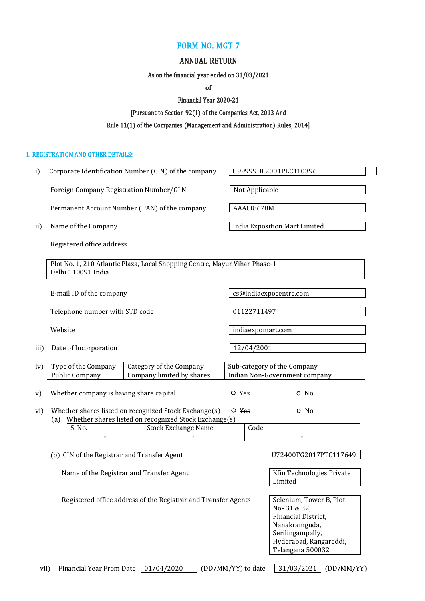### FORM NO. MGT 7

### ANNUAL RETURN

As on the financial year ended on 31/03/2021

of

Financial Year 2020-21

[Pursuant to Section 92(1) of the Companies Act, 2013 And

### Rule 11(1) of the Companies (Management and Administration) Rules, 2014]

#### I. REGISTRATION AND OTHER DETAILS:

i) Corporate Identification Number (CIN) of the company  $\sqrt{0.099999DL2001PLC110396}$ 

Foreign Company Registration Number/GLN | Not Applicable

[Permanent Account Number](https://taxguru.in/income-tax/permanent-account-number-pan.html/) (PAN) of the company AAACI8678M

Registered office address

Plot No. 1, 210 Atlantic Plaza, Local Shopping Centre, Mayur Vihar Phase-1 Delhi 110091 India

|      | E-mail ID of the company                                                      | cs@indiaexpocentre.com                            |
|------|-------------------------------------------------------------------------------|---------------------------------------------------|
|      | Telephone number with STD code                                                | 01122711497                                       |
|      | Website                                                                       | indiaexpomart.com                                 |
| iii) | Date of Incorporation                                                         | 12/04/2001                                        |
|      | $\langle \cdot, \cdot \rangle$ True of the Company<br>Catagony of the Company | $C1$ $A2$ $A3$ $A4$ $A5$ $A6$ $A7$ $A8$ $A9$ $A1$ |

| IVI I VUE UI LIIE GUILLUMIIV            | Galegoly of the Company   |       | Sub-category of the Company   |  |
|-----------------------------------------|---------------------------|-------|-------------------------------|--|
| Public Company                          | Company limited by shares |       | Indian Non-Government company |  |
|                                         |                           |       |                               |  |
| Whether company is having share capital |                           | O Yes | - No                          |  |

|  | vi) Whether shares listed on recognized Stock Exchange(s) $\circ$ Yes | O No |
|--|-----------------------------------------------------------------------|------|
|  | (a) Whether shares listed on recognized Stock Exchange(s)             |      |

| S. No. | Stock Exchange Name | code |  |
|--------|---------------------|------|--|
|        |                     |      |  |

(b) CIN of the Registrar and Transfer Agent  $\vert$  U72400TG2017PTC117649

Name of the Registrar and Transfer Agent New York Rin Technologies Private

Limited

Registered office address of the Registrar and Transfer Agents  $\left| \right|$  Selenium, Tower B, Plot

No- 31 & 32, Financial District, Nanakramguda, Serilingampally, Hyderabad, Rangareddi, Telangana 500032

vii) Financial Year From Date  $\boxed{01/04/2020}$  (DD/MM/YY) to date  $\boxed{31/03/2021}$  (DD/MM/YY)

ii) Name of the Company **India Exposition Mart Limited**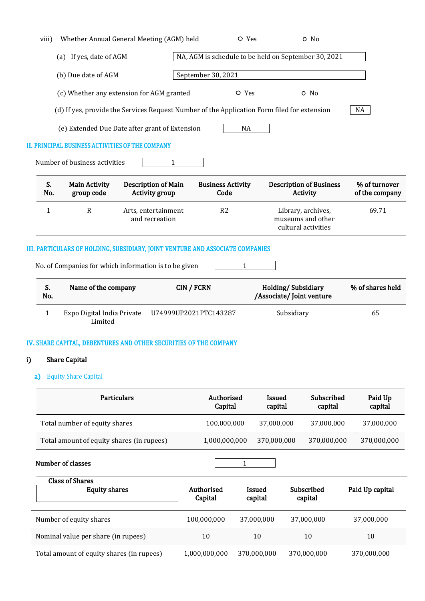| viii)        | Whether Annual General Meeting (AGM) held                                      |                                              | $\circ$ Yes                      | O No                                                                                        |                                 |
|--------------|--------------------------------------------------------------------------------|----------------------------------------------|----------------------------------|---------------------------------------------------------------------------------------------|---------------------------------|
|              | (a) If yes, date of AGM                                                        |                                              |                                  | NA, AGM is schedule to be held on September 30, 2021                                        |                                 |
|              | (b) Due date of AGM                                                            |                                              | September 30, 2021               |                                                                                             |                                 |
|              | (c) Whether any extension for AGM granted                                      |                                              | $\circ$ Yes                      | O No                                                                                        |                                 |
|              |                                                                                |                                              |                                  | (d) If yes, provide the Services Request Number of the Application Form filed for extension | NA                              |
|              | (e) Extended Due Date after grant of Extension                                 |                                              | <b>NA</b>                        |                                                                                             |                                 |
|              | <b>II. PRINCIPAL BUSINESS ACTIVITIES OF THE COMPANY</b>                        |                                              |                                  |                                                                                             |                                 |
|              | Number of business activities                                                  | 1                                            |                                  |                                                                                             |                                 |
| S.<br>No.    | <b>Main Activity</b><br>group code                                             | Description of Main<br><b>Activity group</b> | <b>Business Activity</b><br>Code | <b>Description of Business</b><br>Activity                                                  | % of turnover<br>of the company |
| $\mathbf{1}$ | $\mathbb{R}$                                                                   | Arts, entertainment<br>and recreation        | R <sub>2</sub>                   | Library, archives,<br>museums and other<br>cultural activities                              | 69.71                           |
|              | III. PARTICULARS OF HOLDING, SUBSIDIARY, JOINT VENTURE AND ASSOCIATE COMPANIES |                                              |                                  |                                                                                             |                                 |
|              | No. of Companies for which information is to be given                          |                                              | $\mathbf{1}$                     |                                                                                             |                                 |
| S.<br>No.    | Name of the company                                                            | <b>CIN / FCRN</b>                            |                                  | Holding/Subsidiary<br>/Associate/ Joint venture                                             | % of shares held                |
| $\mathbf{1}$ | Expo Digital India Private<br>Limited                                          | U74999UP2021PTC143287                        |                                  | Subsidiary                                                                                  | 65                              |

#### IV. SHARE CAPITAL, DEBENTURES AND OTHER SECURITIES OF THE COMPANY

# i) Share Capital

a) Equity Share Capital

| <b>Particulars</b>                        | Authorised<br>Capital | Issued<br>capital | Subscribed<br>capital | Paid Up<br>capital |
|-------------------------------------------|-----------------------|-------------------|-----------------------|--------------------|
| Total number of equity shares             | 100,000,000           | 37,000,000        | 37,000,000            | 37,000,000         |
| Total amount of equity shares (in rupees) | 1,000,000,000         | 370,000,000       | 370,000,000           | 370,000,000        |

Number of classes 1

| <b>Class of Shares</b><br><b>Equity shares</b> | Authorised<br>Capital | Issued<br>capital | Subscribed<br>capital | Paid Up capital |
|------------------------------------------------|-----------------------|-------------------|-----------------------|-----------------|
| Number of equity shares                        | 100,000,000           | 37,000,000        | 37,000,000            | 37,000,000      |
| Nominal value per share (in rupees)            | 10                    | 10                | 10                    | 10              |
| Total amount of equity shares (in rupees)      | 1,000,000,000         | 370,000,000       | 370,000,000           | 370,000,000     |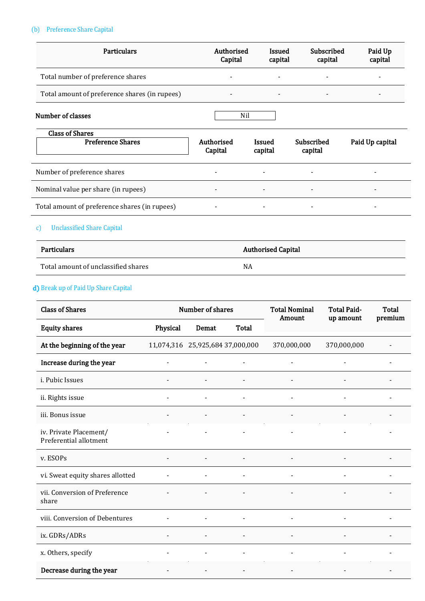# (b) Preference Share Capital

| <b>Particulars</b>                            | Authorised<br>Capital        | <b>Issued</b><br>capital | Subscribed<br>capital    | Paid Up<br>capital |
|-----------------------------------------------|------------------------------|--------------------------|--------------------------|--------------------|
| Total number of preference shares             | -                            |                          | $\overline{\phantom{a}}$ |                    |
| Total amount of preference shares (in rupees) |                              |                          | $\overline{\phantom{a}}$ |                    |
| Number of classes                             |                              | Nil                      |                          |                    |
| <b>Class of Shares</b>                        |                              |                          |                          |                    |
| <b>Preference Shares</b>                      | Authorised<br>Capital        | Issued<br>capital        | Subscribed<br>capital    | Paid Up capital    |
| Number of preference shares                   | $\qquad \qquad \blacksquare$ |                          | $\overline{\phantom{0}}$ |                    |
| Nominal value per share (in rupees)           | $\qquad \qquad \blacksquare$ |                          | $\overline{\phantom{a}}$ |                    |
| Total amount of preference shares (in rupees) |                              |                          | $\overline{\phantom{a}}$ |                    |

# c) Unclassified Share Capital

| Particulars                         | <b>Authorised Capital</b> |
|-------------------------------------|---------------------------|
| Total amount of unclassified shares | NA                        |

# d) Break up of Paid Up Share Capital

| <b>Class of Shares</b>                           |                          | Number of shares                 |                          | <b>Total Nominal</b><br>Amount | <b>Total Paid-</b><br>up amount | Total<br>premium |  |
|--------------------------------------------------|--------------------------|----------------------------------|--------------------------|--------------------------------|---------------------------------|------------------|--|
| <b>Equity shares</b>                             | Physical                 | Demat                            | Total                    |                                |                                 |                  |  |
| At the beginning of the year                     |                          | 11,074,316 25,925,684 37,000,000 |                          | 370,000,000                    | 370,000,000                     |                  |  |
| Increase during the year                         | $\blacksquare$           |                                  | $\overline{\phantom{a}}$ | $\overline{\phantom{0}}$       |                                 |                  |  |
| <i>i. Pubic Issues</i>                           |                          |                                  |                          |                                |                                 |                  |  |
| ii. Rights issue                                 |                          |                                  |                          |                                |                                 |                  |  |
| iii. Bonus issue                                 | $\overline{\phantom{a}}$ |                                  | $\overline{\phantom{a}}$ |                                |                                 |                  |  |
| iv. Private Placement/<br>Preferential allotment |                          |                                  |                          |                                |                                 |                  |  |
| v. ESOPs                                         | $\overline{\phantom{a}}$ |                                  | $\overline{\phantom{a}}$ | $\frac{1}{2}$                  |                                 |                  |  |
| vi. Sweat equity shares allotted                 |                          |                                  |                          |                                |                                 |                  |  |
| vii. Conversion of Preference<br>share           |                          |                                  |                          |                                |                                 |                  |  |
| viii. Conversion of Debentures                   |                          |                                  | $\blacksquare$           |                                |                                 |                  |  |
| ix. GDRs/ADRs                                    |                          |                                  |                          |                                |                                 |                  |  |
| x. Others, specify                               | $\overline{\phantom{a}}$ | $\blacksquare$                   | $\blacksquare$           | $\overline{\phantom{a}}$       |                                 | $\blacksquare$   |  |
| Decrease during the year                         |                          |                                  |                          |                                |                                 |                  |  |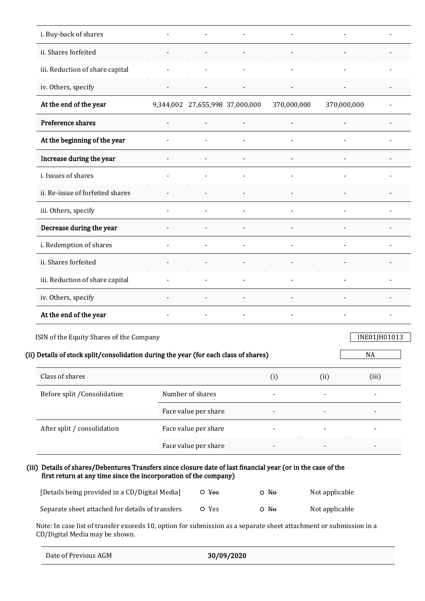| i. Buy-back of shares                                                                                                                                                             |                                 |                          |                          |                          |                |                                    |
|-----------------------------------------------------------------------------------------------------------------------------------------------------------------------------------|---------------------------------|--------------------------|--------------------------|--------------------------|----------------|------------------------------------|
| ii. Shares forfeited                                                                                                                                                              |                                 | $\overline{\phantom{a}}$ |                          |                          |                |                                    |
| iii. Reduction of share capital                                                                                                                                                   |                                 | $\overline{\phantom{a}}$ |                          |                          |                |                                    |
| iv. Others, specify                                                                                                                                                               | $\overline{\phantom{a}}$        | $\overline{\phantom{a}}$ | $\overline{\phantom{a}}$ | $\overline{\phantom{a}}$ |                |                                    |
| At the end of the year                                                                                                                                                            | 9,344,002 27,655,998 37,000,000 |                          |                          | 370,000,000              | 370,000,000    |                                    |
| Preference shares                                                                                                                                                                 |                                 |                          |                          |                          |                |                                    |
| At the beginning of the year                                                                                                                                                      |                                 |                          |                          |                          |                |                                    |
| Increase during the year                                                                                                                                                          |                                 | $\blacksquare$           |                          |                          |                |                                    |
| i. Issues of shares                                                                                                                                                               |                                 |                          |                          |                          |                |                                    |
| ii. Re-issue of forfeited shares                                                                                                                                                  |                                 |                          |                          |                          |                |                                    |
| iii. Others, specify                                                                                                                                                              |                                 |                          |                          |                          |                |                                    |
| Decrease during the year                                                                                                                                                          |                                 |                          |                          |                          |                |                                    |
| i. Redemption of shares                                                                                                                                                           |                                 |                          |                          |                          |                |                                    |
| ii. Shares forfeited                                                                                                                                                              |                                 |                          |                          |                          |                |                                    |
| iii. Reduction of share capital                                                                                                                                                   |                                 |                          |                          |                          |                |                                    |
| iv. Others, specify                                                                                                                                                               |                                 |                          |                          |                          |                |                                    |
| At the end of the year                                                                                                                                                            |                                 | $\overline{\phantom{a}}$ | $\overline{a}$           | $\overline{\phantom{a}}$ |                |                                    |
| ISIN of the Equity Shares of the Company<br>(ii) Details of stock split/consolidation during the year (for each class of shares)<br>Class of shares                               |                                 |                          |                          | (i)                      | (ii)           | INE01JH01013<br><b>NA</b><br>(iii) |
| Before split / Consolidation                                                                                                                                                      | Number of shares                |                          |                          |                          |                |                                    |
|                                                                                                                                                                                   |                                 | Face value per share     |                          |                          |                |                                    |
| After split / consolidation                                                                                                                                                       |                                 | Face value per share     |                          |                          |                |                                    |
|                                                                                                                                                                                   |                                 | Face value per share     |                          |                          |                |                                    |
| (iii) Details of shares/Debentures Transfers since closure date of last financial year (or in the case of the<br>first return at any time since the incorporation of the company) |                                 |                          |                          |                          |                |                                    |
| [Details being provided in a CD/Digital Media]                                                                                                                                    |                                 | $\circ$ Yes              |                          | O No                     | Not applicable |                                    |
| Separate sheet attached for details of transfers                                                                                                                                  |                                 | O Yes                    |                          | $O$ No                   | Not applicable |                                    |

Note: In case list of transfer exceeds 10, option for submission as a separate sheet attachment or submission in a CD/Digital Media may be shown.

|  | Date of Previous AGM |  |
|--|----------------------|--|
|--|----------------------|--|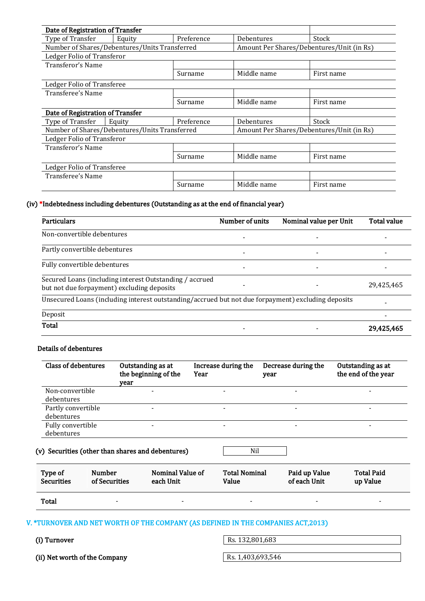| Date of Registration of Transfer              |        |            |                                           |            |  |
|-----------------------------------------------|--------|------------|-------------------------------------------|------------|--|
| Type of Transfer                              | Equity | Preference | Debentures                                | Stock      |  |
| Number of Shares/Debentures/Units Transferred |        |            | Amount Per Shares/Debentures/Unit (in Rs) |            |  |
| Ledger Folio of Transferor                    |        |            |                                           |            |  |
| Transferor's Name                             |        |            |                                           |            |  |
|                                               |        | Surname    | Middle name                               | First name |  |
| Ledger Folio of Transferee                    |        |            |                                           |            |  |
| Transferee's Name                             |        |            |                                           |            |  |
|                                               |        | Surname    | Middle name                               | First name |  |
| Date of Registration of Transfer              |        |            |                                           |            |  |
| Type of Transfer                              | Equity | Preference | Debentures                                | Stock      |  |
| Number of Shares/Debentures/Units Transferred |        |            | Amount Per Shares/Debentures/Unit (in Rs) |            |  |
| Ledger Folio of Transferor                    |        |            |                                           |            |  |
| Transferor's Name                             |        |            |                                           |            |  |
|                                               |        | Surname    | Middle name                               | First name |  |
| Ledger Folio of Transferee                    |        |            |                                           |            |  |
| Transferee's Name                             |        |            |                                           |            |  |
|                                               |        | Surname    | Middle name                               | First name |  |

#### (iv) \*Indebtedness including debentures (Outstanding as at the end of financial year)

| <b>Particulars</b>                                                                                    | Number of units | Nominal value per Unit | <b>Total value</b> |  |  |  |
|-------------------------------------------------------------------------------------------------------|-----------------|------------------------|--------------------|--|--|--|
| Non-convertible debentures                                                                            |                 |                        |                    |  |  |  |
| Partly convertible debentures                                                                         |                 |                        |                    |  |  |  |
| Fully convertible debentures                                                                          |                 |                        |                    |  |  |  |
| Secured Loans (including interest Outstanding / accrued<br>but not due forpayment) excluding deposits |                 |                        | 29,425,465         |  |  |  |
| Unsecured Loans (including interest outstanding/accrued but not due forpayment) excluding deposits    |                 |                        |                    |  |  |  |
| Deposit                                                                                               |                 |                        |                    |  |  |  |
| Total                                                                                                 |                 |                        | 29,425,465         |  |  |  |

### Details of debentures

| <b>Class of debentures</b>       | Outstanding as at<br>the beginning of the<br>year | Increase during the<br>Year | Decrease during the<br>year | Outstanding as at<br>the end of the year |
|----------------------------------|---------------------------------------------------|-----------------------------|-----------------------------|------------------------------------------|
| Non-convertible<br>debentures    |                                                   | $\overline{\phantom{0}}$    |                             |                                          |
| Partly convertible<br>debentures |                                                   | $\overline{\phantom{0}}$    |                             |                                          |
| Fully convertible<br>debentures  |                                                   | $\,$                        |                             |                                          |

### (v) Securities (other than shares and debentures) Nil

| Type of           | <b>Number</b> | Nominal Value of | <b>Total Nominal</b> | Paid up Value | <b>Total Paid</b> |  |
|-------------------|---------------|------------------|----------------------|---------------|-------------------|--|
| <b>Securities</b> | of Securities | each Unit        | Value                | of each Unit  | up Value          |  |
| Total             |               | -                | -                    | -             |                   |  |

### V. \*TURNOVER AND NET WORTH OF THE COMPANY (AS DEFINED IN THE [COMPANIES ACT,2013\)](https://taxguru.in/company-law/presidents-assent-companies-act-2013.html)

(i) Turnover Rs.  $132,801,683$ 

(ii) Net worth of the Company  $\sqrt{Rs. 1,403,693,546}$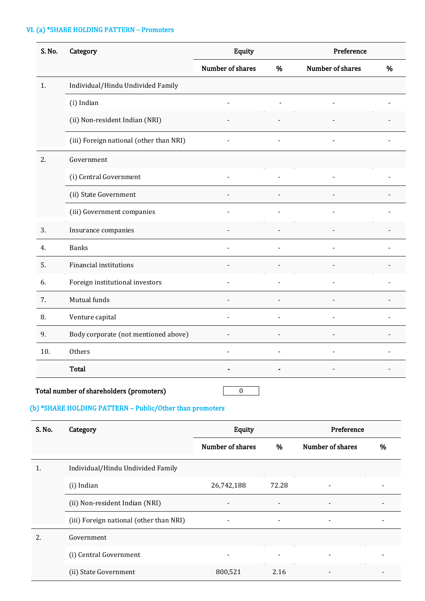# VI. (a) \*SHARE HOLDING PATTERN – Promoters

| S. No. | Category                                | Equity           |                | Preference       |   |  |
|--------|-----------------------------------------|------------------|----------------|------------------|---|--|
|        |                                         | Number of shares | %              | Number of shares | % |  |
| 1.     | Individual/Hindu Undivided Family       |                  |                |                  |   |  |
|        | (i) Indian                              |                  |                |                  |   |  |
|        | (ii) Non-resident Indian (NRI)          |                  |                |                  |   |  |
|        | (iii) Foreign national (other than NRI) |                  |                |                  |   |  |
| 2.     | Government                              |                  |                |                  |   |  |
|        | (i) Central Government                  |                  |                |                  |   |  |
|        | (ii) State Government                   |                  |                |                  |   |  |
|        | (iii) Government companies              |                  |                |                  |   |  |
| 3.     | Insurance companies                     |                  |                |                  |   |  |
| 4.     | <b>Banks</b>                            |                  |                |                  |   |  |
| 5.     | <b>Financial institutions</b>           |                  |                |                  |   |  |
| 6.     | Foreign institutional investors         | $\blacksquare$   | $\frac{1}{2}$  |                  |   |  |
| 7.     | Mutual funds                            | $\overline{a}$   | $\blacksquare$ |                  |   |  |
| 8.     | Venture capital                         | $\overline{a}$   | $\blacksquare$ |                  |   |  |
| 9.     | Body corporate (not mentioned above)    | $\overline{a}$   |                |                  |   |  |
| 10.    | Others                                  |                  |                |                  |   |  |
|        | Total                                   |                  |                |                  |   |  |

# Total number of shareholders (promoters) and a set of  $\overline{0}$

# (b) \*SHARE HOLDING PATTERN – Public/Other than promoters

| S. No. | Category                                | Equity                   |                | Preference               |   |
|--------|-----------------------------------------|--------------------------|----------------|--------------------------|---|
|        |                                         | Number of shares         | %              | Number of shares         | % |
| 1.     | Individual/Hindu Undivided Family       |                          |                |                          |   |
|        | (i) Indian                              | 26,742,188               | 72.28          | $\overline{\phantom{a}}$ |   |
|        | (ii) Non-resident Indian (NRI)          |                          |                | $\blacksquare$           |   |
|        | (iii) Foreign national (other than NRI) | $\overline{\phantom{a}}$ | $\blacksquare$ | $\overline{\phantom{a}}$ |   |
| 2.     | Government                              |                          |                |                          |   |
|        | (i) Central Government                  | ۰                        |                | $\blacksquare$           |   |
|        | (ii) State Government                   | 800,521                  | 2.16           | $\overline{\phantom{a}}$ |   |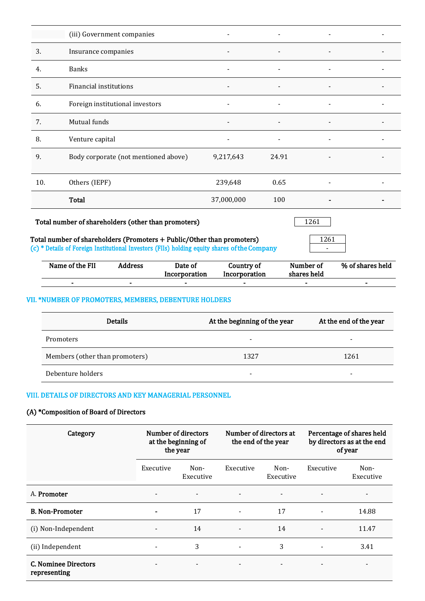|     | (iii) Government companies           |            |                          |                          |  |
|-----|--------------------------------------|------------|--------------------------|--------------------------|--|
| 3.  | Insurance companies                  |            |                          | $\blacksquare$           |  |
| 4.  | <b>Banks</b>                         |            |                          |                          |  |
| 5.  | Financial institutions               |            |                          |                          |  |
| 6.  | Foreign institutional investors      |            |                          |                          |  |
| 7.  | Mutual funds                         |            |                          |                          |  |
| 8.  | Venture capital                      | ٠          | $\overline{\phantom{a}}$ | $\overline{\phantom{a}}$ |  |
| 9.  | Body corporate (not mentioned above) | 9,217,643  | 24.91                    |                          |  |
| 10. | Others (IEPF)                        | 239,648    | 0.65                     |                          |  |
|     | Total                                | 37,000,000 | 100                      |                          |  |

### Total number of shareholders (other than promoters) 1261 261

### Total number of shareholders (Promoters + Public/Other than promoters)  $\sqrt{1261}$ (c) \* Details of Foreign Institutional Investors (FIIs) holding equity shares of the Company -

| Name of the FII | Address | Date of       | Country of    | Number of   | % of shares held |
|-----------------|---------|---------------|---------------|-------------|------------------|
|                 |         | Incorporation | Incorporation | shares held |                  |

- - - - - -

# VII. \*NUMBER OF PROMOTERS, MEMBERS, DEBENTURE HOLDERS

| <b>Details</b>                 | At the beginning of the year | At the end of the year |
|--------------------------------|------------------------------|------------------------|
| Promoters                      | $\overline{\phantom{a}}$     |                        |
| Members (other than promoters) | 1327                         | 1261                   |
| Debenture holders              | $\overline{\phantom{0}}$     | -                      |

# VIII. DETAILS OF DIRECTORS AND KEY MANAGERIAL PERSONNEL

### (A) \*Composition of Board of Directors

| Category                             | Number of directors<br>at the beginning of<br>the year |                          | Number of directors at<br>the end of the year |                          | Percentage of shares held<br>by directors as at the end<br>of year |                          |
|--------------------------------------|--------------------------------------------------------|--------------------------|-----------------------------------------------|--------------------------|--------------------------------------------------------------------|--------------------------|
|                                      | Executive                                              | Non-<br>Executive        | Executive                                     | Non-<br>Executive        | Executive                                                          | Non-<br>Executive        |
| A. Promoter                          | $\overline{\phantom{a}}$                               | $\overline{\phantom{a}}$ | $\overline{\phantom{a}}$                      | $\overline{\phantom{a}}$ | $\overline{\phantom{a}}$                                           | -                        |
| <b>B. Non-Promoter</b>               | ۰                                                      | 17                       | $\overline{\phantom{0}}$                      | 17                       |                                                                    | 14.88                    |
| (i) Non-Independent                  | $\overline{\phantom{a}}$                               | 14                       | $\qquad \qquad \blacksquare$                  | 14                       |                                                                    | 11.47                    |
| (ii) Independent                     |                                                        | 3                        | $\qquad \qquad \blacksquare$                  | 3                        |                                                                    | 3.41                     |
| C. Nominee Directors<br>representing | $\overline{\phantom{a}}$                               |                          | $\blacksquare$                                |                          |                                                                    | $\overline{\phantom{0}}$ |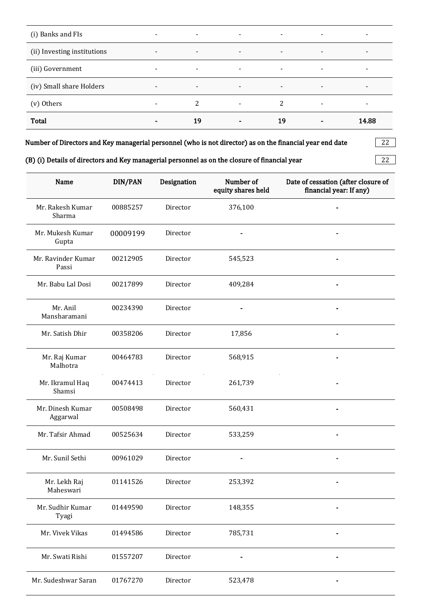| (i) Banks and FIs           | $\overline{\phantom{a}}$ | $\overline{\phantom{a}}$ | $\blacksquare$ | $\blacksquare$           | ۰ | $\overline{\phantom{a}}$ |
|-----------------------------|--------------------------|--------------------------|----------------|--------------------------|---|--------------------------|
| (ii) Investing institutions | $\overline{\phantom{a}}$ | $\overline{\phantom{a}}$ | $\blacksquare$ | $\blacksquare$           | - | $\overline{\phantom{a}}$ |
| (iii) Government            | $\overline{\phantom{a}}$ | $\overline{\phantom{a}}$ | $\sim$         | $\overline{\phantom{a}}$ |   | $\overline{\phantom{a}}$ |
| (iv) Small share Holders    | $\overline{\phantom{a}}$ | $\overline{\phantom{a}}$ | $\blacksquare$ | $\overline{\phantom{a}}$ | - | $\overline{\phantom{a}}$ |
| (v) Others                  | ۰                        | 2                        | ۰              | 2                        | ۰ | $\overline{\phantom{a}}$ |
| <b>Total</b>                | ۰                        | 19                       | $\blacksquare$ | 19                       | ۰ | 14.88                    |

Number of Directors and Key managerial personnel (who is not director) as on the financial year end date  $\qquad \qquad | \quad 22 \quad |$ 

|  | (B) (i) Details of directors and Key managerial personnel as on the closure of financial year | -22 |  |
|--|-----------------------------------------------------------------------------------------------|-----|--|
|--|-----------------------------------------------------------------------------------------------|-----|--|

| Name                         | DIN/PAN  | Designation | Number of<br>equity shares held | Date of cessation (after closure of<br>financial year: If any) |
|------------------------------|----------|-------------|---------------------------------|----------------------------------------------------------------|
| Mr. Rakesh Kumar<br>Sharma   | 00885257 | Director    | 376,100                         |                                                                |
| Mr. Mukesh Kumar<br>Gupta    | 00009199 | Director    |                                 |                                                                |
| Mr. Ravinder Kumar<br>Passi  | 00212905 | Director    | 545,523                         |                                                                |
| Mr. Babu Lal Dosi            | 00217899 | Director    | 409,284                         |                                                                |
| Mr. Anil<br>Mansharamani     | 00234390 | Director    |                                 |                                                                |
| Mr. Satish Dhir              | 00358206 | Director    | 17,856                          |                                                                |
| Mr. Raj Kumar<br>Malhotra    | 00464783 | Director    | 568,915                         |                                                                |
| Mr. Ikramul Haq<br>Shamsi    | 00474413 | Director    | 261,739                         |                                                                |
| Mr. Dinesh Kumar<br>Aggarwal | 00508498 | Director    | 560,431                         |                                                                |
| Mr. Tafsir Ahmad             | 00525634 | Director    | 533,259                         |                                                                |
| Mr. Sunil Sethi              | 00961029 | Director    |                                 |                                                                |
| Mr. Lekh Raj<br>Maheswari    | 01141526 | Director    | 253,392                         |                                                                |
| Mr. Sudhir Kumar<br>Tyagi    | 01449590 | Director    | 148,355                         |                                                                |
| Mr. Vivek Vikas              | 01494586 | Director    | 785,731                         |                                                                |
| Mr. Swati Rishi              | 01557207 | Director    |                                 |                                                                |
| Mr. Sudeshwar Saran          | 01767270 | Director    | 523,478                         |                                                                |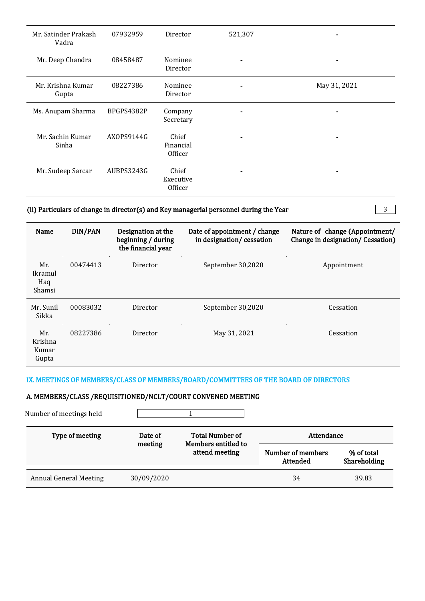| Mr. Satinder Prakash<br>Vadra | 07932959   | Director                      | 521,307 |              |
|-------------------------------|------------|-------------------------------|---------|--------------|
| Mr. Deep Chandra              | 08458487   | Nominee<br>Director           |         |              |
| Mr. Krishna Kumar<br>Gupta    | 08227386   | Nominee<br>Director           |         | May 31, 2021 |
| Ms. Anupam Sharma             | BPGPS4382P | Company<br>Secretary          |         |              |
| Mr. Sachin Kumar<br>Sinha     | AXOPS9144G | Chief<br>Financial<br>Officer |         |              |
| Mr. Sudeep Sarcar             | AUBPS3243G | Chief<br>Executive<br>Officer |         |              |

# (ii) Particulars of change in director(s) and Key managerial personnel during the Year  $\sqrt{3}$

 $\overline{\phantom{a}}$ 

| Name                             | DIN/PAN  | Designation at the<br>beginning / during<br>the financial year | Date of appointment / change<br>in designation/cessation | Nature of change (Appointment/<br>Change in designation/ Cessation) |
|----------------------------------|----------|----------------------------------------------------------------|----------------------------------------------------------|---------------------------------------------------------------------|
| Mr.<br>Ikramul<br>Haq<br>Shamsi  | 00474413 | Director                                                       | September 30,2020                                        | Appointment                                                         |
| Mr. Sunil<br>Sikka               | 00083032 | Director                                                       | September 30,2020                                        | Cessation                                                           |
| Mr.<br>Krishna<br>Kumar<br>Gupta | 08227386 | Director                                                       | May 31, 2021                                             | Cessation                                                           |

### IX. MEETINGS OF MEMBERS/CLASS OF MEMBERS/BOARD/COMMITTEES OF THE BOARD OF DIRECTORS

# A. MEMBERS/CLASS /REQUISITIONED/NCLT/COURT CONVENED MEETING

| Number of meetings held       |                    |                                               |                               |                            |
|-------------------------------|--------------------|-----------------------------------------------|-------------------------------|----------------------------|
| Type of meeting               | Date of<br>meeting | <b>Total Number of</b><br>Members entitled to | Attendance                    |                            |
|                               |                    | attend meeting                                | Number of members<br>Attended | % of total<br>Shareholding |
| <b>Annual General Meeting</b> | 30/09/2020         |                                               | 34                            | 39.83                      |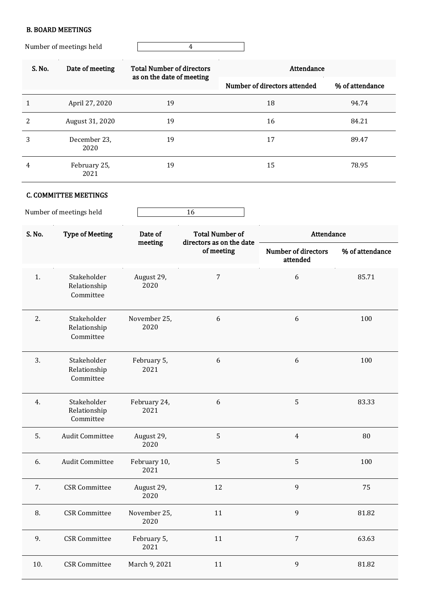# B. BOARD MEETINGS

Number of meetings held 4

| S. No. | Date of meeting      | <b>Total Number of directors</b><br>as on the date of meeting | Attendance                   |                 |  |  |
|--------|----------------------|---------------------------------------------------------------|------------------------------|-----------------|--|--|
|        |                      |                                                               | Number of directors attended | % of attendance |  |  |
|        | April 27, 2020       | 19                                                            | 18                           | 94.74           |  |  |
| 2      | August 31, 2020      | 19                                                            | 16                           | 84.21           |  |  |
| 3      | December 23,<br>2020 | 19                                                            | 17                           | 89.47           |  |  |
| 4      | February 25,<br>2021 | 19                                                            | 15                           | 78.95           |  |  |

# C. COMMITTEE MEETINGS

Number of meetings held 16

| S. No. | <b>Type of Meeting</b>                   | Date of              | <b>Total Number of</b><br>directors as on the date | Attendance                             |                 |  |
|--------|------------------------------------------|----------------------|----------------------------------------------------|----------------------------------------|-----------------|--|
|        |                                          | meeting              | of meeting                                         | <b>Number of directors</b><br>attended | % of attendance |  |
| 1.     | Stakeholder<br>Relationship<br>Committee | August 29,<br>2020   | $\overline{7}$                                     | 6                                      | 85.71           |  |
| 2.     | Stakeholder<br>Relationship<br>Committee | November 25,<br>2020 | 6                                                  | 6                                      | 100             |  |
| 3.     | Stakeholder<br>Relationship<br>Committee | February 5,<br>2021  | 6                                                  | 6                                      | 100             |  |
| 4.     | Stakeholder<br>Relationship<br>Committee | February 24,<br>2021 | 6                                                  | 5                                      | 83.33           |  |
| 5.     | <b>Audit Committee</b>                   | August 29,<br>2020   | $\sqrt{5}$                                         | $\overline{4}$                         | 80              |  |
| 6.     | <b>Audit Committee</b>                   | February 10,<br>2021 | 5                                                  | 5                                      | 100             |  |
| 7.     | <b>CSR</b> Committee                     | August 29,<br>2020   | 12                                                 | 9                                      | 75              |  |
| 8.     | <b>CSR</b> Committee                     | November 25,<br>2020 | 11                                                 | $\boldsymbol{9}$                       | 81.82           |  |
| 9.     | <b>CSR</b> Committee                     | February 5,<br>2021  | 11                                                 | $\overline{7}$                         | 63.63           |  |
| 10.    | <b>CSR</b> Committee                     | March 9, 2021        | 11                                                 | 9                                      | 81.82           |  |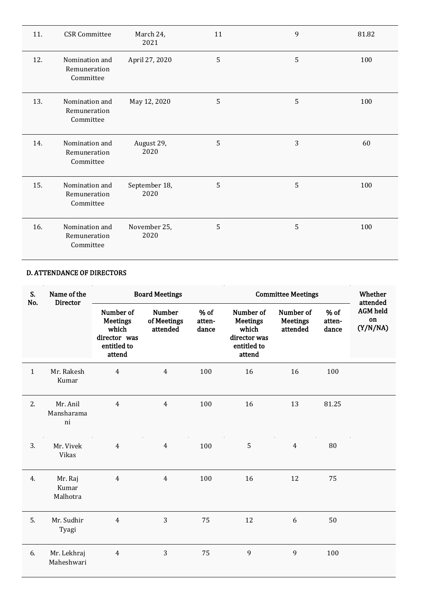| 11. | <b>CSR</b> Committee                        | March 24,<br>2021     | 11 | 9 | 81.82 |
|-----|---------------------------------------------|-----------------------|----|---|-------|
| 12. | Nomination and<br>Remuneration<br>Committee | April 27, 2020        | 5  | 5 | 100   |
| 13. | Nomination and<br>Remuneration<br>Committee | May 12, 2020          | 5  | 5 | 100   |
| 14. | Nomination and<br>Remuneration<br>Committee | August 29,<br>2020    | 5  | 3 | 60    |
| 15. | Nomination and<br>Remuneration<br>Committee | September 18,<br>2020 | 5  | 5 | 100   |
| 16. | Nomination and<br>Remuneration<br>Committee | November 25,<br>2020  | 5  | 5 | 100   |

# D. ATTENDANCE OF DIRECTORS

| S.<br>No.    | Name of the<br><b>Director</b> |                                                                                | <b>Board Meetings</b>                    |                           |                                                                                | <b>Committee Meetings</b>                |                           |                                               |  |
|--------------|--------------------------------|--------------------------------------------------------------------------------|------------------------------------------|---------------------------|--------------------------------------------------------------------------------|------------------------------------------|---------------------------|-----------------------------------------------|--|
|              |                                | Number of<br><b>Meetings</b><br>which<br>director was<br>entitled to<br>attend | <b>Number</b><br>of Meetings<br>attended | $%$ of<br>atten-<br>dance | Number of<br><b>Meetings</b><br>which<br>director was<br>entitled to<br>attend | Number of<br><b>Meetings</b><br>attended | $%$ of<br>atten-<br>dance | attended<br><b>AGM</b> held<br>on<br>(Y/N/NA) |  |
| $\mathbf{1}$ | Mr. Rakesh<br>Kumar            | $\overline{4}$                                                                 | $\overline{4}$                           | 100                       | 16                                                                             | 16                                       | 100                       |                                               |  |
| 2.           | Mr. Anil<br>Mansharama<br>ni   | $\overline{4}$                                                                 | $\overline{4}$                           | 100                       | 16                                                                             | 13                                       | 81.25                     |                                               |  |
| 3.           | Mr. Vivek<br>Vikas             | $\overline{4}$                                                                 | $\overline{4}$                           | 100                       | 5                                                                              | $\overline{4}$                           | 80                        |                                               |  |
| 4.           | Mr. Raj<br>Kumar<br>Malhotra   | $\overline{4}$                                                                 | $\overline{4}$                           | 100                       | 16                                                                             | 12                                       | 75                        |                                               |  |
| 5.           | Mr. Sudhir<br>Tyagi            | $\overline{4}$                                                                 | 3                                        | 75                        | 12                                                                             | $\boldsymbol{6}$                         | 50                        |                                               |  |
| 6.           | Mr. Lekhraj<br>Maheshwari      | $\overline{4}$                                                                 | 3                                        | 75                        | 9                                                                              | 9                                        | 100                       |                                               |  |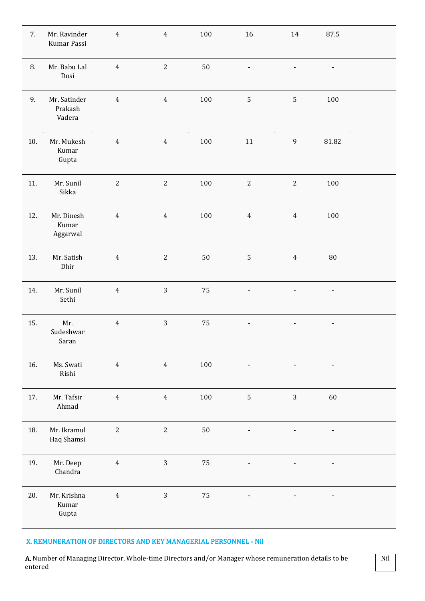| 7.  | Mr. Ravinder<br>Kumar Passi       | $\overline{4}$ | $\overline{4}$ | 100     | 16                           | 14                       | 87.5                         |  |
|-----|-----------------------------------|----------------|----------------|---------|------------------------------|--------------------------|------------------------------|--|
| 8.  | Mr. Babu Lal<br>Dosi              | $\overline{4}$ | $\mathbf{2}$   | $50\,$  |                              |                          | $\qquad \qquad \blacksquare$ |  |
| 9.  | Mr. Satinder<br>Prakash<br>Vadera | $\overline{4}$ | $\overline{4}$ | 100     | 5                            | 5                        | 100                          |  |
| 10. | Mr. Mukesh<br>Kumar<br>Gupta      | $\overline{4}$ | $\overline{4}$ | 100     | $11\,$                       | $\boldsymbol{9}$         | 81.82                        |  |
| 11. | Mr. Sunil<br>Sikka                | $\sqrt{2}$     | $\sqrt{2}$     | 100     | $\mathbf{2}$                 | $\sqrt{2}$               | 100                          |  |
| 12. | Mr. Dinesh<br>Kumar<br>Aggarwal   | $\overline{4}$ | $\overline{4}$ | 100     | $\overline{4}$               | $\overline{4}$           | 100                          |  |
| 13. | Mr. Satish<br>Dhir                | $\overline{4}$ | $\sqrt{2}$     | $50\,$  | $\sqrt{5}$                   | $\overline{4}$           | $80\,$                       |  |
| 14. | Mr. Sunil<br>Sethi                | $\overline{4}$ | $\mathbf{3}$   | 75      | $\overline{\phantom{0}}$     | $\overline{\phantom{0}}$ | $\overline{\phantom{a}}$     |  |
| 15. | Mr.<br>Sudeshwar<br>Saran         | $\overline{4}$ | $\mathbf{3}$   | 75      | $\qquad \qquad \blacksquare$ |                          | $\qquad \qquad \blacksquare$ |  |
| 16. | Ms. Swati<br>Rishi                | $\overline{4}$ | $\overline{4}$ | 100     |                              |                          | $\qquad \qquad \blacksquare$ |  |
| 17. | Mr. Tafsir<br>Ahmad               | $\overline{4}$ | $\overline{4}$ | $100\,$ | 5                            | $\mathbf{3}$             | 60                           |  |
| 18. | Mr. Ikramul<br>Haq Shamsi         | $\overline{c}$ | $\overline{c}$ | $50\,$  |                              |                          |                              |  |
| 19. | Mr. Deep<br>Chandra               | $\overline{4}$ | $\mathbf{3}$   | 75      |                              |                          |                              |  |
| 20. | Mr. Krishna<br>Kumar<br>Gupta     | $\overline{4}$ | $\mathbf{3}$   | 75      | $\blacksquare$               | $\overline{\phantom{a}}$ | $\overline{\phantom{a}}$     |  |

### X. REMUNERATION OF DIRECTORS AND KEY MANAGERIAL PERSONNEL - Nil

A. Number of Managing Director, Whole-time Directors and/or Manager whose remuneration details to be entered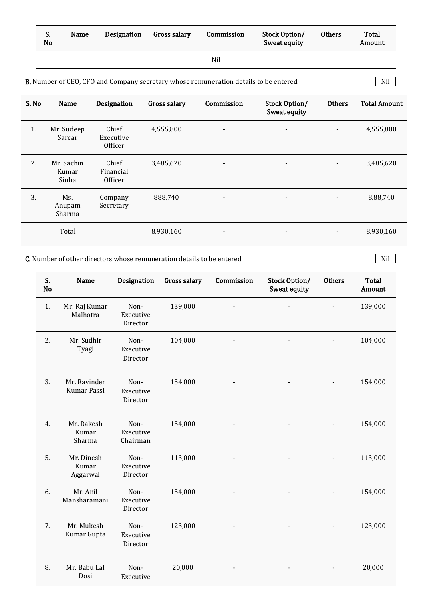| S.<br>No | Name | Designation | Gross salary | Commission | Stock Option/<br>Sweat equity | <b>Others</b> | Total<br>Amount |
|----------|------|-------------|--------------|------------|-------------------------------|---------------|-----------------|
|          |      |             |              | Nil        |                               |               |                 |

Nil

#### **B.** Number of CEO, CFO and Company secretary whose remuneration details to be entered Nil | Nil |

| S. No | Name                         | Designation                   | Gross salary | Commission               | Stock Option/<br>Sweat equity | Others         | <b>Total Amount</b> |
|-------|------------------------------|-------------------------------|--------------|--------------------------|-------------------------------|----------------|---------------------|
| 1.    | Mr. Sudeep<br>Sarcar         | Chief<br>Executive<br>Officer | 4,555,800    | $\overline{\phantom{a}}$ | $\overline{\phantom{a}}$      | $\blacksquare$ | 4,555,800           |
| 2.    | Mr. Sachin<br>Kumar<br>Sinha | Chief<br>Financial<br>Officer | 3,485,620    | $\blacksquare$           | $\overline{\phantom{a}}$      | $\blacksquare$ | 3,485,620           |
| 3.    | Ms.<br>Anupam<br>Sharma      | Company<br>Secretary          | 888,740      | $\overline{\phantom{a}}$ | $\overline{\phantom{a}}$      | $\blacksquare$ | 8,88,740            |
|       | Total                        |                               | 8,930,160    | $\blacksquare$           | $\overline{\phantom{a}}$      | $\blacksquare$ | 8,930,160           |

**C.** Number of other directors whose remuneration details to be entered Nil

| S.<br><b>No</b> | <b>Name</b>                     | Designation                   | Gross salary | Commission | Stock Option/<br>Sweat equity | <b>Others</b> | <b>Total</b><br>Amount |
|-----------------|---------------------------------|-------------------------------|--------------|------------|-------------------------------|---------------|------------------------|
| 1.              | Mr. Raj Kumar<br>Malhotra       | Non-<br>Executive<br>Director | 139,000      |            |                               |               | 139,000                |
| 2.              | Mr. Sudhir<br>Tyagi             | Non-<br>Executive<br>Director | 104,000      |            |                               |               | 104,000                |
| 3.              | Mr. Ravinder<br>Kumar Passi     | Non-<br>Executive<br>Director | 154,000      |            |                               |               | 154,000                |
| 4.              | Mr. Rakesh<br>Kumar<br>Sharma   | Non-<br>Executive<br>Chairman | 154,000      |            |                               |               | 154,000                |
| 5.              | Mr. Dinesh<br>Kumar<br>Aggarwal | Non-<br>Executive<br>Director | 113,000      |            |                               |               | 113,000                |
| 6.              | Mr. Anil<br>Mansharamani        | Non-<br>Executive<br>Director | 154,000      |            |                               |               | 154,000                |
| 7.              | Mr. Mukesh<br>Kumar Gupta       | Non-<br>Executive<br>Director | 123,000      |            |                               |               | 123,000                |
| 8.              | Mr. Babu Lal<br>Dosi            | Non-<br>Executive             | 20,000       |            |                               |               | 20,000                 |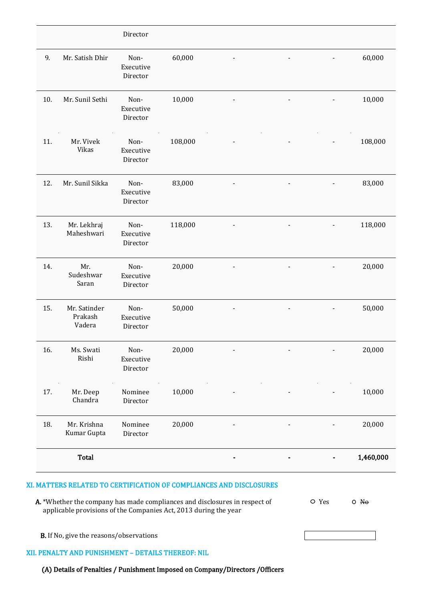|     |                                   | Director                      |         |  |           |
|-----|-----------------------------------|-------------------------------|---------|--|-----------|
| 9.  | Mr. Satish Dhir                   | Non-<br>Executive<br>Director | 60,000  |  | 60,000    |
| 10. | Mr. Sunil Sethi                   | Non-<br>Executive<br>Director | 10,000  |  | 10,000    |
| 11. | Mr. Vivek<br>Vikas                | Non-<br>Executive<br>Director | 108,000 |  | 108,000   |
| 12. | Mr. Sunil Sikka                   | Non-<br>Executive<br>Director | 83,000  |  | 83,000    |
| 13. | Mr. Lekhraj<br>Maheshwari         | Non-<br>Executive<br>Director | 118,000 |  | 118,000   |
| 14. | Mr.<br>Sudeshwar<br>Saran         | Non-<br>Executive<br>Director | 20,000  |  | 20,000    |
| 15. | Mr. Satinder<br>Prakash<br>Vadera | Non-<br>Executive<br>Director | 50,000  |  | 50,000    |
| 16. | Ms. Swati<br>Rishi                | Non-<br>Executive<br>Director | 20,000  |  | 20,000    |
| 17. | Mr. Deep<br>Chandra               | Nominee<br>Director           | 10,000  |  | 10,000    |
| 18. | Mr. Krishna<br>Kumar Gupta        | Nominee<br>Director           | 20,000  |  | 20,000    |
|     | <b>Total</b>                      |                               |         |  | 1,460,000 |

# XI. MATTERS RELATED TO CERTIFICATION OF COMPLIANCES AND DISCLOSURES

| A. *Whether the company has made compliances and disclosures in respect of | O Yes | $O$ No |
|----------------------------------------------------------------------------|-------|--------|
| applicable provisions of the Companies Act, 2013 during the year           |       |        |

B. If No, give the reasons/observations

### XII. PENALTY AND PUNISHMENT – DETAILS THEREOF: NIL

(A) Details of Penalties / Punishment Imposed on Company/Directors /Officers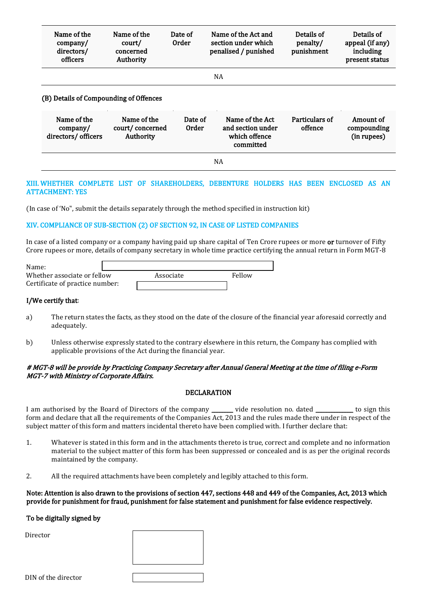| Name of the<br>company/<br>directors/<br>officers | Name of the<br>court/<br>concerned<br>Authority | Date of<br><b>Order</b> | Name of the Act and<br>section under which<br>penalised / punished | Details of<br>penalty/<br>punishment | Details of<br>appeal (if any)<br>including<br>present status |
|---------------------------------------------------|-------------------------------------------------|-------------------------|--------------------------------------------------------------------|--------------------------------------|--------------------------------------------------------------|
|---------------------------------------------------|-------------------------------------------------|-------------------------|--------------------------------------------------------------------|--------------------------------------|--------------------------------------------------------------|

NA

#### (B) Details of Compounding of Offences

| Name of the<br>company/<br>directors/ officers | Name of the<br>court/concerned<br>Authority | Date of<br>Order | Name of the Act<br>and section under<br>which offence<br>committed | Particulars of<br>offence | Amount of<br>compounding<br>(in rupees) |  |
|------------------------------------------------|---------------------------------------------|------------------|--------------------------------------------------------------------|---------------------------|-----------------------------------------|--|
| NA                                             |                                             |                  |                                                                    |                           |                                         |  |

### XIII. WHETHER COMPLETE LIST OF SHAREHOLDERS, DEBENTURE HOLDERS HAS BEEN ENCLOSED AS AN ATTACHMENT: YES

(In case of 'No", submit the details separately through the method specified in instruction kit)

### XIV. COMPLIANCE OF SUB-SECTION (2) OF SECTION 92, IN CASE OF LISTED COMPANIES

In case of a listed company or a company having paid up share capital of Ten Crore rupees or more or turnover of Fifty Crore rupees or more, details of company secretary in whole time practice certifying the annual return in Form MGT-8

| Name:                           |           |        |
|---------------------------------|-----------|--------|
| Whether associate or fellow     | Associate | Fellow |
| Certificate of practice number: |           |        |

#### I/We certify that:

- a) The return states the facts, as they stood on the date of the closure of the financial year aforesaid correctly and adequately.
- b) Unless otherwise expressly stated to the contrary elsewhere in this return, the Company has complied with applicable provisions of the Act during the financial year.

### # MGT-8 will be provide by Practicing Company Secretary after Annual General Meeting at the time of filing e-Form MGT-7 with Ministry of Corporate Affairs.

#### DECLARATION

I am authorised by the Board of Directors of the company \_\_\_\_\_\_\_ vide resolution no. dated \_\_\_\_\_\_\_\_\_\_\_\_ to sign this form and declare that all the requirements of the Companies Act, 2013 and the rules made there under in respect of the subject matter of this form and matters incidental thereto have been complied with. I further declare that:

- 1. Whatever is stated in this form and in the attachments thereto is true, correct and complete and no information material to the subject matter of this form has been suppressed or concealed and is as per the original records maintained by the company.
- 2. All the required attachments have been completely and legibly attached to this form.

#### Note: Attention is also drawn to the provisions of section 447, sections 448 and 449 of the Companies, Act, 2013 which provide for punishment for fraud, punishment for false statement and punishment for false evidence respectively.

#### To be digitally signed by

Director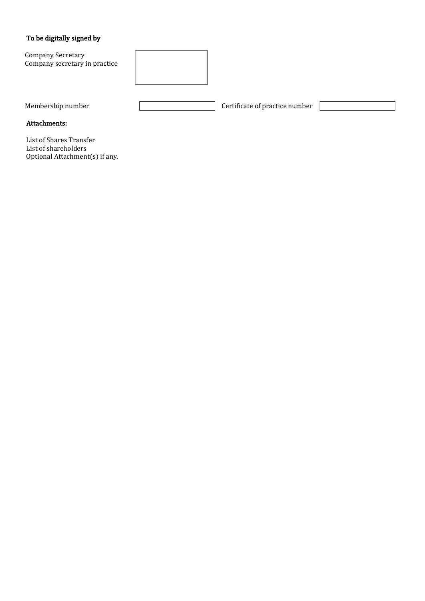### To be digitally signed by

Company Secretary Company secretary in practice



Membership number **Certificate of practice number** Certificate of practice number

Attachments:

List of Shares Transfer List of shareholders Optional Attachment(s) if any.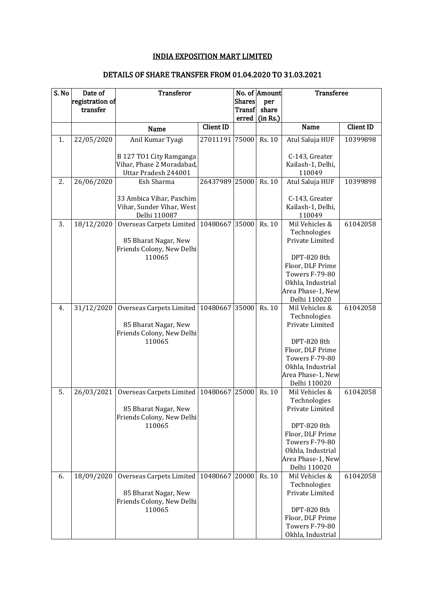# INDIA EXPOSITION MART LIMITED

# DETAILS OF SHARE TRANSFER FROM 01.04.2020 TO 31.03.2021

| S. No | Date of         | <b>Transferor</b>                                 |                  |               | No. of Amount | <b>Transferee</b>                      |                  |
|-------|-----------------|---------------------------------------------------|------------------|---------------|---------------|----------------------------------------|------------------|
|       | registration of |                                                   |                  | <b>Shares</b> | per           |                                        |                  |
|       | transfer        |                                                   |                  | <b>Transf</b> | share         |                                        |                  |
|       |                 | Name                                              | <b>Client ID</b> | erred         | (in Rs.)      | <b>Name</b>                            | <b>Client ID</b> |
| 1.    | 22/05/2020      | Anil Kumar Tyagi                                  | 27011191         | 75000         | Rs. 10        | Atul Saluja HUF                        | 10399898         |
|       |                 |                                                   |                  |               |               |                                        |                  |
|       |                 | B 127 TO1 City Ramganga                           |                  |               |               | C-143, Greater                         |                  |
|       |                 | Vihar, Phase 2 Moradabad,                         |                  |               |               | Kailash-1, Delhi,                      |                  |
|       |                 | Uttar Pradesh 244001                              |                  |               |               | 110049                                 |                  |
| 2.    | 26/06/2020      | Esh Sharma                                        | 26437989 25000   |               | Rs. 10        | Atul Saluja HUF                        | 10399898         |
|       |                 | 33 Ambica Vihar, Paschim                          |                  |               |               | C-143, Greater                         |                  |
|       |                 | Vihar, Sunder Vihar, West                         |                  |               |               | Kailash-1, Delhi,                      |                  |
|       |                 | Delhi 110087                                      |                  |               |               | 110049                                 |                  |
| 3.    | 18/12/2020      | Overseas Carpets Limited   10480667               |                  | 35000         | Rs. 10        | Mil Vehicles &                         | 61042058         |
|       |                 |                                                   |                  |               |               | Technologies                           |                  |
|       |                 | 85 Bharat Nagar, New<br>Friends Colony, New Delhi |                  |               |               | Private Limited                        |                  |
|       |                 | 110065                                            |                  |               |               | DPT-820 8th                            |                  |
|       |                 |                                                   |                  |               |               | Floor, DLF Prime                       |                  |
|       |                 |                                                   |                  |               |               | <b>Towers F-79-80</b>                  |                  |
|       |                 |                                                   |                  |               |               | Okhla, Industrial                      |                  |
|       |                 |                                                   |                  |               |               | Area Phase-1, New                      |                  |
|       |                 |                                                   |                  |               |               | Delhi 110020                           |                  |
| 4.    | 31/12/2020      | Overseas Carpets Limited                          | 10480667 35000   |               | Rs. 10        | Mil Vehicles &<br>Technologies         | 61042058         |
|       |                 | 85 Bharat Nagar, New                              |                  |               |               | Private Limited                        |                  |
|       |                 | Friends Colony, New Delhi                         |                  |               |               |                                        |                  |
|       |                 | 110065                                            |                  |               |               | DPT-820 8th                            |                  |
|       |                 |                                                   |                  |               |               | Floor, DLF Prime                       |                  |
|       |                 |                                                   |                  |               |               | <b>Towers F-79-80</b>                  |                  |
|       |                 |                                                   |                  |               |               | Okhla, Industrial<br>Area Phase-1, New |                  |
|       |                 |                                                   |                  |               |               | Delhi 110020                           |                  |
| 5.    | 26/03/2021      | Overseas Carpets Limited                          | 10480667         | 25000         | Rs. 10        | Mil Vehicles &                         | 61042058         |
|       |                 |                                                   |                  |               |               | Technologies                           |                  |
|       |                 | 85 Bharat Nagar, New                              |                  |               |               | Private Limited                        |                  |
|       |                 | Friends Colony, New Delhi                         |                  |               |               |                                        |                  |
|       |                 | 110065                                            |                  |               |               | DPT-820 8th                            |                  |
|       |                 |                                                   |                  |               |               | Floor, DLF Prime<br>Towers F-79-80     |                  |
|       |                 |                                                   |                  |               |               | Okhla, Industrial                      |                  |
|       |                 |                                                   |                  |               |               | Area Phase-1, New                      |                  |
|       |                 |                                                   |                  |               |               | Delhi 110020                           |                  |
| 6.    | 18/09/2020      | Overseas Carpets Limited   10480667   20000       |                  |               | <b>Rs. 10</b> | Mil Vehicles &                         | 61042058         |
|       |                 |                                                   |                  |               |               | Technologies                           |                  |
|       |                 | 85 Bharat Nagar, New<br>Friends Colony, New Delhi |                  |               |               | Private Limited                        |                  |
|       |                 | 110065                                            |                  |               |               | DPT-820 8th                            |                  |
|       |                 |                                                   |                  |               |               | Floor, DLF Prime                       |                  |
|       |                 |                                                   |                  |               |               | Towers F-79-80                         |                  |
|       |                 |                                                   |                  |               |               | Okhla, Industrial                      |                  |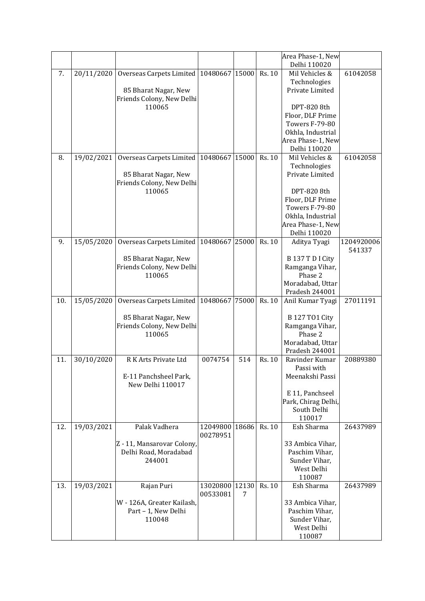|     |            |                                             |                            |       |        | Area Phase-1, New     |                      |
|-----|------------|---------------------------------------------|----------------------------|-------|--------|-----------------------|----------------------|
|     |            |                                             |                            |       |        | Delhi 110020          |                      |
| 7.  | 20/11/2020 | Overseas Carpets Limited   10480667   15000 |                            |       | Rs. 10 | Mil Vehicles &        | 61042058             |
|     |            |                                             |                            |       |        | Technologies          |                      |
|     |            | 85 Bharat Nagar, New                        |                            |       |        | Private Limited       |                      |
|     |            | Friends Colony, New Delhi                   |                            |       |        |                       |                      |
|     |            | 110065                                      |                            |       |        | DPT-820 8th           |                      |
|     |            |                                             |                            |       |        | Floor, DLF Prime      |                      |
|     |            |                                             |                            |       |        | Towers F-79-80        |                      |
|     |            |                                             |                            |       |        | Okhla, Industrial     |                      |
|     |            |                                             |                            |       |        | Area Phase-1, New     |                      |
|     |            |                                             |                            |       |        | Delhi 110020          |                      |
| 8.  | 19/02/2021 | Overseas Carpets Limited   10480667   15000 |                            |       | Rs. 10 | Mil Vehicles &        | 61042058             |
|     |            |                                             |                            |       |        | Technologies          |                      |
|     |            | 85 Bharat Nagar, New                        |                            |       |        | Private Limited       |                      |
|     |            | Friends Colony, New Delhi                   |                            |       |        |                       |                      |
|     |            | 110065                                      |                            |       |        | DPT-820 8th           |                      |
|     |            |                                             |                            |       |        | Floor, DLF Prime      |                      |
|     |            |                                             |                            |       |        | <b>Towers F-79-80</b> |                      |
|     |            |                                             |                            |       |        | Okhla, Industrial     |                      |
|     |            |                                             |                            |       |        | Area Phase-1, New     |                      |
|     |            |                                             |                            |       |        | Delhi 110020          |                      |
| 9.  | 15/05/2020 | Overseas Carpets Limited   10480667   25000 |                            |       | Rs. 10 | Aditya Tyagi          | 1204920006<br>541337 |
|     |            | 85 Bharat Nagar, New                        |                            |       |        | B 137 T D I City      |                      |
|     |            | Friends Colony, New Delhi                   |                            |       |        | Ramganga Vihar,       |                      |
|     |            | 110065                                      |                            |       |        | Phase 2               |                      |
|     |            |                                             |                            |       |        | Moradabad, Uttar      |                      |
|     |            |                                             |                            |       |        | Pradesh 244001        |                      |
| 10. | 15/05/2020 | Overseas Carpets Limited 10480667           |                            | 75000 | Rs. 10 | Anil Kumar Tyagi      | 27011191             |
|     |            |                                             |                            |       |        |                       |                      |
|     |            | 85 Bharat Nagar, New                        |                            |       |        | <b>B127 TO1 City</b>  |                      |
|     |            | Friends Colony, New Delhi                   |                            |       |        | Ramganga Vihar,       |                      |
|     |            | 110065                                      |                            |       |        | Phase 2               |                      |
|     |            |                                             |                            |       |        | Moradabad, Uttar      |                      |
|     |            |                                             |                            |       |        | Pradesh 244001        |                      |
| 11. | 30/10/2020 | R K Arts Private Ltd                        | 0074754                    | 514   | Rs. 10 | Ravinder Kumar        | 20889380             |
|     |            |                                             |                            |       |        | Passi with            |                      |
|     |            | E-11 Panchsheel Park,                       |                            |       |        | Meenakshi Passi       |                      |
|     |            | New Delhi 110017                            |                            |       |        |                       |                      |
|     |            |                                             |                            |       |        | E 11, Panchseel       |                      |
|     |            |                                             |                            |       |        | Park, Chirag Delhi,   |                      |
|     |            |                                             |                            |       |        | South Delhi           |                      |
|     |            |                                             |                            |       |        | 110017                |                      |
| 12. | 19/03/2021 | Palak Vadhera                               | 12049800<br>00278951       | 18686 | Rs. 10 | Esh Sharma            | 26437989             |
|     |            | Z - 11, Mansarovar Colony,                  |                            |       |        | 33 Ambica Vihar,      |                      |
|     |            | Delhi Road, Moradabad                       |                            |       |        | Paschim Vihar,        |                      |
|     |            | 244001                                      |                            |       |        | Sunder Vihar,         |                      |
|     |            |                                             |                            |       |        | West Delhi            |                      |
|     |            |                                             |                            |       |        | 110087                |                      |
| 13. | 19/03/2021 | Rajan Puri                                  | 13020800 12130<br>00533081 | 7     | Rs. 10 | Esh Sharma            | 26437989             |
|     |            | W - 126A, Greater Kailash,                  |                            |       |        | 33 Ambica Vihar,      |                      |
|     |            | Part - 1, New Delhi                         |                            |       |        | Paschim Vihar,        |                      |
|     |            | 110048                                      |                            |       |        | Sunder Vihar,         |                      |
|     |            |                                             |                            |       |        | West Delhi            |                      |
|     |            |                                             |                            |       |        | 110087                |                      |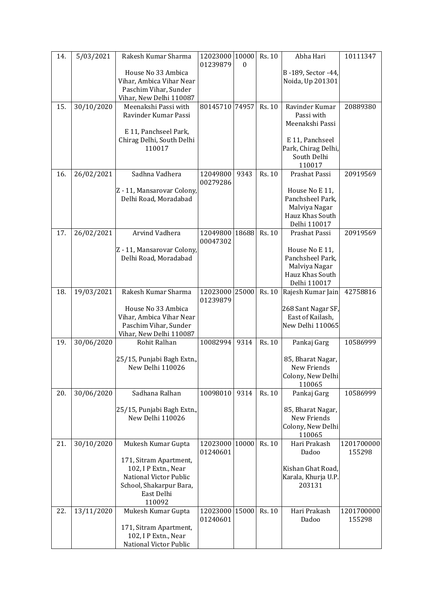| 14. | 5/03/2021  | Rakesh Kumar Sharma                                 | 12023000 10000<br>01239879 | $\Omega$ | Rs. 10 | Abha Hari                            | 10111347             |
|-----|------------|-----------------------------------------------------|----------------------------|----------|--------|--------------------------------------|----------------------|
|     |            | House No 33 Ambica                                  |                            |          |        | B-189, Sector -44,                   |                      |
|     |            | Vihar, Ambica Vihar Near<br>Paschim Vihar, Sunder   |                            |          |        | Noida, Up 201301                     |                      |
|     |            | Vihar, New Delhi 110087                             |                            |          |        |                                      |                      |
| 15. | 30/10/2020 | Meenakshi Passi with                                | 80145710 74957             |          | Rs. 10 | Ravinder Kumar                       | 20889380             |
|     |            | Ravinder Kumar Passi                                |                            |          |        | Passi with                           |                      |
|     |            | E 11, Panchseel Park,                               |                            |          |        | Meenakshi Passi                      |                      |
|     |            | Chirag Delhi, South Delhi                           |                            |          |        | E 11, Panchseel                      |                      |
|     |            | 110017                                              |                            |          |        | Park, Chirag Delhi,                  |                      |
|     |            |                                                     |                            |          |        | South Delhi<br>110017                |                      |
| 16. | 26/02/2021 | Sadhna Vadhera                                      | 12049800                   | 9343     | Rs. 10 | Prashat Passi                        | 20919569             |
|     |            |                                                     | 00279286                   |          |        |                                      |                      |
|     |            | Z - 11, Mansarovar Colony,<br>Delhi Road, Moradabad |                            |          |        | House No E 11,<br>Panchsheel Park,   |                      |
|     |            |                                                     |                            |          |        | Malviya Nagar                        |                      |
|     |            |                                                     |                            |          |        | Hauz Khas South                      |                      |
| 17. | 26/02/2021 | Arvind Vadhera                                      | 12049800 18688             |          | Rs. 10 | Delhi 110017<br>Prashat Passi        | 20919569             |
|     |            |                                                     | 00047302                   |          |        |                                      |                      |
|     |            | Z - 11, Mansarovar Colony,                          |                            |          |        | House No E 11,                       |                      |
|     |            | Delhi Road, Moradabad                               |                            |          |        | Panchsheel Park,<br>Malviya Nagar    |                      |
|     |            |                                                     |                            |          |        | Hauz Khas South                      |                      |
|     |            |                                                     |                            |          |        | Delhi 110017                         |                      |
| 18. | 19/03/2021 | Rakesh Kumar Sharma                                 | 12023000<br>01239879       | 25000    | Rs. 10 | Rajesh Kumar Jain                    | 42758816             |
|     |            | House No 33 Ambica                                  |                            |          |        | 268 Sant Nagar SF,                   |                      |
|     |            | Vihar, Ambica Vihar Near<br>Paschim Vihar, Sunder   |                            |          |        | East of Kailash,<br>New Delhi 110065 |                      |
|     |            | Vihar, New Delhi 110087                             |                            |          |        |                                      |                      |
| 19. | 30/06/2020 | Rohit Ralhan                                        | 10082994                   | 9314     | Rs. 10 | Pankaj Garg                          | 10586999             |
|     |            | 25/15, Punjabi Bagh Extn.,                          |                            |          |        | 85, Bharat Nagar,                    |                      |
|     |            | New Delhi 110026                                    |                            |          |        | New Friends                          |                      |
|     |            |                                                     |                            |          |        | Colony, New Delhi<br>110065          |                      |
| 20. | 30/06/2020 | Sadhana Ralhan                                      | 10098010                   | 9314     | Rs. 10 | Pankaj Garg                          | 10586999             |
|     |            | 25/15, Punjabi Bagh Extn.,                          |                            |          |        | 85, Bharat Nagar,                    |                      |
|     |            | New Delhi 110026                                    |                            |          |        | New Friends                          |                      |
|     |            |                                                     |                            |          |        | Colony, New Delhi<br>110065          |                      |
| 21. | 30/10/2020 | Mukesh Kumar Gupta                                  | 12023000 10000             |          | Rs. 10 | Hari Prakash                         | 1201700000           |
|     |            | 171, Sitram Apartment,                              | 01240601                   |          |        | Dadoo                                | 155298               |
|     |            | 102, I P Extn., Near                                |                            |          |        | Kishan Ghat Road,                    |                      |
|     |            | National Victor Public                              |                            |          |        | Karala, Khurja U.P.<br>203131        |                      |
|     |            | School, Shakarpur Bara,<br>East Delhi               |                            |          |        |                                      |                      |
|     |            | 110092                                              |                            |          |        |                                      |                      |
| 22. | 13/11/2020 | Mukesh Kumar Gupta                                  | 12023000 15000<br>01240601 |          | Rs. 10 | Hari Prakash<br>Dadoo                | 1201700000<br>155298 |
|     |            | 171, Sitram Apartment,                              |                            |          |        |                                      |                      |
|     |            | 102, I P Extn., Near<br>National Victor Public      |                            |          |        |                                      |                      |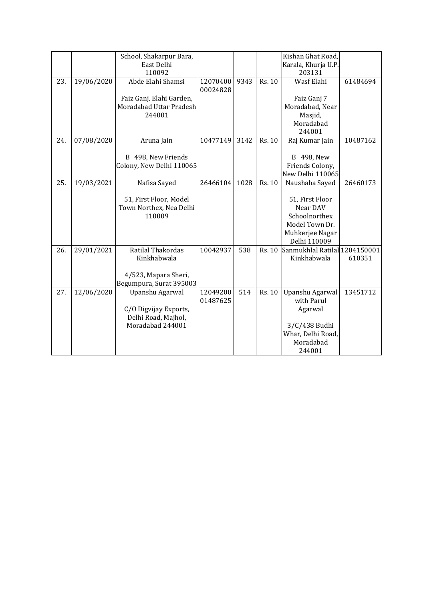|     |            | School, Shakarpur Bara,<br>East Delhi                                               |                      |      |        | Kishan Ghat Road,<br>Karala, Khurja U.P.                                                                            |          |
|-----|------------|-------------------------------------------------------------------------------------|----------------------|------|--------|---------------------------------------------------------------------------------------------------------------------|----------|
| 23. | 19/06/2020 | 110092<br>Abde Elahi Shamsi                                                         | 12070400<br>00024828 | 9343 | Rs. 10 | 203131<br>Wasf Elahi                                                                                                | 61484694 |
|     |            | Faiz Ganj, Elahi Garden,<br>Moradabad Uttar Pradesh<br>244001                       |                      |      |        | Faiz Ganj 7<br>Moradabad, Near<br>Masjid,<br>Moradabad<br>244001                                                    |          |
| 24. | 07/08/2020 | Aruna Jain<br>B 498, New Friends<br>Colony, New Delhi 110065                        | 10477149             | 3142 | Rs. 10 | Raj Kumar Jain<br>B 498, New<br>Friends Colony,<br>New Delhi 110065                                                 | 10487162 |
| 25. | 19/03/2021 | Nafisa Sayed<br>51, First Floor, Model<br>Town Northex, Nea Delhi<br>110009         | 26466104             | 1028 | Rs. 10 | Naushaba Sayed<br>51, First Floor<br>Near DAV<br>Schoolnorthex<br>Model Town Dr.<br>Muhkerjee Nagar<br>Delhi 110009 | 26460173 |
| 26. | 29/01/2021 | Ratilal Thakordas<br>Kinkhabwala<br>4/523, Mapara Sheri,<br>Begumpura, Surat 395003 | 10042937             | 538  | Rs. 10 | Sanmukhlal Ratilal 1204150001<br>Kinkhabwala                                                                        | 610351   |
| 27. | 12/06/2020 | Upanshu Agarwal<br>C/O Digvijay Exports,<br>Delhi Road, Majhol,<br>Moradabad 244001 | 12049200<br>01487625 | 514  | Rs. 10 | Upanshu Agarwal<br>with Parul<br>Agarwal<br>3/C/438 Budhi<br>Whar, Delhi Road,<br>Moradabad<br>244001               | 13451712 |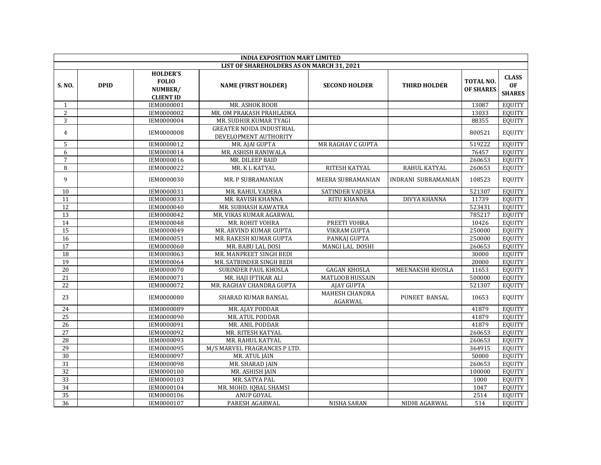|                 | <b>INDIA EXPOSITION MART LIMITED</b> |                                                                |                                                          |                                  |                      |                                      |                                            |  |  |
|-----------------|--------------------------------------|----------------------------------------------------------------|----------------------------------------------------------|----------------------------------|----------------------|--------------------------------------|--------------------------------------------|--|--|
|                 |                                      |                                                                | LIST OF SHAREHOLDERS AS ON MARCH 31, 2021                |                                  |                      |                                      |                                            |  |  |
| S. NO.          | <b>DPID</b>                          | <b>HOLDER'S</b><br><b>FOLIO</b><br>NUMBER/<br><b>CLIENT ID</b> | <b>NAME (FIRST HOLDER)</b>                               | <b>SECOND HOLDER</b>             | <b>THIRD HOLDER</b>  | <b>TOTAL NO.</b><br><b>OF SHARES</b> | <b>CLASS</b><br><b>OF</b><br><b>SHARES</b> |  |  |
| $\mathbf{1}$    |                                      | IEM0000001                                                     | MR. ASHOK BOOB                                           |                                  |                      | 13087                                | <b>EQUITY</b>                              |  |  |
| $\overline{2}$  |                                      | IEM0000002                                                     | MR. OM PRAKASH PRAHLADKA                                 |                                  |                      | 13033                                | <b>EQUITY</b>                              |  |  |
| 3               |                                      | IEM0000004                                                     | MR. SUDHIR KUMAR TYAGI                                   |                                  |                      | 88355                                | <b>EQUITY</b>                              |  |  |
| $\overline{4}$  |                                      | <b>IEM0000008</b>                                              | <b>GREATER NOIDA INDUSTRIAL</b><br>DEVELOPMENT AUTHORITY |                                  |                      | 800521                               | <b>EQUITY</b>                              |  |  |
| 5               |                                      | IEM0000012                                                     | MR. AJAI GUPTA                                           | MR RAGHAV C GUPTA                |                      | 519222                               | <b>EQUITY</b>                              |  |  |
| 6               |                                      | IEM0000014                                                     | MR. ASHISH RANIWALA                                      |                                  |                      | 76457                                | <b>EQUITY</b>                              |  |  |
| $\overline{7}$  |                                      | IEM0000016                                                     | MR. DILEEP BAID                                          |                                  |                      | 260653                               | <b>EQUITY</b>                              |  |  |
| 8               |                                      | IEM0000022                                                     | MR. K L KATYAL                                           | RITESH KATYAL                    | RAHUL KATYAL         | 260653                               | <b>EQUITY</b>                              |  |  |
| 9               |                                      | IEM0000030                                                     | MR. P SUBRAMANIAN                                        | MEERA SUBRAMANIAN                | INDRANI SUBRAMANIAN  | 108523                               | <b>EQUITY</b>                              |  |  |
| 10              |                                      | IEM0000031                                                     | MR. RAHUL VADERA                                         | SATINDER VADERA                  |                      | 521307                               | <b>EQUITY</b>                              |  |  |
| 11              |                                      | IEM0000033                                                     | MR. RAVISH KHANNA                                        | <b>RITU KHANNA</b>               | <b>DIVYA KHANNA</b>  | 11739                                | <b>EQUITY</b>                              |  |  |
| 12              |                                      | IEM0000040                                                     | MR. SUBHASH KAWATRA                                      |                                  |                      | 523431                               | <b>EQUITY</b>                              |  |  |
| 13              |                                      | IEM0000042                                                     | MR. VIKAS KUMAR AGARWAL                                  |                                  |                      | 785217                               | <b>EQUITY</b>                              |  |  |
| 14              |                                      | IEM0000048                                                     | MR. ROHIT VOHRA                                          | PREETI VOHRA                     |                      | 10426                                | <b>EQUITY</b>                              |  |  |
| $\overline{15}$ |                                      | IEM0000049                                                     | MR. ARVIND KUMAR GUPTA                                   | <b>VIKRAM GUPTA</b>              |                      | 250000                               | <b>EQUITY</b>                              |  |  |
| $\overline{16}$ |                                      | IEM0000051                                                     | MR. RAKESH KUMAR GUPTA                                   | PANKAJ GUPTA                     |                      | 250000                               | <b>EQUITY</b>                              |  |  |
| 17              |                                      | IEM0000060                                                     | MR. BABU LAL DOSI                                        | MANGI LAL DOSHI                  |                      | 260653                               | <b>EQUITY</b>                              |  |  |
| $\overline{18}$ |                                      | IEM0000063                                                     | MR. MANPREET SINGH BEDI                                  |                                  |                      | 30000                                | <b>EQUITY</b>                              |  |  |
| $\overline{19}$ |                                      | IEM0000064                                                     | MR. SATBINDER SINGH BEDI                                 |                                  |                      | 20000                                | <b>EQUITY</b>                              |  |  |
| 20              |                                      | IEM0000070                                                     | SURINDER PAUL KHOSLA                                     | <b>GAGAN KHOSLA</b>              | MEENAKSHI KHOSLA     | 11653                                | <b>EQUITY</b>                              |  |  |
| $\overline{21}$ |                                      | IEM0000071                                                     | MR. HAJI IFTIKAR ALI                                     | MATLOOB HUSSAIN                  |                      | 500000                               | <b>EQUITY</b>                              |  |  |
| 22              |                                      | IEM0000072                                                     | MR. RAGHAV CHANDRA GUPTA                                 | <b>AJAY GUPTA</b>                |                      | 521307                               | <b>EQUITY</b>                              |  |  |
| 23              |                                      | <b>IEM0000080</b>                                              | SHARAD KUMAR BANSAL                                      | <b>MAHESH CHANDRA</b><br>AGARWAL | <b>PUNEET BANSAL</b> | 10653                                | <b>EQUITY</b>                              |  |  |
| 24              |                                      | IEM0000089                                                     | MR. AJAY PODDAR                                          |                                  |                      | 41879                                | <b>EQUITY</b>                              |  |  |
| $\overline{25}$ |                                      | IEM0000090                                                     | MR. ATUL PODDAR                                          |                                  |                      | 41879                                | <b>EQUITY</b>                              |  |  |
| 26              |                                      | IEM0000091                                                     | MR. ANIL PODDAR                                          |                                  |                      | 41879                                | <b>EQUITY</b>                              |  |  |
| 27              |                                      | IEM0000092                                                     | MR. RITESH KATYAL                                        |                                  |                      | 260653                               | <b>EQUITY</b>                              |  |  |
| 28              |                                      | IEM0000093                                                     | MR. RAHUL KATYAL                                         |                                  |                      | 260653                               | <b>EQUITY</b>                              |  |  |
| 29              |                                      | IEM0000095                                                     | M/S MARVEL FRAGRANCES P LTD.                             |                                  |                      | 364915                               | <b>EQUITY</b>                              |  |  |
| 30              |                                      | IEM0000097                                                     | MR. ATUL JAIN                                            |                                  |                      | 50000                                | <b>EQUITY</b>                              |  |  |
| $\overline{31}$ |                                      | IEM0000098                                                     | MR. SHARAD JAIN                                          |                                  |                      | 260653                               | <b>EQUITY</b>                              |  |  |
| 32              |                                      | IEM0000100                                                     | MR. ASHISH JAIN                                          |                                  |                      | 100000                               | <b>EQUITY</b>                              |  |  |
| $\overline{33}$ |                                      | IEM0000103                                                     | MR. SATYA PAL                                            |                                  |                      | 1000                                 | <b>EQUITY</b>                              |  |  |
| $\overline{34}$ |                                      | IEM0000104                                                     | MR. MOHD. IQBAL SHAMSI                                   |                                  |                      | 1047                                 | <b>EQUITY</b>                              |  |  |
| $\overline{35}$ |                                      | IEM0000106                                                     | ANUP GOYAL                                               |                                  |                      | 2514                                 | <b>EQUITY</b>                              |  |  |
| 36              |                                      | IEM0000107                                                     | PARESH AGARWAL                                           | <b>NISHA SARAN</b>               | NIDHI AGARWAL        | 514                                  | EQUITY                                     |  |  |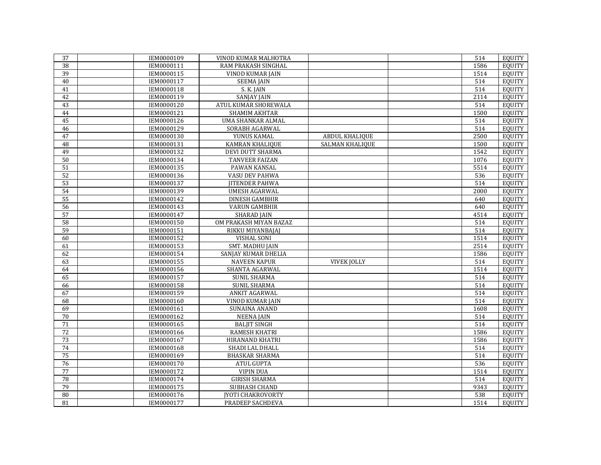| 37              | IEM0000109 | VINOD KUMAR MALHOTRA     |                       | 514              | <b>EQUITY</b> |
|-----------------|------------|--------------------------|-----------------------|------------------|---------------|
| 38              | IEM0000111 | RAM PRAKASH SINGHAL      |                       | 1586             | <b>EOUITY</b> |
| 39              | IEM0000115 | <b>VINOD KUMAR JAIN</b>  |                       | 1514             | <b>EQUITY</b> |
| 40              | IEM0000117 | <b>SEEMA JAIN</b>        |                       | 514              | EQUITY        |
| 41              | IEM0000118 | S. K. JAIN               |                       | 514              | <b>EQUITY</b> |
| 42              | IEM0000119 | <b>SANJAY JAIN</b>       |                       | 2114             | <b>EQUITY</b> |
| 43              | IEM0000120 | ATUL KUMAR SHOREWALA     |                       | 514              | <b>EQUITY</b> |
| 44              | IEM0000121 | <b>SHAMIM AKHTAR</b>     |                       | 1500             | <b>EQUITY</b> |
| 45              | IEM0000126 | UMA SHANKAR ALMAL        |                       | 514              | <b>EQUITY</b> |
| 46              | IEM0000129 | SORABH AGARWAL           |                       | 514              | <b>EQUITY</b> |
| 47              | IEM0000130 | YUNUS KAMAL              | <b>ABDUL KHALIQUE</b> | 2500             | <b>EQUITY</b> |
| 48              | IEM0000131 | KAMRAN KHALIQUE          | SALMAN KHALIQUE       | 1500             | <b>EQUITY</b> |
| 49              | IEM0000132 | DEVI DUTT SHARMA         |                       | 1542             | <b>EQUITY</b> |
| 50              | IEM0000134 | TANVEER FAIZAN           |                       | 1076             | <b>EQUITY</b> |
| 51              | IEM0000135 | PAWAN KANSAL             |                       | 5514             | <b>EQUITY</b> |
| 52              | IEM0000136 | VASU DEV PAHWA           |                       | 536              | EQUITY        |
| 53              | IEM0000137 | <b>JITENDER PAHWA</b>    |                       | 514              | <b>EQUITY</b> |
| 54              | IEM0000139 | <b>UMESH AGARWAL</b>     |                       | 2000             | <b>EQUITY</b> |
| 55              | IEM0000142 | <b>DINESH GAMBHIR</b>    |                       | 640              | <b>EQUITY</b> |
| 56              | IEM0000143 | <b>VARUN GAMBHIR</b>     |                       | 640              | <b>EQUITY</b> |
| 57              | IEM0000147 | <b>SHARAD JAIN</b>       |                       | 4514             | <b>EQUITY</b> |
| 58              | IEM0000150 | OM PRAKASH MIYAN BAZAZ   |                       | 514              | <b>EQUITY</b> |
| 59              | IEM0000151 | RIKKU MIYANBAJAJ         |                       | 514              | <b>EQUITY</b> |
| 60              | IEM0000152 | <b>VISHAL SONI</b>       |                       | 1514             | <b>EQUITY</b> |
| 61              | IEM0000153 | <b>SMT. MADHU JAIN</b>   |                       | 2514             | <b>EQUITY</b> |
| 62              | IEM0000154 | SANJAY KUMAR DHELIA      |                       | 1586             | <b>EQUITY</b> |
| 63              | IEM0000155 | <b>NAVEEN KAPUR</b>      | <b>VIVEK JOLLY</b>    | 514              | <b>EQUITY</b> |
| 64              | IEM0000156 | SHANTA AGARWAL           |                       | 1514             | EQUITY        |
| 65              | IEM0000157 | <b>SUNIL SHARMA</b>      |                       | 514              | <b>EQUITY</b> |
| 66              | IEM0000158 | <b>SUNIL SHARMA</b>      |                       | 514              | <b>EQUITY</b> |
| 67              | IEM0000159 | <b>ANKIT AGARWAL</b>     |                       | 514              | <b>EQUITY</b> |
| 68              | IEM0000160 | <b>VINOD KUMAR JAIN</b>  |                       | 514              | <b>EQUITY</b> |
| 69              | IEM0000161 | <b>SUNAINA ANAND</b>     |                       | 1608             | <b>EQUITY</b> |
| 70              | IEM0000162 | <b>NEENA JAIN</b>        |                       | 514              | <b>EQUITY</b> |
| $\overline{71}$ | IEM0000165 | <b>BALJIT SINGH</b>      |                       | $\overline{514}$ | <b>EQUITY</b> |
| 72              | IEM0000166 | <b>RAMESH KHATRI</b>     |                       | 1586             | <b>EQUITY</b> |
| 73              | IEM0000167 | HIRANAND KHATRI          |                       | 1586             | <b>EQUITY</b> |
| 74              | IEM0000168 | SHADI LAL DHALL          |                       | 514              | <b>EQUITY</b> |
| 75              | IEM0000169 | <b>BHASKAR SHARMA</b>    |                       | 514              | <b>EQUITY</b> |
| 76              | IEM0000170 | <b>ATUL GUPTA</b>        |                       | 536              | EQUITY        |
| 77              | IEM0000172 | <b>VIPIN DUA</b>         |                       | 1514             | EQUITY        |
| 78              | IEM0000174 | <b>GIRISH SHARMA</b>     |                       | 514              | <b>EQUITY</b> |
| 79              | IEM0000175 | SUBHASH CHAND            |                       | 9343             | EQUITY        |
| 80              | IEM0000176 | <b>JYOTI CHAKROVORTY</b> |                       | 538              | EQUITY        |
| 81              | IEM0000177 | PRADEEP SACHDEVA         |                       | 1514             | EQUITY        |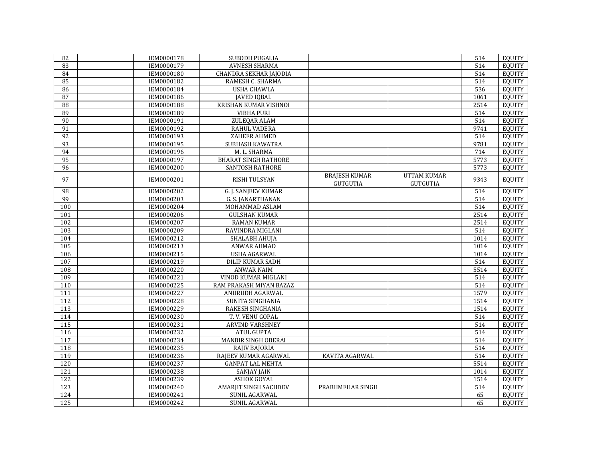| 82              | IEM0000178 | SUBODH PUGALIA               |                                         |                                       | 514  | EQUITY        |
|-----------------|------------|------------------------------|-----------------------------------------|---------------------------------------|------|---------------|
| 83              | IEM0000179 | <b>AVNESH SHARMA</b>         |                                         |                                       | 514  | <b>EQUITY</b> |
| 84              | IEM0000180 | CHANDRA SEKHAR JAJODIA       |                                         |                                       | 514  | <b>EQUITY</b> |
| 85              | IEM0000182 | RAMESH C. SHARMA             |                                         |                                       | 514  | <b>EQUITY</b> |
| $\overline{86}$ | IEM0000184 | <b>USHA CHAWLA</b>           |                                         |                                       | 536  | <b>EQUITY</b> |
| 87              | IEM0000186 | <b>JAVED IQBAL</b>           |                                         |                                       | 1061 | <b>EQUITY</b> |
| $\overline{88}$ | IEM0000188 | KRISHAN KUMAR VISHNOI        |                                         |                                       | 2514 | <b>EQUITY</b> |
| 89              | IEM0000189 | <b>VIBHA PURI</b>            |                                         |                                       | 514  | <b>EQUITY</b> |
| 90              | IEM0000191 | ZULEQAR ALAM                 |                                         |                                       | 514  | <b>EQUITY</b> |
| 91              | IEM0000192 | RAHUL VADERA                 |                                         |                                       | 9741 | <b>EQUITY</b> |
| 92              | IEM0000193 | <b>ZAHEER AHMED</b>          |                                         |                                       | 514  | <b>EQUITY</b> |
| $\overline{93}$ | IEM0000195 | SUBHASH KAWATRA              |                                         |                                       | 9781 | <b>EQUITY</b> |
| 94              | IEM0000196 | M. L. SHARMA                 |                                         |                                       | 714  | <b>EQUITY</b> |
| 95              | IEM0000197 | <b>BHARAT SINGH RATHORE</b>  |                                         |                                       | 5773 | <b>EQUITY</b> |
| 96              | IEM0000200 | SANTOSH RATHORE              |                                         |                                       | 5773 | <b>EQUITY</b> |
| 97              | IEM0000201 | RISHI TULSYAN                | <b>BRAJESH KUMAR</b><br><b>GUTGUTIA</b> | <b>UTTAM KUMAR</b><br><b>GUTGUTIA</b> | 9343 | <b>EQUITY</b> |
| 98              | IEM0000202 | G. J. SANJEEV KUMAR          |                                         |                                       | 514  | <b>EQUITY</b> |
| 99              | IEM0000203 | G. S. JANARTHANAN            |                                         |                                       | 514  | <b>EQUITY</b> |
| 100             | IEM0000204 | MOHAMMAD ASLAM               |                                         |                                       | 514  | <b>EQUITY</b> |
| 101             | IEM0000206 | <b>GULSHAN KUMAR</b>         |                                         |                                       | 2514 | <b>EQUITY</b> |
| 102             | IEM0000207 | <b>RAMAN KUMAR</b>           |                                         |                                       | 2514 | <b>EQUITY</b> |
| 103             | IEM0000209 | RAVINDRA MIGLANI             |                                         |                                       | 514  | <b>EQUITY</b> |
| 104             | IEM0000212 | SHALABH AHUJA                |                                         |                                       | 1014 | <b>EQUITY</b> |
| 105             | IEM0000213 | ANWAR AHMAD                  |                                         |                                       | 1014 | <b>EQUITY</b> |
| 106             | IEM0000215 | <b>USHA AGARWAL</b>          |                                         |                                       | 1014 | <b>EQUITY</b> |
| 107             | IEM0000219 | <b>DILIP KUMAR SADH</b>      |                                         |                                       | 514  | <b>EQUITY</b> |
| 108             | IEM0000220 | <b>ANWAR NAIM</b>            |                                         |                                       | 5514 | <b>EQUITY</b> |
| 109             | IEM0000221 | VINOD KUMAR MIGLANI          |                                         |                                       | 514  | <b>EQUITY</b> |
| 110             | IEM0000225 | RAM PRAKASH MIYAN BAZAZ      |                                         |                                       | 514  | <b>EQUITY</b> |
| 111             | IEM0000227 | ANURUDH AGARWAL              |                                         |                                       | 1579 | <b>EQUITY</b> |
| 112             | IEM0000228 | SUNITA SINGHANIA             |                                         |                                       | 1514 | <b>EQUITY</b> |
| 113             | IEM0000229 | RAKESH SINGHANIA             |                                         |                                       | 1514 | <b>EQUITY</b> |
| 114             | IEM0000230 | T.V. VENU GOPAL              |                                         |                                       | 514  | <b>EQUITY</b> |
| 115             | IEM0000231 | ARVIND VARSHNEY              |                                         |                                       | 514  | <b>EQUITY</b> |
| 116             | IEM0000232 | <b>ATUL GUPTA</b>            |                                         |                                       | 514  | <b>EQUITY</b> |
| 117             | IEM0000234 | MANBIR SINGH OBERAI          |                                         |                                       | 514  | <b>EQUITY</b> |
| 118             | IEM0000235 | RAJIV BAJORIA                |                                         |                                       | 514  | <b>EQUITY</b> |
| 119             | IEM0000236 | RAJEEV KUMAR AGARWAL         | KAVITA AGARWAL                          |                                       | 514  | <b>EQUITY</b> |
| 120             | IEM0000237 | <b>GANPAT LAL MEHTA</b>      |                                         |                                       | 5514 | <b>EQUITY</b> |
| 121             | IEM0000238 | <b>SANJAY JAIN</b>           |                                         |                                       | 1014 | <b>EQUITY</b> |
| 122             | IEM0000239 | <b>ASHOK GOYAL</b>           |                                         |                                       | 1514 | <b>EQUITY</b> |
| $\frac{123}{2}$ | IEM0000240 | <b>AMARJIT SINGH SACHDEV</b> | PRABHMEHAR SINGH                        |                                       | 514  | <b>EQUITY</b> |
| 124             | IEM0000241 | SUNIL AGARWAL                |                                         |                                       | 65   | <b>EQUITY</b> |
| $\frac{125}{2}$ | IEM0000242 | <b>SUNIL AGARWAL</b>         |                                         |                                       | 65   | EQUITY        |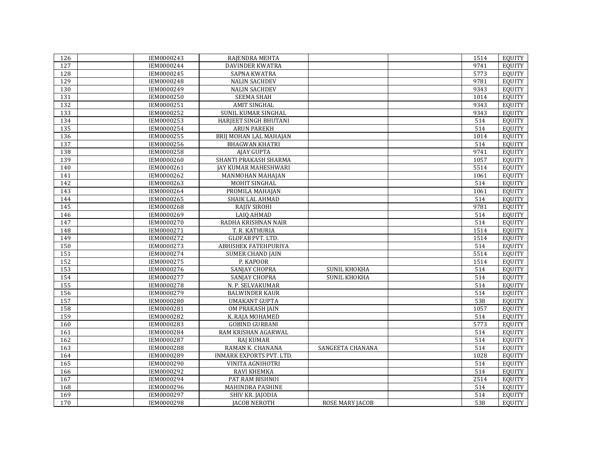| 126 | IEM0000243 | RAJENDRA MEHTA           |                        | 1514 | EQUITY        |
|-----|------------|--------------------------|------------------------|------|---------------|
| 127 | IEM0000244 | <b>DAVINDER KWATRA</b>   |                        | 9741 | <b>EOUITY</b> |
| 128 | IEM0000245 | <b>SAPNA KWATRA</b>      |                        | 5773 | EQUITY        |
| 129 | IEM0000248 | <b>NALIN SACHDEV</b>     |                        | 9781 | <b>EQUITY</b> |
| 130 | IEM0000249 | <b>NALIN SACHDEV</b>     |                        | 9343 | <b>EQUITY</b> |
| 131 | IEM0000250 | <b>SEEMA SHAH</b>        |                        | 1014 | <b>EQUITY</b> |
| 132 | IEM0000251 | <b>AMIT SINGHAL</b>      |                        | 9343 | <b>EQUITY</b> |
| 133 | IEM0000252 | SUNIL KUMAR SINGHAL      |                        | 9343 | <b>EQUITY</b> |
| 134 | IEM0000253 | HARJEET SINGH BHUTANI    |                        | 514  | <b>EQUITY</b> |
| 135 | IEM0000254 | <b>ARUN PAREKH</b>       |                        | 514  | <b>EQUITY</b> |
| 136 | IEM0000255 | BRIJ MOHAN LAL MAHAJAN   |                        | 1014 | <b>EQUITY</b> |
| 137 | IEM0000256 | <b>BHAGWAN KHATRI</b>    |                        | 514  | <b>EQUITY</b> |
| 138 | IEM0000258 | <b>AJAY GUPTA</b>        |                        | 9741 | <b>EQUITY</b> |
| 139 | IEM0000260 | SHANTI PRAKASH SHARMA    |                        | 1057 | <b>EQUITY</b> |
| 140 | IEM0000261 | JAY KUMAR MAHESHWARI     |                        | 5514 | <b>EQUITY</b> |
| 141 | IEM0000262 | MANMOHAN MAHAJAN         |                        | 1061 | EQUITY        |
| 142 | IEM0000263 | MOHIT SINGHAL            |                        | 514  | <b>EQUITY</b> |
| 143 | IEM0000264 | PROMILA MAHAJAN          |                        | 1061 | <b>EQUITY</b> |
| 144 | IEM0000265 | SHAIK LAL AHMAD          |                        | 514  | <b>EQUITY</b> |
| 145 | IEM0000268 | RAJIV SIROHI             |                        | 9781 | <b>EQUITY</b> |
| 146 | IEM0000269 | <b>LAIQ AHMAD</b>        |                        | 514  | <b>EQUITY</b> |
| 147 | IEM0000270 | RADHA KRISHNAN NAIR      |                        | 514  | <b>EQUITY</b> |
| 148 | IEM0000271 | T. R. KATHURIA           |                        | 1514 | <b>EOUITY</b> |
| 149 | IEM0000272 | <b>GLOFAB PVT. LTD.</b>  |                        | 1514 | <b>EQUITY</b> |
| 150 | IEM0000273 | ABHISHEK FATEHPURIYA     |                        | 514  | <b>EQUITY</b> |
| 151 | IEM0000274 | <b>SUMER CHAND JAIN</b>  |                        | 5514 | <b>EQUITY</b> |
| 152 | IEM0000275 | P. KAPOOR                |                        | 1514 | <b>EQUITY</b> |
| 153 | IEM0000276 | SANJAY CHOPRA            | SUNIL KHOKHA           | 514  | <b>EQUITY</b> |
| 154 | IEM0000277 | SANJAY CHOPRA            | <b>SUNIL KHOKHA</b>    | 514  | <b>EQUITY</b> |
| 155 | IEM0000278 | N. P. SELVAKUMAR         |                        | 514  | <b>EQUITY</b> |
| 156 | IEM0000279 | <b>BALWINDER KAUR</b>    |                        | 514  | <b>EQUITY</b> |
| 157 | IEM0000280 | <b>UMAKANT GUPTA</b>     |                        | 538  | <b>EQUITY</b> |
| 158 | IEM0000281 | OM PRAKASH JAIN          |                        | 1057 | <b>EQUITY</b> |
| 159 | IEM0000282 | K. RAJA MOHAMED          |                        | 514  | <b>EQUITY</b> |
| 160 | IEM0000283 | <b>GOBIND GURBANI</b>    |                        | 5773 | EQUITY        |
| 161 | IEM0000284 | RAM KRISHAN AGARWAL      |                        | 514  | <b>EQUITY</b> |
| 162 | IEM0000287 | <b>RAJ KUMAR</b>         |                        | 514  | <b>EQUITY</b> |
| 163 | IEM0000288 | RAMAN K. CHANANA         | SANGEETA CHANANA       | 514  | <b>EQUITY</b> |
| 164 | IEM0000289 | INMARK EXPORTS PVT. LTD. |                        | 1028 | <b>EQUITY</b> |
| 165 | IEM0000290 | VINITA AGNIHOTRI         |                        | 514  | <b>EQUITY</b> |
| 166 | IEM0000292 | RAVI KHEMKA              |                        | 514  | <b>EOUITY</b> |
| 167 | IEM0000294 | PAT RAM BISHNOI          |                        | 2514 | <b>EQUITY</b> |
| 168 | IEM0000296 | <b>MAHINDRA PASHINE</b>  |                        | 514  | EQUITY        |
| 169 | IEM0000297 | SHIV KR. JAJODIA         |                        | 514  | <b>EOUITY</b> |
| 170 | IEM0000298 | <b>JACOB NEROTH</b>      | <b>ROSE MARY JACOB</b> | 538  | <b>EQUITY</b> |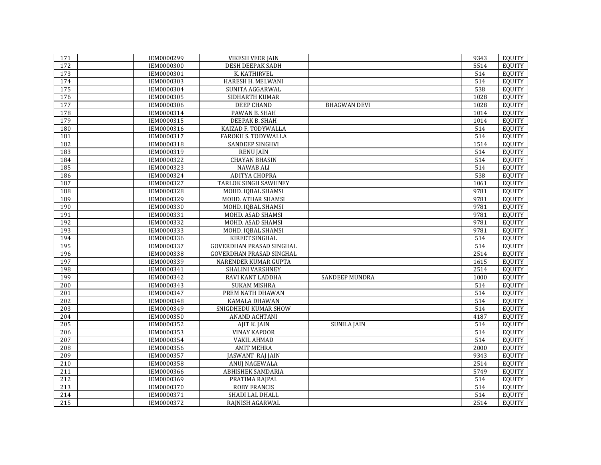| 171             | IEM0000299 | <b>VIKESH VEER JAIN</b>         |                     | 9343 | <b>EQUITY</b> |
|-----------------|------------|---------------------------------|---------------------|------|---------------|
| 172             | IEM0000300 | <b>DESH DEEPAK SADH</b>         |                     | 5514 | <b>EOUITY</b> |
| 173             | IEM0000301 | K. KATHIRVEL                    |                     | 514  | <b>EQUITY</b> |
| 174             | IEM0000303 | HARESH H. MELWANI               |                     | 514  | EQUITY        |
| $\frac{175}{2}$ | IEM0000304 | SUNITA AGGARWAL                 |                     | 538  | <b>EOUITY</b> |
| 176             | IEM0000305 | SIDHARTH KUMAR                  |                     | 1028 | <b>EQUITY</b> |
| 177             | IEM0000306 | <b>DEEP CHAND</b>               | <b>BHAGWAN DEVI</b> | 1028 | <b>EQUITY</b> |
| 178             | IEM0000314 | PAWAN B. SHAH                   |                     | 1014 | <b>EQUITY</b> |
| 179             | IEM0000315 | DEEPAK B. SHAH                  |                     | 1014 | <b>EQUITY</b> |
| 180             | IEM0000316 | KAIZAD F. TODYWALLA             |                     | 514  | <b>EQUITY</b> |
| 181             | IEM0000317 | FAROKH S. TODYWALLA             |                     | 514  | <b>EQUITY</b> |
| 182             | IEM0000318 | SANDEEP SINGHVI                 |                     | 1514 | <b>EQUITY</b> |
| 183             | IEM0000319 | <b>RENU JAIN</b>                |                     | 514  | <b>EQUITY</b> |
| 184             | IEM0000322 | <b>CHAYAN BHASIN</b>            |                     | 514  | <b>EQUITY</b> |
| 185             | IEM0000323 | NAWAB ALI                       |                     | 514  | <b>EQUITY</b> |
| 186             | IEM0000324 | <b>ADITYA CHOPRA</b>            |                     | 538  | EQUITY        |
| 187             | IEM0000327 | <b>TARLOK SINGH SAWHNEY</b>     |                     | 1061 | <b>EQUITY</b> |
| 188             | IEM0000328 | MOHD. IQBAL SHAMSI              |                     | 9781 | <b>EQUITY</b> |
| 189             | IEM0000329 | MOHD. ATHAR SHAMSI              |                     | 9781 | <b>EQUITY</b> |
| 190             | IEM0000330 | MOHD. IQBAL SHAMSI              |                     | 9781 | <b>EQUITY</b> |
| 191             | IEM0000331 | MOHD. ASAD SHAMSI               |                     | 9781 | <b>EQUITY</b> |
| 192             | IEM0000332 | MOHD. ASAD SHAMSI               |                     | 9781 | <b>EQUITY</b> |
| 193             | IEM0000333 | MOHD. IQBAL SHAMSI              |                     | 9781 | <b>EOUITY</b> |
| 194             | IEM0000336 | KIREET SINGHAL                  |                     | 514  | <b>EQUITY</b> |
| 195             | IEM0000337 | <b>GOVERDHAN PRASAD SINGHAL</b> |                     | 514  | <b>EQUITY</b> |
| 196             | IEM0000338 | <b>GOVERDHAN PRASAD SINGHAL</b> |                     | 2514 | <b>EQUITY</b> |
| 197             | IEM0000339 | NARENDER KUMAR GUPTA            |                     | 1615 | <b>EQUITY</b> |
| 198             | IEM0000341 | <b>SHALINI VARSHNEY</b>         |                     | 2514 | <b>EQUITY</b> |
| 199             | IEM0000342 | RAVI KANT LADDHA                | SANDEEP MUNDRA      | 1000 | <b>EQUITY</b> |
| 200             | IEM0000343 | <b>SUKAM MISHRA</b>             |                     | 514  | <b>EQUITY</b> |
| 201             | IEM0000347 | PREM NATH DHAWAN                |                     | 514  | <b>EQUITY</b> |
| 202             | IEM0000348 | KAMALA DHAWAN                   |                     | 514  | <b>EQUITY</b> |
| 203             | IEM0000349 | SNIGDHEDU KUMAR SHOW            |                     | 514  | <b>EQUITY</b> |
| 204             | IEM0000350 | ANAND ACHTANI                   |                     | 4187 | <b>EQUITY</b> |
| 205             | IEM0000352 | AJIT K. JAIN                    | <b>SUNILA JAIN</b>  | 514  | <b>EQUITY</b> |
| 206             | IEM0000353 | <b>VINAY KAPOOR</b>             |                     | 514  | <b>EQUITY</b> |
| 207             | IEM0000354 | <b>VAKIL AHMAD</b>              |                     | 514  | <b>EQUITY</b> |
| 208             | IEM0000356 | <b>AMIT MEHRA</b>               |                     | 2000 | <b>EQUITY</b> |
| 209             | IEM0000357 | JASWANT RAJ JAIN                |                     | 9343 | <b>EQUITY</b> |
| 210             | IEM0000358 | ANUJ NAGEWALA                   |                     | 2514 | <b>EQUITY</b> |
| 211             | IEM0000366 | ABHISHEK SAMDARIA               |                     | 5749 | <b>EQUITY</b> |
| 212             | IEM0000369 | PRATIMA RAJPAL                  |                     | 514  | <b>EQUITY</b> |
| 213             | IEM0000370 | <b>ROBY FRANCIS</b>             |                     | 514  | EQUITY        |
| 214             | IEM0000371 | SHADI LAL DHALL                 |                     | 514  | <b>EOUITY</b> |
| 215             | IEM0000372 | RAINISH AGARWAL                 |                     | 2514 | <b>EQUITY</b> |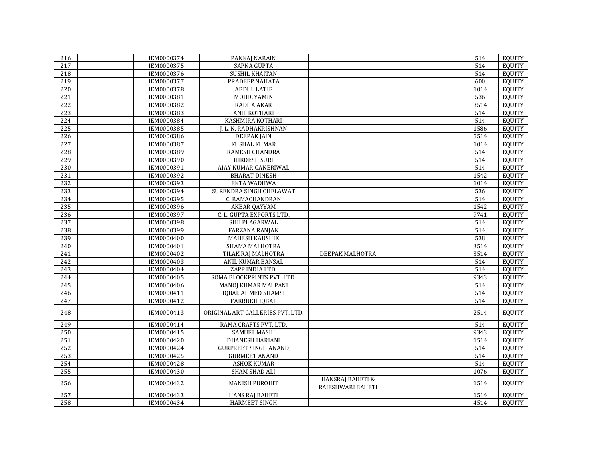| 216              | IEM0000374 | PANKAJ NARAIN                    |                                                  | 514              | EQUITY        |
|------------------|------------|----------------------------------|--------------------------------------------------|------------------|---------------|
| 217              | IEM0000375 | <b>SAPNA GUPTA</b>               |                                                  | 514              | EQUITY        |
| 218              | IEM0000376 | SUSHIL KHAITAN                   |                                                  | 514              | EQUITY        |
| 219              | IEM0000377 | PRADEEP NAHATA                   |                                                  | 600              | EQUITY        |
| 220              | IEM0000378 | <b>ABDUL LATIF</b>               |                                                  | 1014             | <b>EQUITY</b> |
| 221              | IEM0000381 | MOHD. YAMIN                      |                                                  | 536              | <b>EQUITY</b> |
| 222              | IEM0000382 | RADHA AKAR                       |                                                  | 3514             | <b>EQUITY</b> |
| 223              | IEM0000383 | <b>ANIL KOTHARI</b>              |                                                  | 514              | <b>EQUITY</b> |
| 224              | IEM0000384 | KASHMIRA KOTHARI                 |                                                  | 514              | <b>EQUITY</b> |
| 225              | IEM0000385 | J. L. N. RADHAKRISHNAN           |                                                  | 1586             | <b>EQUITY</b> |
| $\overline{226}$ | IEM0000386 | <b>DEEPAKJAIN</b>                |                                                  | 5514             | <b>EQUITY</b> |
| 227              | IEM0000387 | <b>KUSHAL KUMAR</b>              |                                                  | 1014             | <b>EQUITY</b> |
| 228              | IEM0000389 | RAMESH CHANDRA                   |                                                  | 514              | <b>EQUITY</b> |
| 229              | IEM0000390 | <b>HIRDESH SURI</b>              |                                                  | 514              | <b>EQUITY</b> |
| 230              | IEM0000391 | AJAY KUMAR GANERIWAL             |                                                  | $\overline{514}$ | <b>EQUITY</b> |
| 231              | IEM0000392 | <b>BHARAT DINESH</b>             |                                                  | 1542             | <b>EQUITY</b> |
| 232              | IEM0000393 | EKTA WADHWA                      |                                                  | 1014             | <b>EQUITY</b> |
| 233              | IEM0000394 | SURENDRA SINGH CHELAWAT          |                                                  | 536              | <b>EQUITY</b> |
| 234              | IEM0000395 | C. RAMACHANDRAN                  |                                                  | 514              | <b>EQUITY</b> |
| 235              | IEM0000396 | <b>AKBAR QAYYAM</b>              |                                                  | 1542             | <b>EQUITY</b> |
| 236              | IEM0000397 | C. L. GUPTA EXPORTS LTD.         |                                                  | 9741             | <b>EQUITY</b> |
| 237              | IEM0000398 | SHILPI AGARWAL                   |                                                  | 514              | <b>EQUITY</b> |
| 238              | IEM0000399 | <b>FARZANA RANJAN</b>            |                                                  | 514              | <b>EQUITY</b> |
| 239              | IEM0000400 | MAHESH KAUSHIK                   |                                                  | 538              | <b>EQUITY</b> |
| 240              | IEM0000401 | SHAMA MALHOTRA                   |                                                  | 3514             | <b>EQUITY</b> |
| 241              | IEM0000402 | TILAK RAJ MALHOTRA               | DEEPAK MALHOTRA                                  | 3514             | <b>EQUITY</b> |
| 242              | IEM0000403 | ANIL KUMAR BANSAL                |                                                  | 514              | <b>EQUITY</b> |
| 243              | IEM0000404 | ZAPP INDIA LTD.                  |                                                  | 514              | <b>EQUITY</b> |
| 244              | IEM0000405 | SOMA BLOCKPRINTS PVT. LTD.       |                                                  | 9343             | <b>EQUITY</b> |
| 245              | IEM0000406 | <b>MANOJ KUMAR MALPANI</b>       |                                                  | 514              | <b>EQUITY</b> |
| 246              | IEM0000411 | <b>IQBAL AHMED SHAMSI</b>        |                                                  | 514              | <b>EQUITY</b> |
| 247              | IEM0000412 | <b>FARRUKH IQBAL</b>             |                                                  | 514              | <b>EQUITY</b> |
| 248              | IEM0000413 | ORIGINAL ART GALLERIES PVT. LTD. |                                                  | 2514             | <b>EQUITY</b> |
| 249              | IEM0000414 | RAMA CRAFTS PVT. LTD.            |                                                  | 514              | <b>EQUITY</b> |
| 250              | IEM0000415 | <b>SAMUEL MASIH</b>              |                                                  | 9343             | EQUITY        |
| 251              | IEM0000420 | DHANESH HARIANI                  |                                                  | 1514             | <b>EQUITY</b> |
| 252              | IEM0000424 | <b>GURPREET SINGH ANAND</b>      |                                                  | 514              | <b>EQUITY</b> |
| 253              | IEM0000425 | <b>GURMEET ANAND</b>             |                                                  | 514              | <b>EQUITY</b> |
| 254              | IEM0000428 | <b>ASHOK KUMAR</b>               |                                                  | 514              | <b>EQUITY</b> |
| 255              | IEM0000430 | SHAM SHAD ALI                    |                                                  | 1076             | <b>EQUITY</b> |
| 256              | IEM0000432 | <b>MANISH PUROHIT</b>            | <b>HANSRAJ BAHETI &amp;</b><br>RAJESHWARI BAHETI | 1514             | <b>EQUITY</b> |
| 257              | IEM0000433 | <b>HANS RAJ BAHETI</b>           |                                                  | 1514             | <b>EQUITY</b> |
| 258              | IEM0000434 | <b>HARMEET SINGH</b>             |                                                  | 4514             | <b>EQUITY</b> |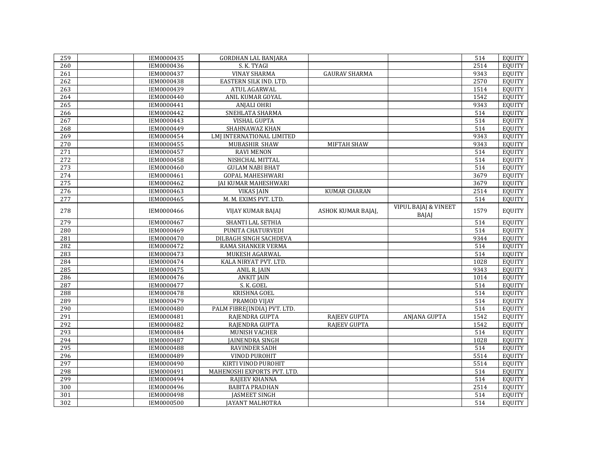| 259 | IEM0000435        | <b>GORDHAN LAL BANJARA</b>  |                      |                                                 | 514  | <b>EQUITY</b> |
|-----|-------------------|-----------------------------|----------------------|-------------------------------------------------|------|---------------|
| 260 | IEM0000436        | S. K. TYAGI                 |                      |                                                 | 2514 | <b>EOUITY</b> |
| 261 | IEM0000437        | <b>VINAY SHARMA</b>         | <b>GAURAV SHARMA</b> |                                                 | 9343 | <b>EQUITY</b> |
| 262 | IEM0000438        | EASTERN SILK IND. LTD.      |                      |                                                 | 2570 | <b>EQUITY</b> |
| 263 | IEM0000439        | ATUL AGARWAL                |                      |                                                 | 1514 | <b>EQUITY</b> |
| 264 | IEM0000440        | ANIL KUMAR GOYAL            |                      |                                                 | 1542 | <b>EQUITY</b> |
| 265 | IEM0000441        | <b>ANJALI OHRI</b>          |                      |                                                 | 9343 | <b>EQUITY</b> |
| 266 | IEM0000442        | SNEHLATA SHARMA             |                      |                                                 | 514  | <b>EQUITY</b> |
| 267 | IEM0000443        | VISHAL GUPTA                |                      |                                                 | 514  | <b>EQUITY</b> |
| 268 | IEM0000449        | SHAHNAWAZ KHAN              |                      |                                                 | 514  | <b>EQUITY</b> |
| 269 | IEM0000454        | LMJ INTERNATIONAL LIMITED   |                      |                                                 | 9343 | <b>EQUITY</b> |
| 270 | IEM0000455        | MUBASHIR SHAW               | MIFTAH SHAW          |                                                 | 9343 | <b>EQUITY</b> |
| 271 | IEM0000457        | <b>RAVI MENON</b>           |                      |                                                 | 514  | <b>EQUITY</b> |
| 272 | IEM0000458        | NISHCHAL MITTAL             |                      |                                                 | 514  | <b>EQUITY</b> |
| 273 | IEM0000460        | <b>GULAM NABI BHAT</b>      |                      |                                                 | 514  | <b>EQUITY</b> |
| 274 | IEM0000461        | <b>GOPAL MAHESHWARI</b>     |                      |                                                 | 3679 | <b>EQUITY</b> |
| 275 | IEM0000462        | <b>JAI KUMAR MAHESHWARI</b> |                      |                                                 | 3679 | <b>EQUITY</b> |
| 276 | IEM0000463        | <b>VIKAS JAIN</b>           | <b>KUMAR CHARAN</b>  |                                                 | 2514 | <b>EQUITY</b> |
| 277 | IEM0000465        | M. M. EXIMS PVT. LTD.       |                      |                                                 | 514  | <b>EQUITY</b> |
| 278 | IEM0000466        | VIJAY KUMAR BAJAJ           | ASHOK KUMAR BAJAJ,   | <b>VIPUL BAJAJ &amp; VINEET</b><br><b>BAJAJ</b> | 1579 | <b>EQUITY</b> |
| 279 | IEM0000467        | SHANTI LAL SETHIA           |                      |                                                 | 514  | <b>EQUITY</b> |
| 280 | IEM0000469        | PUNITA CHATURVEDI           |                      |                                                 | 514  | <b>EQUITY</b> |
| 281 | IEM0000470        | DILBAGH SINGH SACHDEVA      |                      |                                                 | 9344 | <b>EQUITY</b> |
| 282 | IEM0000472        | RAMA SHANKER VERMA          |                      |                                                 | 514  | <b>EQUITY</b> |
| 283 | IEM0000473        | MUKESH AGARWAL              |                      |                                                 | 514  | <b>EQUITY</b> |
| 284 | IEM0000474        | KALA NIRYAT PVT. LTD.       |                      |                                                 | 1028 | <b>EQUITY</b> |
| 285 | IEM0000475        | ANIL R. JAIN                |                      |                                                 | 9343 | <b>EQUITY</b> |
| 286 | IEM0000476        | <b>ANKIT JAIN</b>           |                      |                                                 | 1014 | <b>EQUITY</b> |
| 287 | IEM0000477        | S. K. GOEL                  |                      |                                                 | 514  | <b>EQUITY</b> |
| 288 | IEM0000478        | <b>KRISHNA GOEL</b>         |                      |                                                 | 514  | <b>EQUITY</b> |
| 289 | IEM0000479        | PRAMOD VIJAY                |                      |                                                 | 514  | <b>EQUITY</b> |
| 290 | IEM0000480        | PALM FIBRE(INDIA) PVT. LTD. |                      |                                                 | 514  | <b>EQUITY</b> |
| 291 | IEM0000481        | RAJENDRA GUPTA              | <b>RAJEEV GUPTA</b>  | <b>ANJANA GUPTA</b>                             | 1542 | <b>EQUITY</b> |
| 292 | IEM0000482        | RAJENDRA GUPTA              | <b>RAJEEV GUPTA</b>  |                                                 | 1542 | <b>EQUITY</b> |
| 293 | IEM0000484        | MUNISH VACHER               |                      |                                                 | 514  | <b>EQUITY</b> |
| 294 | IEM0000487        | <b>JAINENDRA SINGH</b>      |                      |                                                 | 1028 | <b>EQUITY</b> |
| 295 | <b>IEM0000488</b> | <b>RAVINDER SADH</b>        |                      |                                                 | 514  | <b>EQUITY</b> |
| 296 | IEM0000489        | <b>VINOD PUROHIT</b>        |                      |                                                 | 5514 | <b>EQUITY</b> |
| 297 | IEM0000490        | KIRTI VINOD PUROHIT         |                      |                                                 | 5514 | <b>EQUITY</b> |
| 298 | IEM0000491        | MAHENOSHI EXPORTS PVT. LTD. |                      |                                                 | 514  | <b>EQUITY</b> |
| 299 | IEM0000494        | RAJEEV KHANNA               |                      |                                                 | 514  | <b>EQUITY</b> |
| 300 | IEM0000496        | <b>BABITA PRADHAN</b>       |                      |                                                 | 2514 | <b>EQUITY</b> |
| 301 | IEM0000498        | <b>JASMEET SINGH</b>        |                      |                                                 | 514  | <b>EQUITY</b> |
| 302 | IEM0000500        | <b>JAYANT MALHOTRA</b>      |                      |                                                 | 514  | <b>EQUITY</b> |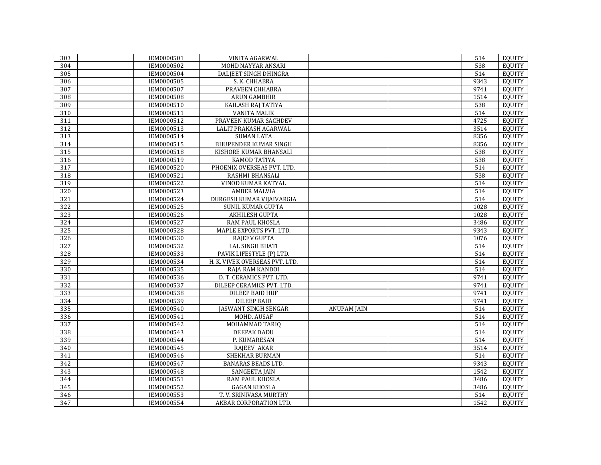| 303        | IEM0000501<br>IEM0000502 | VINITA AGARWAL                 |                    | 514<br>538       | EQUITY<br><b>EOUITY</b> |
|------------|--------------------------|--------------------------------|--------------------|------------------|-------------------------|
| 304<br>305 | IEM0000504               | MOHD NAYYAR ANSARI             |                    | 514              | <b>EOUITY</b>           |
|            |                          | DALJEET SINGH DHINGRA          |                    | 9343             |                         |
| 306        | IEM0000505               | S. K. CHHABRA                  |                    |                  | <b>EQUITY</b>           |
| 307        | IEM0000507               | PRAVEEN CHHABRA                |                    | 9741             | <b>EOUITY</b>           |
| 308        | <b>IEM0000508</b>        | <b>ARUN GAMBHIR</b>            |                    | 1514             | <b>EQUITY</b>           |
| 309        | IEM0000510               | KAILASH RAJ TATIYA             |                    | 538              | <b>EQUITY</b>           |
| 310        | IEM0000511               | <b>VANITA MALIK</b>            |                    | 514              | <b>EQUITY</b>           |
| 311        | IEM0000512               | PRAVEEN KUMAR SACHDEV          |                    | 4725             | <b>EQUITY</b>           |
| 312        | IEM0000513               | LALIT PRAKASH AGARWAL          |                    | 3514             | <b>EQUITY</b>           |
| 313        | IEM0000514               | <b>SUMAN LATA</b>              |                    | 8356             | <b>EQUITY</b>           |
| 314        | IEM0000515               | <b>BHUPENDER KUMAR SINGH</b>   |                    | 8356             | EQUITY                  |
| 315        | IEM0000518               | KISHORE KUMAR BHANSALI         |                    | 538              | <b>EQUITY</b>           |
| 316        | IEM0000519               | <b>KAMOD TATIYA</b>            |                    | 538              | <b>EQUITY</b>           |
| 317        | IEM0000520               | PHOENIX OVERSEAS PVT. LTD.     |                    | 514              | EQUITY                  |
| 318        | IEM0000521               | RASHMI BHANSALI                |                    | $\overline{538}$ | EQUITY                  |
| 319        | IEM0000522               | VINOD KUMAR KATYAL             |                    | 514              | <b>EQUITY</b>           |
| 320        | IEM0000523               | <b>AMBER MALVIA</b>            |                    | 514              | <b>EQUITY</b>           |
| 321        | IEM0000524               | DURGESH KUMAR VIJAIVARGIA      |                    | $\overline{514}$ | EQUITY                  |
| 322        | IEM0000525               | <b>SUNIL KUMAR GUPTA</b>       |                    | 1028             | <b>EQUITY</b>           |
| 323        | IEM0000526               | AKHILESH GUPTA                 |                    | 1028             | <b>EQUITY</b>           |
| 324        | IEM0000527               | RAM PAUL KHOSLA                |                    | 3486             | EQUITY                  |
| 325        | <b>IEM0000528</b>        | MAPLE EXPORTS PVT, LTD.        |                    | 9343             | <b>EOUITY</b>           |
| 326        | IEM0000530               | <b>RAJEEV GUPTA</b>            |                    | 1076             | <b>EQUITY</b>           |
| 327        | IEM0000532               | <b>LAL SINGH BHATI</b>         |                    | 514              | <b>EOUITY</b>           |
| 328        | IEM0000533               | PAVIK LIFESTYLE (P) LTD.       |                    | 514              | <b>EQUITY</b>           |
| 329        | IEM0000534               | H. K. VIVEK OVERSEAS PVT. LTD. |                    | 514              | EQUITY                  |
| 330        | IEM0000535               | RAJA RAM KANDOI                |                    | 514              | <b>EQUITY</b>           |
| 331        | IEM0000536               | D. T. CERAMICS PVT. LTD.       |                    | 9741             | <b>EQUITY</b>           |
| 332        | IEM0000537               | DILEEP CERAMICS PVT. LTD.      |                    | 9741             | <b>EQUITY</b>           |
| 333        | IEM0000538               | <b>DILEEP BAID HUF</b>         |                    | 9741             | <b>EQUITY</b>           |
| 334        | IEM0000539               | <b>DILEEP BAID</b>             |                    | 9741             | <b>EQUITY</b>           |
| 335        | IEM0000540               | <b>JASWANT SINGH SENGAR</b>    | <b>ANUPAM JAIN</b> | 514              | <b>EQUITY</b>           |
| 336        | IEM0000541               | MOHD. AUSAF                    |                    | 514              | EQUITY                  |
| 337        | IEM0000542               | MOHAMMAD TARIQ                 |                    | 514              | <b>EQUITY</b>           |
| 338        | IEM0000543               | DEEPAK DADU                    |                    | $\overline{514}$ | EQUITY                  |
| 339        | IEM0000544               | P. KUMARESAN                   |                    | 514              | <b>EQUITY</b>           |
| 340        | IEM0000545               | <b>RAJEEV AKAR</b>             |                    | 3514             | <b>EQUITY</b>           |
| 341        | IEM0000546               | SHEKHAR BURMAN                 |                    | 514              | <b>EQUITY</b>           |
| 342        | IEM0000547               | <b>BANARAS BEADS LTD.</b>      |                    | 9343             | <b>EQUITY</b>           |
| 343        | IEM0000548               | <b>SANGEETA JAIN</b>           |                    | 1542             | EQUITY                  |
| 344        | IEM0000551               | RAM PAUL KHOSLA                |                    | 3486             | EQUITY                  |
| 345        | IEM0000552               | <b>GAGAN KHOSLA</b>            |                    | 3486             | EQUITY                  |
| 346        | IEM0000553               | T. V. SRINIVASA MURTHY         |                    | 514              | <b>EOUITY</b>           |
| 347        | IEM0000554               | AKBAR CORPORATION LTD.         |                    | 1542             | EQUITY                  |
|            |                          |                                |                    |                  |                         |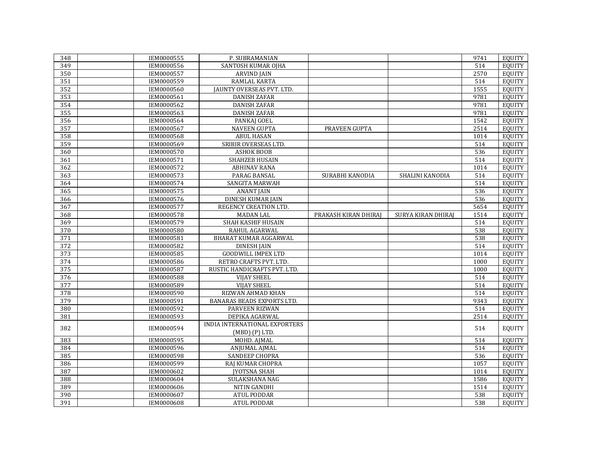| 348              | IEM0000555        | P. SUBRAMANIAN                    |                      |                           | 9741 | <b>EQUITY</b> |
|------------------|-------------------|-----------------------------------|----------------------|---------------------------|------|---------------|
| 349              | IEM0000556        | SANTOSH KUMAR OIHA                |                      |                           | 514  | <b>EOUITY</b> |
| 350              | IEM0000557        | <b>ARVIND JAIN</b>                |                      |                           | 2570 | <b>EQUITY</b> |
| 351              | IEM0000559        | RAMLAL KARTA                      |                      |                           | 514  | <b>EQUITY</b> |
| 352              | IEM0000560        | JAUNTY OVERSEAS PVT. LTD.         |                      |                           | 1555 | <b>EQUITY</b> |
| 353              | IEM0000561        | <b>DANISH ZAFAR</b>               |                      |                           | 9781 | <b>EQUITY</b> |
| 354              | IEM0000562        | <b>DANISH ZAFAR</b>               |                      |                           | 9781 | <b>EQUITY</b> |
| 355              | IEM0000563        | <b>DANISH ZAFAR</b>               |                      |                           | 9781 | <b>EOUITY</b> |
| 356              | IEM0000564        | PANKAJ GOEL                       |                      |                           | 1542 | <b>EQUITY</b> |
| 357              | IEM0000567        | <b>NAVEEN GUPTA</b>               | <b>PRAVEEN GUPTA</b> |                           | 2514 | <b>EQUITY</b> |
| 358              | IEM0000568        | <b>ABUL HASAN</b>                 |                      |                           | 1014 | <b>EQUITY</b> |
| 359              | IEM0000569        | SRIBIR OVERSEAS LTD.              |                      |                           | 514  | <b>EQUITY</b> |
| 360              | IEM0000570        | <b>ASHOK BOOB</b>                 |                      |                           | 536  | <b>EQUITY</b> |
| 361              | IEM0000571        | <b>SHAHZEB HUSAIN</b>             |                      |                           | 514  | <b>EQUITY</b> |
| 362              | IEM0000572        | <b>ABHINAV RANA</b>               |                      |                           | 1014 | <b>EQUITY</b> |
| 363              | IEM0000573        | PARAG BANSAL                      | SURABHI KANODIA      | SHALINI KANODIA           | 514  | <b>EQUITY</b> |
| 364              | IEM0000574        | SANGITA MARWAH                    |                      |                           | 514  | <b>EQUITY</b> |
| 365              | IEM0000575        | <b>ANANT JAIN</b>                 |                      |                           | 536  | <b>EQUITY</b> |
| 366              | IEM0000576        | <b>DINESH KUMAR JAIN</b>          |                      |                           | 536  | <b>EQUITY</b> |
| 367              | IEM0000577        | REGENCY CREATION LTD.             |                      |                           | 5654 | <b>EQUITY</b> |
| 368              | <b>IEM0000578</b> | <b>MADAN LAL</b>                  | PRAKASH KIRAN DHIRAJ | <b>SURYA KIRAN DHIRAJ</b> | 1514 | <b>EQUITY</b> |
| 369              | IEM0000579        | SHAH KASHIF HUSAIN                |                      |                           | 514  | <b>EQUITY</b> |
| 370              | IEM0000580        | RAHUL AGARWAL                     |                      |                           | 538  | <b>EQUITY</b> |
| 371              | IEM0000581        | BHARAT KUMAR AGGARWAL             |                      |                           | 538  | <b>EQUITY</b> |
| 372              | IEM0000582        | <b>DINESH JAIN</b>                |                      |                           | 514  | <b>EQUITY</b> |
| 373              | IEM0000585        | <b>GOODWILL IMPEX LTD</b>         |                      |                           | 1014 | <b>EQUITY</b> |
| 374              | IEM0000586        | RETRO CRAFTS PVT. LTD.            |                      |                           | 1000 | <b>EQUITY</b> |
| 375              | IEM0000587        | RUSTIC HANDICRAFTS PVT. LTD.      |                      |                           | 1000 | <b>EQUITY</b> |
| 376              | IEM0000588        | <b>VIJAY SHEEL</b>                |                      |                           | 514  | <b>EQUITY</b> |
| $\overline{377}$ | IEM0000589        | <b>VIJAY SHEEL</b>                |                      |                           | 514  | <b>EQUITY</b> |
| 378              | IEM0000590        | RIZWAN AHMAD KHAN                 |                      |                           | 514  | <b>EQUITY</b> |
| 379              | IEM0000591        | <b>BANARAS BEADS EXPORTS LTD.</b> |                      |                           | 9343 | <b>EQUITY</b> |
| 380              | IEM0000592        | PARVEEN RIZWAN                    |                      |                           | 514  | <b>EQUITY</b> |
| 381              | IEM0000593        | DEPIKA AGARWAL                    |                      |                           | 2514 | <b>EQUITY</b> |
| 382              | IEM0000594        | INDIA INTERNATIONAL EXPORTERS     |                      |                           | 514  | <b>EQUITY</b> |
|                  |                   | (MBD) (P) LTD.                    |                      |                           |      |               |
| 383              | IEM0000595        | MOHD. AJMAL                       |                      |                           | 514  | <b>EQUITY</b> |
| 384              | IEM0000596        | ANJUMAL AJMAL                     |                      |                           | 514  | <b>EOUITY</b> |
| 385              | IEM0000598        | SANDEEP CHOPRA                    |                      |                           | 536  | <b>EQUITY</b> |
| 386              | IEM0000599        | RAJ KUMAR CHOPRA                  |                      |                           | 1057 | <b>EQUITY</b> |
| 387              | IEM0000602        | <b>JYOTSNA SHAH</b>               |                      |                           | 1014 | <b>EQUITY</b> |
| 388              | IEM0000604        | SULAKSHANA NAG                    |                      |                           | 1586 | <b>EQUITY</b> |
| 389              | IEM0000606        | NITIN GANDHI                      |                      |                           | 1514 | <b>EQUITY</b> |
| 390              | IEM0000607        | <b>ATUL PODDAR</b>                |                      |                           | 538  | <b>EOUITY</b> |
| 391              | IEM0000608        | <b>ATUL PODDAR</b>                |                      |                           | 538  | <b>EQUITY</b> |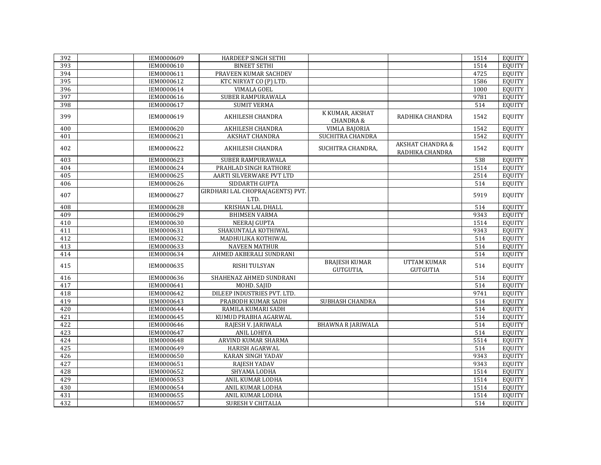| 392 | IEM0000609 | HARDEEP SINGH SETHI                      |                                         |                                                | 1514 | EQUITY        |
|-----|------------|------------------------------------------|-----------------------------------------|------------------------------------------------|------|---------------|
| 393 | IEM0000610 | <b>BINEET SETHI</b>                      |                                         |                                                | 1514 | <b>EOUITY</b> |
| 394 | IEM0000611 | PRAVEEN KUMAR SACHDEV                    |                                         |                                                | 4725 | <b>EOUITY</b> |
| 395 | IEM0000612 | KTC NIRYAT CO (P) LTD.                   |                                         |                                                | 1586 | <b>EQUITY</b> |
| 396 | IEM0000614 | <b>VIMALA GOEL</b>                       |                                         |                                                | 1000 | <b>EOUITY</b> |
| 397 | IEM0000616 | <b>SUBER RAMPURAWALA</b>                 |                                         |                                                | 9781 | <b>EQUITY</b> |
| 398 | IEM0000617 | <b>SUMIT VERMA</b>                       |                                         |                                                | 514  | <b>EQUITY</b> |
| 399 | IEM0000619 | AKHILESH CHANDRA                         | K KUMAR, AKSHAT<br><b>CHANDRA &amp;</b> | RADHIKA CHANDRA                                | 1542 | <b>EQUITY</b> |
| 400 | IEM0000620 | AKHILESH CHANDRA                         | VIMLA BAJORIA                           |                                                | 1542 | <b>EQUITY</b> |
| 401 | IEM0000621 | AKSHAT CHANDRA                           | SUCHITRA CHANDRA                        |                                                | 1542 | <b>EQUITY</b> |
| 402 | IEM0000622 | AKHILESH CHANDRA                         | SUCHITRA CHANDRA,                       | <b>AKSHAT CHANDRA &amp;</b><br>RADHIKA CHANDRA | 1542 | <b>EQUITY</b> |
| 403 | IEM0000623 | SUBER RAMPURAWALA                        |                                         |                                                | 538  | <b>EQUITY</b> |
| 404 | IEM0000624 | PRAHLAD SINGH RATHORE                    |                                         |                                                | 1514 | EQUITY        |
| 405 | IEM0000625 | AARTI SILVERWARE PVT LTD                 |                                         |                                                | 2514 | <b>EOUITY</b> |
| 406 | IEM0000626 | SIDDARTH GUPTA                           |                                         |                                                | 514  | <b>EQUITY</b> |
| 407 | IEM0000627 | GIRDHARI LAL CHOPRA(AGENTS) PVT.<br>LTD. |                                         |                                                | 5919 | <b>EQUITY</b> |
| 408 | IEM0000628 | <b>KRISHAN LAL DHALL</b>                 |                                         |                                                | 514  | <b>EQUITY</b> |
| 409 | IEM0000629 | <b>BHIMSEN VARMA</b>                     |                                         |                                                | 9343 | <b>EQUITY</b> |
| 410 | IEM0000630 | <b>NEERAJ GUPTA</b>                      |                                         |                                                | 1514 | <b>EOUITY</b> |
| 411 | IEM0000631 | SHAKUNTALA KOTHIWAL                      |                                         |                                                | 9343 | <b>EOUITY</b> |
| 412 | IEM0000632 | MADHULIKA KOTHIWAL                       |                                         |                                                | 514  | <b>EQUITY</b> |
| 413 | IEM0000633 | <b>NAVEEN MATHUR</b>                     |                                         |                                                | 514  | <b>EQUITY</b> |
| 414 | IEM0000634 | AHMED AKBERALI SUNDRANI                  |                                         |                                                | 514  | <b>EQUITY</b> |
| 415 | IEM0000635 | RISHI TULSYAN                            | <b>BRAJESH KUMAR</b><br>GUTGUTIA.       | <b>UTTAM KUMAR</b><br><b>GUTGUTIA</b>          | 514  | <b>EQUITY</b> |
| 416 | IEM0000636 | SHAHENAZ AHMED SUNDRANI                  |                                         |                                                | 514  | <b>EQUITY</b> |
| 417 | IEM0000641 | MOHD. SAJID                              |                                         |                                                | 514  | <b>EQUITY</b> |
| 418 | IEM0000642 | DILEEP INDUSTRIES PVT. LTD.              |                                         |                                                | 9741 | <b>EQUITY</b> |
| 419 | IEM0000643 | PRABODH KUMAR SADH                       | <b>SUBHASH CHANDRA</b>                  |                                                | 514  | <b>EQUITY</b> |
| 420 | IEM0000644 | RAMILA KUMARI SADH                       |                                         |                                                | 514  | <b>EQUITY</b> |
| 421 | IEM0000645 | KUMUD PRABHA AGARWAL                     |                                         |                                                | 514  | <b>EOUITY</b> |
| 422 | IEM0000646 | RAJESH V. JARIWALA                       | <b>BHAWNA R JARIWALA</b>                |                                                | 514  | <b>EQUITY</b> |
| 423 | IEM0000647 | ANIL LOHIYA                              |                                         |                                                | 514  | <b>EQUITY</b> |
| 424 | IEM0000648 | <b>ARVIND KUMAR SHARMA</b>               |                                         |                                                | 5514 | <b>EQUITY</b> |
| 425 | IEM0000649 | HARISH AGARWAL                           |                                         |                                                | 514  | EQUITY        |
| 426 | IEM0000650 | <b>KARAN SINGH YADAV</b>                 |                                         |                                                | 9343 | <b>EQUITY</b> |
| 427 | IEM0000651 | RAJESH YADAV                             |                                         |                                                | 9343 | <b>EQUITY</b> |
| 428 | IEM0000652 | SHYAMA LODHA                             |                                         |                                                | 1514 | <b>EOUITY</b> |
| 429 | IEM0000653 | ANIL KUMAR LODHA                         |                                         |                                                | 1514 | <b>EQUITY</b> |
| 430 | IEM0000654 | ANIL KUMAR LODHA                         |                                         |                                                | 1514 | EQUITY        |
| 431 | IEM0000655 | ANIL KUMAR LODHA                         |                                         |                                                | 1514 | <b>EOUITY</b> |
| 432 | IEM0000657 | <b>SURESH V CHITALIA</b>                 |                                         |                                                | 514  | EQUITY        |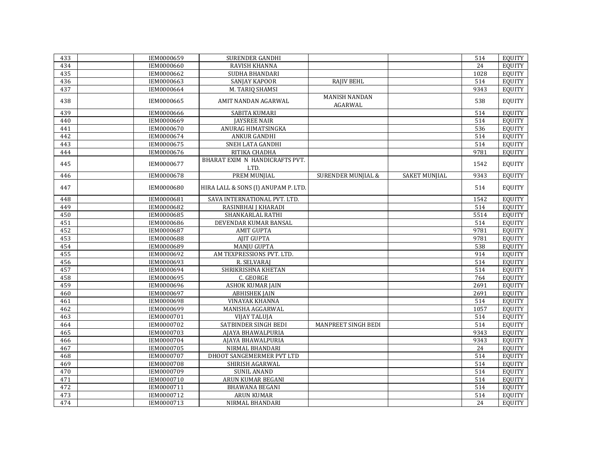| 433 | IEM0000659 | SURENDER GANDHI                        |                                 |                      | 514  | EQUITY        |
|-----|------------|----------------------------------------|---------------------------------|----------------------|------|---------------|
| 434 | IEM0000660 | RAVISH KHANNA                          |                                 |                      | 24   | EQUITY        |
| 435 | IEM0000662 | SUDHA BHANDARI                         |                                 |                      | 1028 | EQUITY        |
| 436 | IEM0000663 | <b>SANJAY KAPOOR</b>                   | <b>RAJIV BEHL</b>               |                      | 514  | EQUITY        |
| 437 | IEM0000664 | M. TARIQ SHAMSI                        |                                 |                      | 9343 | <b>EQUITY</b> |
| 438 | IEM0000665 | AMIT NANDAN AGARWAL                    | <b>MANISH NANDAN</b><br>AGARWAL |                      | 538  | <b>EQUITY</b> |
| 439 | IEM0000666 | SABITA KUMARI                          |                                 |                      | 514  | <b>EQUITY</b> |
| 440 | IEM0000669 | <b>JAYSREE NAIR</b>                    |                                 |                      | 514  | <b>EQUITY</b> |
| 441 | IEM0000670 | ANURAG HIMATSINGKA                     |                                 |                      | 536  | <b>EQUITY</b> |
| 442 | IEM0000674 | <b>ANKUR GANDHI</b>                    |                                 |                      | 514  | <b>EQUITY</b> |
| 443 | IEM0000675 | SNEH LATA GANDHI                       |                                 |                      | 514  | <b>EQUITY</b> |
| 444 | IEM0000676 | RITIKA CHADHA                          |                                 |                      | 9781 | <b>EQUITY</b> |
| 445 | IEM0000677 | BHARAT EXIM N HANDICRAFTS PVT.<br>LTD. |                                 |                      | 1542 | <b>EQUITY</b> |
| 446 | IEM0000678 | PREM MUNJIAL                           | <b>SURENDER MUNJIAL &amp;</b>   | <b>SAKET MUNJIAL</b> | 9343 | <b>EQUITY</b> |
| 447 | IEM0000680 | HIRA LALL & SONS (I) ANUPAM P. LTD.    |                                 |                      | 514  | <b>EQUITY</b> |
| 448 | IEM0000681 | SAVA INTERNATIONAL PVT. LTD.           |                                 |                      | 1542 | <b>EQUITY</b> |
| 449 | IEM0000682 | RASINBHAI J KHARADI                    |                                 |                      | 514  | <b>EQUITY</b> |
| 450 | IEM0000685 | SHANKARLAL RATHI                       |                                 |                      | 5514 | <b>EQUITY</b> |
| 451 | IEM0000686 | DEVENDAR KUMAR BANSAL                  |                                 |                      | 514  | <b>EQUITY</b> |
| 452 | IEM0000687 | <b>AMIT GUPTA</b>                      |                                 |                      | 9781 | <b>EQUITY</b> |
| 453 | IEM0000688 | AJIT GUPTA                             |                                 |                      | 9781 | <b>EQUITY</b> |
| 454 | IEM0000689 | <b>MANJU GUPTA</b>                     |                                 |                      | 538  | <b>EQUITY</b> |
| 455 | IEM0000692 | AM TEXPRESSIONS PVT. LTD.              |                                 |                      | 914  | <b>EQUITY</b> |
| 456 | IEM0000693 | R. SELVARAJ                            |                                 |                      | 514  | <b>EQUITY</b> |
| 457 | IEM0000694 | SHRIKRISHNA KHETAN                     |                                 |                      | 514  | <b>EQUITY</b> |
| 458 | IEM0000695 | C. GEORGE                              |                                 |                      | 764  | <b>EQUITY</b> |
| 459 | IEM0000696 | <b>ASHOK KUMAR JAIN</b>                |                                 |                      | 2691 | <b>EQUITY</b> |
| 460 | IEM0000697 | <b>ABHISHEK JAIN</b>                   |                                 |                      | 2691 | <b>EQUITY</b> |
| 461 | IEM0000698 | <b>VINAYAK KHANNA</b>                  |                                 |                      | 514  | <b>EQUITY</b> |
| 462 | IEM0000699 | MANISHA AGGARWAL                       |                                 |                      | 1057 | <b>EQUITY</b> |
| 463 | IEM0000701 | <b>VIJAY TALUJA</b>                    |                                 |                      | 514  | <b>EQUITY</b> |
| 464 | IEM0000702 | SATBINDER SINGH BEDI                   | MANPREET SINGH BEDI             |                      | 514  | <b>EQUITY</b> |
| 465 | IEM0000703 | AJAYA BHAWALPURIA                      |                                 |                      | 9343 | <b>EQUITY</b> |
| 466 | IEM0000704 | AJAYA BHAWALPURIA                      |                                 |                      | 9343 | <b>EQUITY</b> |
| 467 | IEM0000705 | NIRMAL BHANDARI                        |                                 |                      | 24   | <b>EQUITY</b> |
| 468 | IEM0000707 | DHOOT SANGEMERMER PVT LTD              |                                 |                      | 514  | <b>EQUITY</b> |
| 469 | IEM0000708 | SHIRISH AGARWAL                        |                                 |                      | 514  | <b>EQUITY</b> |
| 470 | IEM0000709 | <b>SUNIL ANAND</b>                     |                                 |                      | 514  | <b>EQUITY</b> |
| 471 | IEM0000710 | ARUN KUMAR BEGANI                      |                                 |                      | 514  | <b>EQUITY</b> |
| 472 | IEM0000711 | <b>BHAWANA BEGANI</b>                  |                                 |                      | 514  | <b>EQUITY</b> |
| 473 | IEM0000712 | <b>ARUN KUMAR</b>                      |                                 |                      | 514  | EQUITY        |
| 474 | IEM0000713 | NIRMAL BHANDARI                        |                                 |                      | 24   | EQUITY        |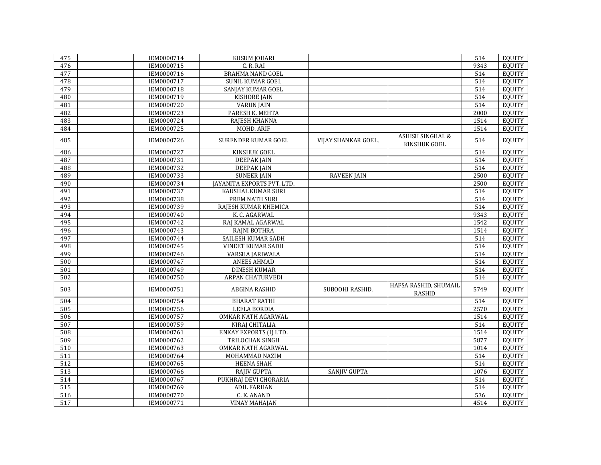| 475              | IEM0000714 | KUSUM JOHARI               |                     |                                             | 514  | <b>EQUITY</b> |
|------------------|------------|----------------------------|---------------------|---------------------------------------------|------|---------------|
| 476              | IEM0000715 | C.R.RAI                    |                     |                                             | 9343 | <b>EQUITY</b> |
| 477              | IEM0000716 | <b>BRAHMA NAND GOEL</b>    |                     |                                             | 514  | <b>EQUITY</b> |
| 478              | IEM0000717 | SUNIL KUMAR GOEL           |                     |                                             | 514  | <b>EQUITY</b> |
| 479              | IEM0000718 | SANJAY KUMAR GOEL          |                     |                                             | 514  | <b>EQUITY</b> |
| 480              | IEM0000719 | <b>KISHORE JAIN</b>        |                     |                                             | 514  | <b>EQUITY</b> |
| 481              | IEM0000720 | <b>VARUN JAIN</b>          |                     |                                             | 514  | <b>EQUITY</b> |
| 482              | IEM0000723 | PARESH K. MEHTA            |                     |                                             | 2000 | <b>EQUITY</b> |
| 483              | IEM0000724 | RAJESH KHANNA              |                     |                                             | 1514 | <b>EQUITY</b> |
| 484              | IEM0000725 | <b>MOHD. ARIF</b>          |                     |                                             | 1514 | <b>EQUITY</b> |
| 485              | IEM0000726 | SURENDER KUMAR GOEL        | VIJAY SHANKAR GOEL, | <b>ASHISH SINGHAL &amp;</b><br>KINSHUK GOEL | 514  | <b>EQUITY</b> |
| 486              | IEM0000727 | KINSHUK GOEL               |                     |                                             | 514  | <b>EQUITY</b> |
| 487              | IEM0000731 | <b>DEEPAK JAIN</b>         |                     |                                             | 514  | <b>EOUITY</b> |
| 488              | IEM0000732 | <b>DEEPAK JAIN</b>         |                     |                                             | 514  | <b>EQUITY</b> |
| 489              | IEM0000733 | <b>SUNEER JAIN</b>         | <b>RAVEEN JAIN</b>  |                                             | 2500 | <b>EOUITY</b> |
| 490              | IEM0000734 | JAYANITA EXPORTS PVT. LTD. |                     |                                             | 2500 | <b>EQUITY</b> |
| 491              | IEM0000737 | KAUSHAL KUMAR SURI         |                     |                                             | 514  | <b>EQUITY</b> |
| 492              | IEM0000738 | <b>PREM NATH SURI</b>      |                     |                                             | 514  | <b>EQUITY</b> |
| 493              | IEM0000739 | RAJESH KUMAR KHEMICA       |                     |                                             | 514  | <b>EQUITY</b> |
| 494              | IEM0000740 | K. C. AGARWAL              |                     |                                             | 9343 | <b>EQUITY</b> |
| 495              | IEM0000742 | RAJ KAMAL AGARWAL          |                     |                                             | 1542 | <b>EQUITY</b> |
| 496              | IEM0000743 | RAJNI BOTHRA               |                     |                                             | 1514 | <b>EQUITY</b> |
| 497              | IEM0000744 | SAILESH KUMAR SADH         |                     |                                             | 514  | <b>EQUITY</b> |
| 498              | IEM0000745 | <b>VINEET KUMAR SADH</b>   |                     |                                             | 514  | <b>EQUITY</b> |
| 499              | IEM0000746 | VARSHA JARIWALA            |                     |                                             | 514  | <b>EQUITY</b> |
| 500              | IEM0000747 | <b>ANEES AHMAD</b>         |                     |                                             | 514  | <b>EQUITY</b> |
| 501              | IEM0000749 | <b>DINESH KUMAR</b>        |                     |                                             | 514  | <b>EQUITY</b> |
| 502              | IEM0000750 | <b>ARPAN CHATURVEDI</b>    |                     |                                             | 514  | <b>EQUITY</b> |
| 503              | IEM0000751 | ABGINA RASHID              | SUBOOHI RASHID,     | HAFSA RASHID, SHUMAIL<br><b>RASHID</b>      | 5749 | <b>EQUITY</b> |
| 504              | IEM0000754 | <b>BHARAT RATHI</b>        |                     |                                             | 514  | <b>EQUITY</b> |
| 505              | IEM0000756 | <b>LEELA BORDIA</b>        |                     |                                             | 2570 | <b>EQUITY</b> |
| 506              | IEM0000757 | OMKAR NATH AGARWAL         |                     |                                             | 1514 | <b>EQUITY</b> |
| 507              | IEM0000759 | NIRAJ CHITALIA             |                     |                                             | 514  | <b>EQUITY</b> |
| 508              | IEM0000761 | ENKAY EXPORTS (I) LTD.     |                     |                                             | 1514 | <b>EQUITY</b> |
| 509              | IEM0000762 | <b>TRILOCHAN SINGH</b>     |                     |                                             | 5877 | <b>EQUITY</b> |
| 510              | IEM0000763 | OMKAR NATH AGARWAL         |                     |                                             | 1014 | <b>EQUITY</b> |
| $\overline{511}$ | IEM0000764 | MOHAMMAD NAZIM             |                     |                                             | 514  | <b>EQUITY</b> |
| 512              | IEM0000765 | HEENA SHAH                 |                     |                                             | 514  | <b>EQUITY</b> |
| 513              | IEM0000766 | RAJIV GUPTA                | SANJIV GUPTA        |                                             | 1076 | <b>EQUITY</b> |
| 514              | IEM0000767 | PUKHRAJ DEVI CHORARIA      |                     |                                             | 514  | <b>EQUITY</b> |
| $\overline{515}$ | IEM0000769 | <b>ADIL FARHAN</b>         |                     |                                             | 514  | <b>EQUITY</b> |
| 516              | IEM0000770 | C. K. ANAND                |                     |                                             | 536  | <b>EQUITY</b> |
| 517              | IEM0000771 | <b>VINAY MAHAJAN</b>       |                     |                                             | 4514 | EQUITY        |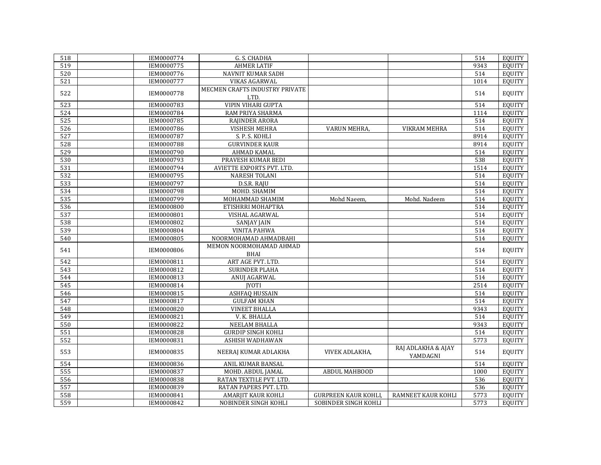| 518 | IEM0000774        | G. S. CHADHA                           |                            |                                | 514  | EQUITY        |
|-----|-------------------|----------------------------------------|----------------------------|--------------------------------|------|---------------|
| 519 | IEM0000775        | <b>AHMER LATIF</b>                     |                            |                                | 9343 | <b>EOUITY</b> |
| 520 | IEM0000776        | <b>NAVNIT KUMAR SADH</b>               |                            |                                | 514  | <b>EOUITY</b> |
| 521 | IEM0000777        | VIKAS AGARWAL                          |                            |                                | 1014 | EQUITY        |
| 522 | IEM0000778        | MECMEN CRAFTS INDUSTRY PRIVATE<br>LTD. |                            |                                | 514  | <b>EQUITY</b> |
| 523 | IEM0000783        | <b>VIPIN VIHARI GUPTA</b>              |                            |                                | 514  | EQUITY        |
| 524 | IEM0000784        | RAM PRIYA SHARMA                       |                            |                                | 1114 | <b>EQUITY</b> |
| 525 | IEM0000785        | RAJINDER ARORA                         |                            |                                | 514  | <b>EQUITY</b> |
| 526 | IEM0000786        | VISHESH MEHRA                          | <b>VARUN MEHRA</b>         | <b>VIKRAM MEHRA</b>            | 514  | <b>EQUITY</b> |
| 527 | IEM0000787        | S. P. S. KOHLI                         |                            |                                | 8914 | <b>EQUITY</b> |
| 528 | IEM0000788        | <b>GURVINDER KAUR</b>                  |                            |                                | 8914 | <b>EQUITY</b> |
| 529 | IEM0000790        | <b>AHMAD KAMAL</b>                     |                            |                                | 514  | <b>EQUITY</b> |
| 530 | IEM0000793        | PRAVESH KUMAR BEDI                     |                            |                                | 538  | <b>EQUITY</b> |
| 531 | IEM0000794        | AVIETTE EXPORTS PVT. LTD.              |                            |                                | 1514 | <b>EQUITY</b> |
| 532 | IEM0000795        | <b>NARESH TOLANI</b>                   |                            |                                | 514  | <b>EOUITY</b> |
| 533 | IEM0000797        | D.S.R. RAJU                            |                            |                                | 514  | <b>EQUITY</b> |
| 534 | IEM0000798        | MOHD. SHAMIM                           |                            |                                | 514  | <b>EQUITY</b> |
| 535 | IEM0000799        | MOHAMMAD SHAMIM                        | Mohd Naeem,                | Mohd. Nadeem                   | 514  | <b>EOUITY</b> |
| 536 | IEM0000800        | ETISHRRI MOHAPTRA                      |                            |                                | 514  | <b>EOUITY</b> |
| 537 | IEM0000801        | VISHAL AGARWAL                         |                            |                                | 514  | <b>EQUITY</b> |
| 538 | IEM0000802        | <b>SANJAY JAIN</b>                     |                            |                                | 514  | <b>EOUITY</b> |
| 539 | IEM0000804        | <b>VINITA PAHWA</b>                    |                            |                                | 514  | <b>EQUITY</b> |
| 540 | <b>IEM0000805</b> | NOORMOHAMAD AHMADBAHI                  |                            |                                | 514  | <b>EQUITY</b> |
| 541 | IEM0000806        | MEMON NOORMOHAMAD AHMAD                |                            |                                | 514  | <b>EQUITY</b> |
|     |                   | <b>BHAI</b>                            |                            |                                |      |               |
| 542 | IEM0000811        | ART AGE PVT. LTD.                      |                            |                                | 514  | <b>EQUITY</b> |
| 543 | IEM0000812        | SURINDER PLAHA                         |                            |                                | 514  | <b>EQUITY</b> |
| 544 | IEM0000813        | ANUJ AGARWAL                           |                            |                                | 514  | <b>EQUITY</b> |
| 545 | IEM0000814        | <b>IYOTI</b>                           |                            |                                | 2514 | <b>EQUITY</b> |
| 546 | IEM0000815        | ASHFAQ HUSSAIN                         |                            |                                | 514  | <b>EQUITY</b> |
| 547 | IEM0000817        | <b>GULFAM KHAN</b>                     |                            |                                | 514  | <b>EQUITY</b> |
| 548 | IEM0000820        | <b>VINEET BHALLA</b>                   |                            |                                | 9343 | <b>EQUITY</b> |
| 549 | IEM0000821        | V. K. BHALLA                           |                            |                                | 514  | <b>EQUITY</b> |
| 550 | IEM0000822        | NEELAM BHALLA                          |                            |                                | 9343 | <b>EOUITY</b> |
| 551 | IEM0000828        | <b>GURDIP SINGH KOHLI</b>              |                            |                                | 514  | <b>EQUITY</b> |
| 552 | IEM0000831        | ASHISH WADHAWAN                        |                            |                                | 5773 | <b>EQUITY</b> |
| 553 | IEM0000835        | NEERAJ KUMAR ADLAKHA                   | VIVEK ADLAKHA,             | RAJ ADLAKHA & AJAY<br>YAMDAGNI | 514  | <b>EQUITY</b> |
| 554 | IEM0000836        | ANIL KUMAR BANSAL                      |                            |                                | 514  | <b>EQUITY</b> |
| 555 | IEM0000837        | MOHD. ABDUL JAMAL                      | ABDUL MAHBOOD              |                                | 1000 | <b>EQUITY</b> |
| 556 | IEM0000838        | RATAN TEXTILE PVT. LTD.                |                            |                                | 536  | <b>EQUITY</b> |
| 557 | IEM0000839        | RATAN PAPERS PVT. LTD.                 |                            |                                | 536  | <b>EQUITY</b> |
| 558 | IEM0000841        | AMARJIT KAUR KOHLI                     | <b>GURPREEN KAUR KOHLI</b> | <b>RAMNEET KAUR KOHLI</b>      | 5773 | <b>EOUITY</b> |
| 559 | IEM0000842        | NOBINDER SINGH KOHLI                   | SOBINDER SINGH KOHLI       |                                | 5773 | EQUITY        |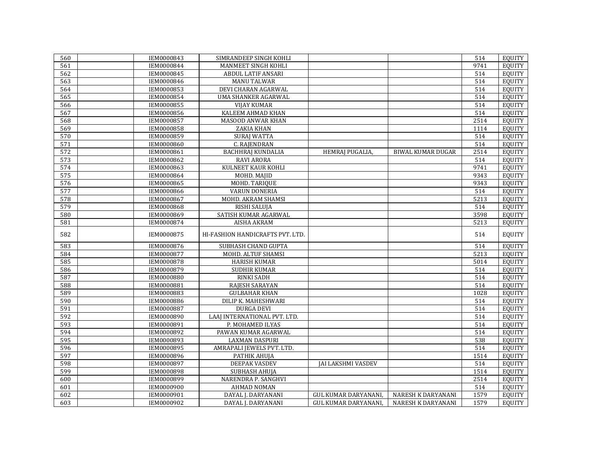| 560 | IEM0000843 | SIMRANDEEP SINGH KOHLI           |                             |                           | 514  | EQUITY        |
|-----|------------|----------------------------------|-----------------------------|---------------------------|------|---------------|
| 561 | IEM0000844 | MANMEET SINGH KOHLI              |                             |                           | 9741 | <b>EOUITY</b> |
| 562 | IEM0000845 | <b>ABDUL LATIF ANSARI</b>        |                             |                           | 514  | <b>EQUITY</b> |
| 563 | IEM0000846 | <b>MANU TALWAR</b>               |                             |                           | 514  | <b>EQUITY</b> |
| 564 | IEM0000853 | DEVI CHARAN AGARWAL              |                             |                           | 514  | <b>EQUITY</b> |
| 565 | IEM0000854 | <b>UMA SHANKER AGARWAL</b>       |                             |                           | 514  | <b>EQUITY</b> |
| 566 | IEM0000855 | <b>VIJAY KUMAR</b>               |                             |                           | 514  | <b>EQUITY</b> |
| 567 | IEM0000856 | KALEEM AHMAD KHAN                |                             |                           | 514  | <b>EQUITY</b> |
| 568 | IEM0000857 | <b>MASOOD ANWAR KHAN</b>         |                             |                           | 2514 | <b>EQUITY</b> |
| 569 | IEM0000858 | <b>ZAKIA KHAN</b>                |                             |                           | 1114 | <b>EQUITY</b> |
| 570 | IEM0000859 | <b>SURAJ WATTA</b>               |                             |                           | 514  | <b>EQUITY</b> |
| 571 | IEM0000860 | <b>C. RAJENDRAN</b>              |                             |                           | 514  | <b>EQUITY</b> |
| 572 | IEM0000861 | <b>BACHHRAJ KUNDALIA</b>         | <b>HEMRAJ PUGALIA,</b>      | <b>BIWAL KUMAR DUGAR</b>  | 2514 | <b>EQUITY</b> |
| 573 | IEM0000862 | RAVI ARORA                       |                             |                           | 514  | <b>EQUITY</b> |
| 574 | IEM0000863 | KULNEET KAUR KOHLI               |                             |                           | 9741 | <b>EQUITY</b> |
| 575 | IEM0000864 | MOHD. MAJID                      |                             |                           | 9343 | <b>EQUITY</b> |
| 576 | IEM0000865 | MOHD. TARIQUE                    |                             |                           | 9343 | <b>EQUITY</b> |
| 577 | IEM0000866 | <b>VARUN DONERIA</b>             |                             |                           | 514  | <b>EQUITY</b> |
| 578 | IEM0000867 | MOHD. AKRAM SHAMSI               |                             |                           | 5213 | <b>EQUITY</b> |
| 579 | IEM0000868 | RISHI SALUJA                     |                             |                           | 514  | <b>EQUITY</b> |
| 580 | IEM0000869 | SATISH KUMAR AGARWAL             |                             |                           | 3598 | <b>EQUITY</b> |
| 581 | IEM0000874 | <b>AISHA AKRAM</b>               |                             |                           | 5213 | <b>EQUITY</b> |
| 582 | IEM0000875 | HI-FASHION HANDICRAFTS PVT. LTD. |                             |                           | 514  | <b>EQUITY</b> |
| 583 | IEM0000876 | SUBHASH CHAND GUPTA              |                             |                           | 514  | <b>EQUITY</b> |
| 584 | IEM0000877 | MOHD. ALTUF SHAMSI               |                             |                           | 5213 | <b>EQUITY</b> |
| 585 | IEM0000878 | <b>HARISH KUMAR</b>              |                             |                           | 5014 | <b>EQUITY</b> |
| 586 | IEM0000879 | SUDHIR KUMAR                     |                             |                           | 514  | <b>EQUITY</b> |
| 587 | IEM0000880 | <b>RINKI SADH</b>                |                             |                           | 514  | <b>EQUITY</b> |
| 588 | IEM0000881 | RAJESH SARAYAN                   |                             |                           | 514  | <b>EQUITY</b> |
| 589 | IEM0000883 | <b>GULBAHAR KHAN</b>             |                             |                           | 1028 | <b>EQUITY</b> |
| 590 | IEM0000886 | DILIP K. MAHESHWARI              |                             |                           | 514  | <b>EQUITY</b> |
| 591 | IEM0000887 | <b>DURGA DEVI</b>                |                             |                           | 514  | <b>EQUITY</b> |
| 592 | IEM0000890 | LAAJ INTERNATIONAL PVT. LTD.     |                             |                           | 514  | <b>EQUITY</b> |
| 593 | IEM0000891 | P. MOHAMED ILYAS                 |                             |                           | 514  | <b>EQUITY</b> |
| 594 | IEM0000892 | PAWAN KUMAR AGARWAL              |                             |                           | 514  | <b>EQUITY</b> |
| 595 | IEM0000893 | <b>LAXMAN DASPURI</b>            |                             |                           | 538  | <b>EQUITY</b> |
| 596 | IEM0000895 | AMRAPALI JEWELS PVT. LTD.        |                             |                           | 514  | <b>EQUITY</b> |
| 597 | IEM0000896 | PATHIK AHUJA                     |                             |                           | 1514 | <b>EQUITY</b> |
| 598 | IEM0000897 | DEEPAK VASDEV                    | <b>JAI LAKSHMI VASDEV</b>   |                           | 514  | <b>EQUITY</b> |
| 599 | IEM0000898 | SUBHASH AHUJA                    |                             |                           | 1514 | <b>EOUITY</b> |
| 600 | IEM0000899 | NARENDRA P. SANGHVI              |                             |                           | 2514 | <b>EQUITY</b> |
| 601 | IEM0000900 | <b>AHMAD NOMAN</b>               |                             |                           | 514  | <b>EQUITY</b> |
| 602 | IEM0000901 | DAYAL J. DARYANANI               | <b>GUL KUMAR DARYANANI.</b> | <b>NARESH K DARYANANI</b> | 1579 | <b>EOUITY</b> |
| 603 | IEM0000902 | DAYAL J. DARYANANI               | <b>GUL KUMAR DARYANANI,</b> | NARESH K DARYANANI        | 1579 | <b>EQUITY</b> |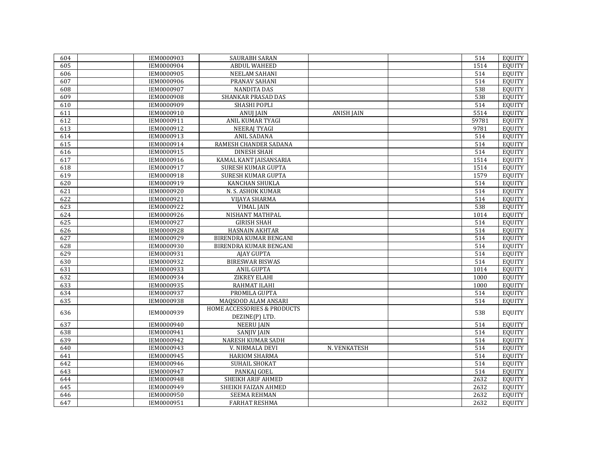| 604 | IEM0000903 | SAURABH SARAN                          |                   | 514   | EQUITY        |
|-----|------------|----------------------------------------|-------------------|-------|---------------|
| 605 | IEM0000904 | <b>ABDUL WAHEED</b>                    |                   | 1514  | <b>EOUITY</b> |
| 606 | IEM0000905 | <b>NEELAM SAHANI</b>                   |                   | 514   | <b>EOUITY</b> |
| 607 | IEM0000906 | PRANAV SAHANI                          |                   | 514   | <b>EQUITY</b> |
| 608 | IEM0000907 | <b>NANDITA DAS</b>                     |                   | 538   | <b>EOUITY</b> |
| 609 | IEM0000908 | SHANKAR PRASAD DAS                     |                   | 538   | <b>EQUITY</b> |
| 610 | IEM0000909 | SHASHI POPLI                           |                   | 514   | <b>EQUITY</b> |
| 611 | IEM0000910 | <b>ANUJ JAIN</b>                       | <b>ANISH JAIN</b> | 5514  | <b>EQUITY</b> |
| 612 | IEM0000911 | <b>ANIL KUMAR TYAGI</b>                |                   | 59781 | <b>EQUITY</b> |
| 613 | IEM0000912 | <b>NEERAJ TYAGI</b>                    |                   | 9781  | <b>EQUITY</b> |
| 614 | IEM0000913 | <b>ANIL SADANA</b>                     |                   | 514   | <b>EQUITY</b> |
| 615 | IEM0000914 | RAMESH CHANDER SADANA                  |                   | 514   | <b>EQUITY</b> |
| 616 | IEM0000915 | <b>DINESH SHAH</b>                     |                   | 514   | <b>EQUITY</b> |
| 617 | IEM0000916 | KAMAL KANT JAISANSARIA                 |                   | 1514  | <b>EQUITY</b> |
| 618 | IEM0000917 | SURESH KUMAR GUPTA                     |                   | 1514  | <b>EQUITY</b> |
| 619 | IEM0000918 | SURESH KUMAR GUPTA                     |                   | 1579  | <b>EOUITY</b> |
| 620 | IEM0000919 | KANCHAN SHUKLA                         |                   | 514   | <b>EOUITY</b> |
| 621 | IEM0000920 | N. S. ASHOK KUMAR                      |                   | 514   | <b>EQUITY</b> |
| 622 | IEM0000921 | VIJAYA SHARMA                          |                   | 514   | <b>EOUITY</b> |
| 623 | IEM0000922 | <b>VIMAL JAIN</b>                      |                   | 538   | <b>EQUITY</b> |
| 624 | IEM0000926 | NISHANT MATHPAL                        |                   | 1014  | <b>EQUITY</b> |
| 625 | IEM0000927 | <b>GIRISH SHAH</b>                     |                   | 514   | <b>EQUITY</b> |
| 626 | IEM0000928 | HASNAIN AKHTAR                         |                   | 514   | <b>EQUITY</b> |
| 627 | IEM0000929 | BIRENDRA KUMAR BENGANI                 |                   | 514   | <b>EQUITY</b> |
| 628 | IEM0000930 | BIRENDRA KUMAR BENGANI                 |                   | 514   | <b>EOUITY</b> |
| 629 | IEM0000931 | <b>AJAY GUPTA</b>                      |                   | 514   | <b>EQUITY</b> |
| 630 | IEM0000932 | <b>BIRESWAR BISWAS</b>                 |                   | 514   | <b>EQUITY</b> |
| 631 | IEM0000933 | <b>ANIL GUPTA</b>                      |                   | 1014  | <b>EQUITY</b> |
| 632 | IEM0000934 | ZIKREY ELAHI                           |                   | 1000  | <b>EQUITY</b> |
| 633 | IEM0000935 | RAHMAT ILAHI                           |                   | 1000  | <b>EQUITY</b> |
| 634 | IEM0000937 | PROMILA GUPTA                          |                   | 514   | <b>EQUITY</b> |
| 635 | IEM0000938 | MAQSOOD ALAM ANSARI                    |                   | 514   | <b>EOUITY</b> |
|     |            | <b>HOME ACCESSORIES &amp; PRODUCTS</b> |                   |       |               |
| 636 | IEM0000939 | DEZINE(P) LTD.                         |                   | 538   | <b>EQUITY</b> |
| 637 | IEM0000940 | <b>NEERU JAIN</b>                      |                   | 514   | <b>EQUITY</b> |
| 638 | IEM0000941 | <b>SANJIV JAIN</b>                     |                   | 514   | <b>EQUITY</b> |
| 639 | IEM0000942 | <b>NARESH KUMAR SADH</b>               |                   | 514   | <b>EQUITY</b> |
| 640 | IEM0000943 | V. NIRMALA DEVI                        | N. VENKATESH      | 514   | <b>EQUITY</b> |
| 641 | IEM0000945 | HARIOM SHARMA                          |                   | 514   | <b>EQUITY</b> |
| 642 | IEM0000946 | SUHAIL SHOKAT                          |                   | 514   | <b>EQUITY</b> |
| 643 | IEM0000947 | PANKAJ GOEL                            |                   | 514   | <b>EQUITY</b> |
| 644 | IEM0000948 | SHEIKH ARIF AHMED                      |                   | 2632  | <b>EQUITY</b> |
| 645 | IEM0000949 | SHEIKH FAIZAN AHMED                    |                   | 2632  | <b>EOUITY</b> |
| 646 | IEM0000950 | <b>SEEMA REHMAN</b>                    |                   | 2632  | <b>EOUITY</b> |
| 647 | IEM0000951 | <b>FARHAT RESHMA</b>                   |                   | 2632  | <b>EQUITY</b> |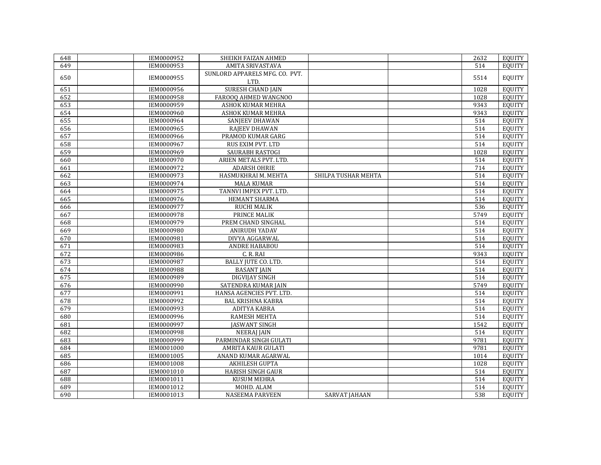| 648 | IEM0000952 | SHEIKH FAIZAN AHMED                    |                      | 2632 | EQUITY        |
|-----|------------|----------------------------------------|----------------------|------|---------------|
| 649 | IEM0000953 | AMITA SRIVASTAVA                       |                      | 514  | <b>EQUITY</b> |
| 650 | IEM0000955 | SUNLORD APPARELS MFG. CO. PVT.<br>LTD. |                      | 5514 | <b>EQUITY</b> |
| 651 | IEM0000956 | <b>SURESH CHAND JAIN</b>               |                      | 1028 | <b>EQUITY</b> |
| 652 | IEM0000958 | FAROOQ AHMED WANGNOO                   |                      | 1028 | <b>EQUITY</b> |
| 653 | IEM0000959 | <b>ASHOK KUMAR MEHRA</b>               |                      | 9343 | <b>EQUITY</b> |
| 654 | IEM0000960 | ASHOK KUMAR MEHRA                      |                      | 9343 | EQUITY        |
| 655 | IEM0000964 | SANJEEV DHAWAN                         |                      | 514  | <b>EQUITY</b> |
| 656 | IEM0000965 | RAJEEV DHAWAN                          |                      | 514  | <b>EOUITY</b> |
| 657 | IEM0000966 | PRAMOD KUMAR GARG                      |                      | 514  | <b>EQUITY</b> |
| 658 | IEM0000967 | RUS EXIM PVT. LTD                      |                      | 514  | <b>EQUITY</b> |
| 659 | IEM0000969 | SAURABH RASTOGI                        |                      | 1028 | <b>EQUITY</b> |
| 660 | IEM0000970 | ARIEN METALS PVT. LTD.                 |                      | 514  | <b>EQUITY</b> |
| 661 | IEM0000972 | <b>ADARSH OHRIE</b>                    |                      | 714  | <b>EOUITY</b> |
| 662 | IEM0000973 | HASMUKHRAI M. MEHTA                    | SHILPA TUSHAR MEHTA  | 514  | <b>EQUITY</b> |
| 663 | IEM0000974 | <b>MALA KUMAR</b>                      |                      | 514  | <b>EQUITY</b> |
| 664 | IEM0000975 | TANNVI IMPEX PVT. LTD.                 |                      | 514  | <b>EQUITY</b> |
| 665 | IEM0000976 | HEMANT SHARMA                          |                      | 514  | <b>EQUITY</b> |
| 666 | IEM0000977 | <b>RUCHI MALIK</b>                     |                      | 536  | EQUITY        |
| 667 | IEM0000978 | <b>PRINCE MALIK</b>                    |                      | 5749 | <b>EQUITY</b> |
| 668 | IEM0000979 | PREM CHAND SINGHAL                     |                      | 514  | <b>EQUITY</b> |
| 669 | IEM0000980 | <b>ANIRUDH YADAV</b>                   |                      | 514  | <b>EQUITY</b> |
| 670 | IEM0000981 | <b>DIVYA AGGARWAL</b>                  |                      | 514  | <b>EQUITY</b> |
| 671 | IEM0000983 | ANDRE HABABOU                          |                      | 514  | <b>EQUITY</b> |
| 672 | IEM0000986 | C.R.RAI                                |                      | 9343 | <b>EQUITY</b> |
| 673 | IEM0000987 | BALLY JUTE CO. LTD.                    |                      | 514  | <b>EQUITY</b> |
| 674 | IEM0000988 | <b>BASANT JAIN</b>                     |                      | 514  | EQUITY        |
| 675 | IEM0000989 | <b>DIGVIJAY SINGH</b>                  |                      | 514  | <b>EQUITY</b> |
| 676 | IEM0000990 | SATENDRA KUMAR JAIN                    |                      | 5749 | <b>EQUITY</b> |
| 677 | IEM0000991 | HANSA AGENCIES PVT. LTD.               |                      | 514  | EQUITY        |
| 678 | IEM0000992 | <b>BAL KRISHNA KABRA</b>               |                      | 514  | <b>EQUITY</b> |
| 679 | IEM0000993 | ADITYA KABRA                           |                      | 514  | EQUITY        |
| 680 | IEM0000996 | <b>RAMESH MEHTA</b>                    |                      | 514  | <b>EQUITY</b> |
| 681 | IEM0000997 | <b>JASWANT SINGH</b>                   |                      | 1542 | <b>EQUITY</b> |
| 682 | IEM0000998 | <b>NEERAJ JAIN</b>                     |                      | 514  | <b>EQUITY</b> |
| 683 | IEM0000999 | PARMINDAR SINGH GULATI                 |                      | 9781 | <b>EQUITY</b> |
| 684 | IEM0001000 | AMRITA KAUR GULATI                     |                      | 9781 | EQUITY        |
| 685 | IEM0001005 | ANAND KUMAR AGARWAL                    |                      | 1014 | <b>EQUITY</b> |
| 686 | IEM0001008 | AKHILESH GUPTA                         |                      | 1028 | <b>EQUITY</b> |
| 687 | IEM0001010 | <b>HARISH SINGH GAUR</b>               |                      | 514  | EQUITY        |
| 688 | IEM0001011 | <b>KUSUM MEHRA</b>                     |                      | 514  | <b>EQUITY</b> |
| 689 | IEM0001012 | MOHD. ALAM                             |                      | 514  | <b>EQUITY</b> |
| 690 | IEM0001013 | <b>NASEEMA PARVEEN</b>                 | <b>SARVAT JAHAAN</b> | 538  | EQUITY        |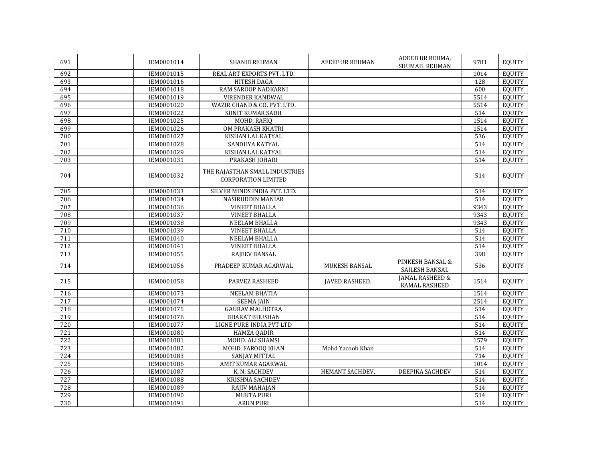| 691 | IEM0001014 | <b>SHANIB REHMAN</b>                                         | <b>AFEEF UR REHMAN</b> | ADEEB UR REHMA,<br><b>SHUMAIL REHMAN</b> | 9781 | <b>EQUITY</b> |
|-----|------------|--------------------------------------------------------------|------------------------|------------------------------------------|------|---------------|
| 692 | IEM0001015 | REAL ART EXPORTS PVT, LTD.                                   |                        |                                          | 1014 | <b>EOUITY</b> |
| 693 | IEM0001016 | HITESH DAGA                                                  |                        |                                          | 128  | <b>EQUITY</b> |
| 694 | IEM0001018 | RAM SAROOP NADKARNI                                          |                        |                                          | 600  | <b>EOUITY</b> |
| 695 | IEM0001019 | <b>VIRENDER KANDWAL</b>                                      |                        |                                          | 5514 | <b>EQUITY</b> |
| 696 | IEM0001020 | WAZIR CHAND & CO. PVT. LTD.                                  |                        |                                          | 5514 | <b>EQUITY</b> |
| 697 | IEM0001022 | <b>SUNIT KUMAR SADH</b>                                      |                        |                                          | 514  | <b>EQUITY</b> |
| 698 | IEM0001025 | MOHD. RAFIO                                                  |                        |                                          | 1514 | <b>EQUITY</b> |
| 699 | IEM0001026 | OM PRAKASH KHATRI                                            |                        |                                          | 1514 | <b>EQUITY</b> |
| 700 | IEM0001027 | KISHAN LAL KATYAL                                            |                        |                                          | 536  | <b>EQUITY</b> |
| 701 | IEM0001028 | SANDHYA KATYAL                                               |                        |                                          | 514  | <b>EQUITY</b> |
| 702 | IEM0001029 | KISHAN LAL KATYAL                                            |                        |                                          | 514  | <b>EQUITY</b> |
| 703 | IEM0001031 | PRAKASH JOHARI                                               |                        |                                          | 514  | <b>EQUITY</b> |
| 704 | IEM0001032 | THE RAJASTHAN SMALL INDUSTRIES<br><b>CORPORATION LIMITED</b> |                        |                                          | 514  | <b>EQUITY</b> |
| 705 | IEM0001033 | SILVER MINDS INDIA PVT. LTD.                                 |                        |                                          | 514  | <b>EQUITY</b> |
| 706 | IEM0001034 | NASIRUDDIN MANIAR                                            |                        |                                          | 514  | <b>EQUITY</b> |
| 707 | IEM0001036 | <b>VINEET BHALLA</b>                                         |                        |                                          | 9343 | <b>EQUITY</b> |
| 708 | IEM0001037 | <b>VINEET BHALLA</b>                                         |                        |                                          | 9343 | <b>EQUITY</b> |
| 709 | IEM0001038 | NEELAM BHALLA                                                |                        |                                          | 9343 | <b>EQUITY</b> |
| 710 | IEM0001039 | <b>VINEET BHALLA</b>                                         |                        |                                          | 514  | <b>EQUITY</b> |
| 711 | IEM0001040 | NEELAM BHALLA                                                |                        |                                          | 514  | <b>EQUITY</b> |
| 712 | IEM0001041 | <b>VINEET BHALLA</b>                                         |                        |                                          | 514  | <b>EQUITY</b> |
| 713 | IEM0001055 | RAJEEV BANSAL                                                |                        |                                          | 398  | <b>EQUITY</b> |
| 714 | IEM0001056 | PRADEEP KUMAR AGARWAL                                        | MUKESH BANSAL          | PINKESH BANSAL &<br>SAILESH BANSAL       | 536  | <b>EQUITY</b> |
| 715 | IEM0001058 | <b>PARVEZ RASHEED</b>                                        | <b>JAVED RASHEED,</b>  | JAMAL RASHEED &<br>KAMAL RASHEED         | 1514 | <b>EQUITY</b> |
| 716 | IEM0001073 | <b>NEELAM BHATIA</b>                                         |                        |                                          | 1514 | <b>EQUITY</b> |
| 717 | IEM0001074 | <b>SEEMA JAIN</b>                                            |                        |                                          | 2514 | <b>EQUITY</b> |
| 718 | IEM0001075 | <b>GAURAV MALHOTRA</b>                                       |                        |                                          | 514  | <b>EQUITY</b> |
| 719 | IEM0001076 | <b>BHARAT BHUSHAN</b>                                        |                        |                                          | 514  | <b>EQUITY</b> |
| 720 | IEM0001077 | LIGNE PURE INDIA PVT LTD                                     |                        |                                          | 514  | <b>EQUITY</b> |
| 721 | IEM0001080 | <b>HAMZA QADIR</b>                                           |                        |                                          | 514  | <b>EQUITY</b> |
| 722 | IEM0001081 | MOHD. ALI SHAMSI                                             |                        |                                          | 1579 | <b>EQUITY</b> |
| 723 | IEM0001082 | MOHD. FAROOQ KHAN                                            | Mohd Yacoob Khan       |                                          | 514  | <b>EOUITY</b> |
| 724 | IEM0001083 | SANJAY MITTAL                                                |                        |                                          | 714  | <b>EQUITY</b> |
| 725 | IEM0001086 | AMIT KUMAR AGARWAL                                           |                        |                                          | 1014 | <b>EQUITY</b> |
| 726 | IEM0001087 | K. N. SACHDEV                                                | HEMANT SACHDEV,        | DEEPIKA SACHDEV                          | 514  | <b>EQUITY</b> |
| 727 | IEM0001088 | KRISHNA SACHDEV                                              |                        |                                          | 514  | <b>EQUITY</b> |
| 728 | IEM0001089 | <b>RAJIV MAHAJAN</b>                                         |                        |                                          | 514  | <b>EQUITY</b> |
| 729 | IEM0001090 | <b>MUKTA PURI</b>                                            |                        |                                          | 514  | <b>EOUITY</b> |
| 730 | IEM0001091 | <b>ARUN PURI</b>                                             |                        |                                          | 514  | EQUITY        |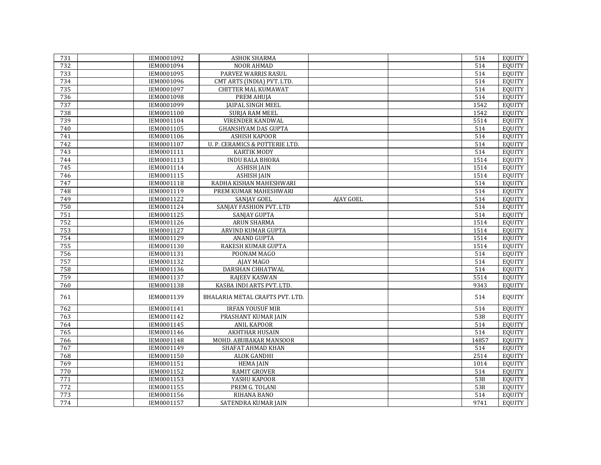| 731 | IEM0001092 | <b>ASHOK SHARMA</b>             |           | 514   | EQUITY        |
|-----|------------|---------------------------------|-----------|-------|---------------|
| 732 | IEM0001094 | NOOR AHMAD                      |           | 514   | <b>EOUITY</b> |
| 733 | IEM0001095 | PARVEZ WARRIS RASUL             |           | 514   | <b>EQUITY</b> |
| 734 | IEM0001096 | CMT ARTS (INDIA) PVT. LTD.      |           | 514   | <b>EQUITY</b> |
| 735 | IEM0001097 | <b>CHITTER MAL KUMAWAT</b>      |           | 514   | EQUITY        |
| 736 | IEM0001098 | PREM AHUIA                      |           | 514   | <b>EOUITY</b> |
| 737 | IEM0001099 | JAIPAL SINGH MEEL               |           | 1542  | <b>EQUITY</b> |
| 738 | IEM0001100 | SURJA RAM MEEL                  |           | 1542  | <b>EQUITY</b> |
| 739 | IEM0001104 | <b>VIRENDER KANDWAL</b>         |           | 5514  | <b>EQUITY</b> |
| 740 | IEM0001105 | <b>GHANSHYAM DAS GUPTA</b>      |           | 514   | <b>EQUITY</b> |
| 741 | IEM0001106 | <b>ASHISH KAPOOR</b>            |           | 514   | <b>EQUITY</b> |
| 742 | IEM0001107 | U. P. CERAMICS & POTTERIE LTD.  |           | 514   | <b>EQUITY</b> |
| 743 | IEM0001111 | <b>KARTIK MODY</b>              |           | 514   | <b>EQUITY</b> |
| 744 | IEM0001113 | <b>INDU BALA BHORA</b>          |           | 1514  | <b>EQUITY</b> |
| 745 | IEM0001114 | <b>ASHISH JAIN</b>              |           | 1514  | <b>EQUITY</b> |
| 746 | IEM0001115 | <b>ASHISH JAIN</b>              |           | 1514  | <b>EQUITY</b> |
| 747 | IEM0001118 | RADHA KISHAN MAHESHWARI         |           | 514   | <b>EQUITY</b> |
| 748 | IEM0001119 | PREM KUMAR MAHESHWARI           |           | 514   | <b>EQUITY</b> |
| 749 | IEM0001122 | SANJAY GOEL                     | AJAY GOEL | 514   | <b>EQUITY</b> |
| 750 | IEM0001124 | SANJAY FASHION PVT. LTD         |           | 514   | <b>EQUITY</b> |
| 751 | IEM0001125 | SANJAY GUPTA                    |           | 514   | EQUITY        |
| 752 | IEM0001126 | <b>ARUN SHARMA</b>              |           | 1514  | <b>EQUITY</b> |
| 753 | IEM0001127 | <b>ARVIND KUMAR GUPTA</b>       |           | 1514  | <b>EQUITY</b> |
| 754 | IEM0001129 | <b>ANAND GUPTA</b>              |           | 1514  | <b>EQUITY</b> |
| 755 | IEM0001130 | RAKESH KUMAR GUPTA              |           | 1514  | <b>EQUITY</b> |
| 756 | IEM0001131 | POONAM MAGO                     |           | 514   | <b>EOUITY</b> |
| 757 | IEM0001132 | AJAY MAGO                       |           | 514   | <b>EQUITY</b> |
| 758 | IEM0001136 | DARSHAN CHHATWAL                |           | 514   | <b>EOUITY</b> |
| 759 | IEM0001137 | <b>RAJEEV KASWAN</b>            |           | 5514  | <b>EOUITY</b> |
| 760 | IEM0001138 | KASBA INDI ARTS PVT. LTD.       |           | 9343  | <b>EQUITY</b> |
| 761 | IEM0001139 | BHALARIA METAL CRAFTS PVT. LTD. |           | 514   | <b>EQUITY</b> |
| 762 | IEM0001141 | <b>IRFAN YOUSUF MIR</b>         |           | 514   | <b>EQUITY</b> |
| 763 | IEM0001142 | PRASHANT KUMAR JAIN             |           | 538   | <b>EQUITY</b> |
| 764 | IEM0001145 | <b>ANIL KAPOOR</b>              |           | 514   | EQUITY        |
| 765 | IEM0001146 | <b>AKHTHAR HUSAIN</b>           |           | 514   | <b>EQUITY</b> |
| 766 | IEM0001148 | MOHD. ABUBAKAR MANSOOR          |           | 14857 | <b>EQUITY</b> |
| 767 | IEM0001149 | SHAFAT AHMAD KHAN               |           | 514   | EQUITY        |
| 768 | IEM0001150 | <b>ALOK GANDHI</b>              |           | 2514  | <b>EQUITY</b> |
| 769 | IEM0001151 | <b>HEMA JAIN</b>                |           | 1014  | <b>EQUITY</b> |
| 770 | IEM0001152 | <b>RAMIT GROVER</b>             |           | 514   | <b>EOUITY</b> |
| 771 | IEM0001153 | YASHU KAPOOR                    |           | 538   | <b>EQUITY</b> |
| 772 | IEM0001155 | PREM G. TOLANI                  |           | 538   | <b>EOUITY</b> |
| 773 | IEM0001156 | RIHANA BANO                     |           | 514   | <b>EOUITY</b> |
| 774 | IEM0001157 | SATENDRA KUMAR JAIN             |           | 9741  | EQUITY        |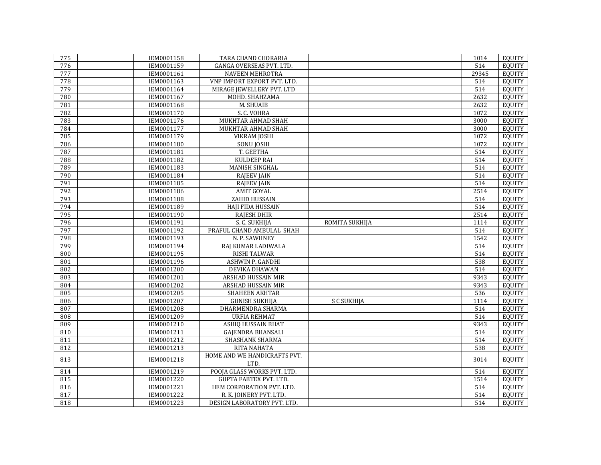| 775 | IEM0001158 | TARA CHAND CHORARIA           |                | 1014  | EQUITY        |
|-----|------------|-------------------------------|----------------|-------|---------------|
| 776 | IEM0001159 | GANGA OVERSEAS PVT. LTD.      |                | 514   | <b>EOUITY</b> |
| 777 | IEM0001161 | <b>NAVEEN MEHROTRA</b>        |                | 29345 | <b>EOUITY</b> |
| 778 | IEM0001163 | VNP IMPORT EXPORT PVT. LTD.   |                | 514   | EQUITY        |
| 779 | IEM0001164 | MIRAGE JEWELLERY PVT. LTD     |                | 514   | <b>EOUITY</b> |
| 780 | IEM0001167 | MOHD. SHAHZAMA                |                | 2632  | <b>EQUITY</b> |
| 781 | IEM0001168 | M. SHUAIB                     |                | 2632  | <b>EQUITY</b> |
| 782 | IEM0001170 | S. C. VOHRA                   |                | 1072  | <b>EQUITY</b> |
| 783 | IEM0001176 | MUKHTAR AHMAD SHAH            |                | 3000  | <b>EQUITY</b> |
| 784 | IEM0001177 | MUKHTAR AHMAD SHAH            |                | 3000  | EQUITY        |
| 785 | IEM0001179 | <b>VIKRAM JOSHI</b>           |                | 1072  | <b>EQUITY</b> |
| 786 | IEM0001180 | SONU JOSHI                    |                | 1072  | <b>EQUITY</b> |
| 787 | IEM0001181 | T. GEETHA                     |                | 514   | <b>EQUITY</b> |
| 788 | IEM0001182 | <b>KULDEEP RAI</b>            |                | 514   | <b>EQUITY</b> |
| 789 | IEM0001183 | MANISH SINGHAL                |                | 514   | <b>EQUITY</b> |
| 790 | IEM0001184 | <b>RAJEEV JAIN</b>            |                | 514   | <b>EQUITY</b> |
| 791 | IEM0001185 | <b>RAJEEV JAIN</b>            |                | 514   | <b>EOUITY</b> |
| 792 | IEM0001186 | <b>AMIT GOYAL</b>             |                | 2514  | <b>EQUITY</b> |
| 793 | IEM0001188 | ZAHID HUSSAIN                 |                | 514   | <b>EQUITY</b> |
| 794 | IEM0001189 | HAJI FIDA HUSSAIN             |                | 514   | <b>EQUITY</b> |
| 795 | IEM0001190 | RAJESH DHIR                   |                | 2514  | <b>EQUITY</b> |
| 796 | IEM0001191 | S. C. SUKHIJA                 | ROMITA SUKHIJA | 1114  | <b>EQUITY</b> |
| 797 | IEM0001192 | PRAFUL CHAND AMBULAL SHAH     |                | 514   | EQUITY        |
| 798 | IEM0001193 | N. P. SAWHNEY                 |                | 1542  | <b>EQUITY</b> |
| 799 | IEM0001194 | RAJ KUMAR LADIWALA            |                | 514   | <b>EQUITY</b> |
| 800 | IEM0001195 | RISHI TALWAR                  |                | 514   | <b>EQUITY</b> |
| 801 | IEM0001196 | ASHWIN P. GANDHI              |                | 538   | <b>EQUITY</b> |
| 802 | IEM0001200 | DEVIKA DHAWAN                 |                | 514   | <b>EQUITY</b> |
| 803 | IEM0001201 | ARSHAD HUSSAIN MIR            |                | 9343  | EQUITY        |
| 804 | IEM0001202 | ARSHAD HUSSAIN MIR            |                | 9343  | <b>EQUITY</b> |
| 805 | IEM0001205 | SHAHEEN AKHTAR                |                | 536   | <b>EQUITY</b> |
| 806 | IEM0001207 | <b>GUNISH SUKHIJA</b>         | S C SUKHIJA    | 1114  | <b>EOUITY</b> |
| 807 | IEM0001208 | DHARMENDRA SHARMA             |                | 514   | <b>EQUITY</b> |
| 808 | IEM0001209 | <b>URFIA REHMAT</b>           |                | 514   | <b>EQUITY</b> |
| 809 | IEM0001210 | ASHIQ HUSSAIN BHAT            |                | 9343  | <b>EQUITY</b> |
| 810 | IEM0001211 | <b>GAJENDRA BHANSALI</b>      |                | 514   | <b>EQUITY</b> |
| 811 | IEM0001212 | SHASHANK SHARMA               |                | 514   | <b>EQUITY</b> |
| 812 | IEM0001213 | RITA NAHATA                   |                | 538   | <b>EQUITY</b> |
| 813 | IEM0001218 | HOME AND WE HANDICRAFTS PVT.  |                | 3014  | <b>EQUITY</b> |
|     |            | LTD.                          |                |       |               |
| 814 | IEM0001219 | POOJA GLASS WORKS PVT. LTD.   |                | 514   | EQUITY        |
| 815 | IEM0001220 | <b>GUPTA FABTEX PVT. LTD.</b> |                | 1514  | <b>EQUITY</b> |
| 816 | IEM0001221 | HEM CORPORATION PVT. LTD.     |                | 514   | <b>EOUITY</b> |
| 817 | IEM0001222 | R. K. JOINERY PVT. LTD.       |                | 514   | <b>EQUITY</b> |
| 818 | IEM0001223 | DESIGN LABORATORY PVT. LTD.   |                | 514   | <b>EQUITY</b> |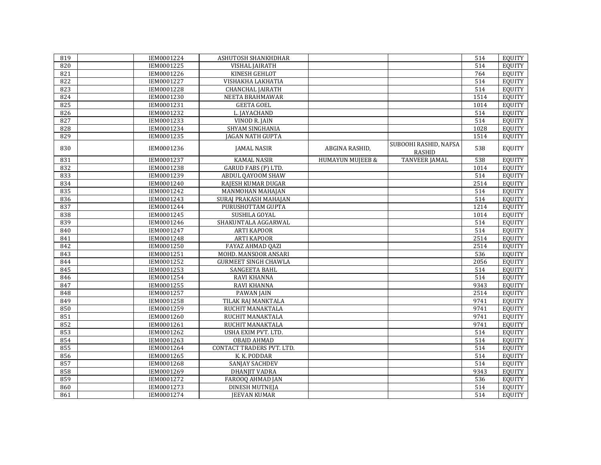| 819 | IEM0001224 | ASHUTOSH SHANKHDHAR         |                             |                                        | 514  | EQUITY        |
|-----|------------|-----------------------------|-----------------------------|----------------------------------------|------|---------------|
| 820 | IEM0001225 | <b>VISHAL JAIRATH</b>       |                             |                                        | 514  | <b>EQUITY</b> |
| 821 | IEM0001226 | KINESH GEHLOT               |                             |                                        | 764  | <b>EQUITY</b> |
| 822 | IEM0001227 | VISHAKHA LAKHATIA           |                             |                                        | 514  | <b>EQUITY</b> |
| 823 | IEM0001228 | <b>CHANCHAL JAIRATH</b>     |                             |                                        | 514  | <b>EQUITY</b> |
| 824 | IEM0001230 | NEETA BRAHMAWAR             |                             |                                        | 1514 | <b>EQUITY</b> |
| 825 | IEM0001231 | <b>GEETA GOEL</b>           |                             |                                        | 1014 | <b>EQUITY</b> |
| 826 | IEM0001232 | L. JAYACHAND                |                             |                                        | 514  | <b>EQUITY</b> |
| 827 | IEM0001233 | <b>VINOD R. JAIN</b>        |                             |                                        | 514  | <b>EQUITY</b> |
| 828 | IEM0001234 | <b>SHYAM SINGHANIA</b>      |                             |                                        | 1028 | <b>EQUITY</b> |
| 829 | IEM0001235 | <b>JAGAN NATH GUPTA</b>     |                             |                                        | 1514 | <b>EQUITY</b> |
| 830 | IEM0001236 | <b>JAMAL NASIR</b>          | ABGINA RASHID,              | SUBOOHI RASHID, NAFSA<br><b>RASHID</b> | 538  | <b>EQUITY</b> |
| 831 | IEM0001237 | <b>KAMAL NASIR</b>          | <b>HUMAYUN MUJEEB &amp;</b> | <b>TANVEER JAMAL</b>                   | 538  | <b>EQUITY</b> |
| 832 | IEM0001238 | GARUD FABS (P) LTD.         |                             |                                        | 1014 | <b>EQUITY</b> |
| 833 | IEM0001239 | ABDUL QAYOOM SHAW           |                             |                                        | 514  | <b>EQUITY</b> |
| 834 | IEM0001240 | RAJESH KUMAR DUGAR          |                             |                                        | 2514 | <b>EQUITY</b> |
| 835 | IEM0001242 | MANMOHAN MAHAJAN            |                             |                                        | 514  | <b>EQUITY</b> |
| 836 | IEM0001243 | SURAJ PRAKASH MAHAJAN       |                             |                                        | 514  | <b>EQUITY</b> |
| 837 | IEM0001244 | PURUSHOTTAM GUPTA           |                             |                                        | 1214 | <b>EQUITY</b> |
| 838 | IEM0001245 | SUSHILA GOYAL               |                             |                                        | 1014 | <b>EQUITY</b> |
| 839 | IEM0001246 | SHAKUNTALA AGGARWAL         |                             |                                        | 514  | <b>EQUITY</b> |
| 840 | IEM0001247 | <b>ARTI KAPOOR</b>          |                             |                                        | 514  | <b>EQUITY</b> |
| 841 | IEM0001248 | <b>ARTI KAPOOR</b>          |                             |                                        | 2514 | <b>EQUITY</b> |
| 842 | IEM0001250 | FAYAZ AHMAD QAZI            |                             |                                        | 2514 | <b>EQUITY</b> |
| 843 | IEM0001251 | MOHD. MANSOOR ANSARI        |                             |                                        | 536  | <b>EQUITY</b> |
| 844 | IEM0001252 | <b>GURMEET SINGH CHAWLA</b> |                             |                                        | 2056 | <b>EQUITY</b> |
| 845 | IEM0001253 | <b>SANGEETA BAHL</b>        |                             |                                        | 514  | <b>EQUITY</b> |
| 846 | IEM0001254 | RAVI KHANNA                 |                             |                                        | 514  | <b>EQUITY</b> |
| 847 | IEM0001255 | RAVI KHANNA                 |                             |                                        | 9343 | <b>EQUITY</b> |
| 848 | IEM0001257 | <b>PAWAN JAIN</b>           |                             |                                        | 2514 | <b>EQUITY</b> |
| 849 | IEM0001258 | TILAK RAJ MANKTALA          |                             |                                        | 9741 | <b>EQUITY</b> |
| 850 | IEM0001259 | RUCHIT MANAKTALA            |                             |                                        | 9741 | <b>EQUITY</b> |
| 851 | IEM0001260 | RUCHIT MANAKTALA            |                             |                                        | 9741 | <b>EQUITY</b> |
| 852 | IEM0001261 | RUCHIT MANAKTALA            |                             |                                        | 9741 | <b>EQUITY</b> |
| 853 | IEM0001262 | <b>USHA EXIM PVT. LTD.</b>  |                             |                                        | 514  | <b>EQUITY</b> |
| 854 | IEM0001263 | <b>OBAID AHMAD</b>          |                             |                                        | 514  | <b>EQUITY</b> |
| 855 | IEM0001264 | CONTACT TRADERS PVT. LTD.   |                             |                                        | 514  | <b>EQUITY</b> |
| 856 | IEM0001265 | K. K. PODDAR                |                             |                                        | 514  | <b>EQUITY</b> |
| 857 | IEM0001268 | <b>SANJAY SACHDEV</b>       |                             |                                        | 514  | <b>EQUITY</b> |
| 858 | IEM0001269 | <b>DHANJIT VADRA</b>        |                             |                                        | 9343 | <b>EQUITY</b> |
| 859 | IEM0001272 | FAROOQ AHMAD JAN            |                             |                                        | 536  | <b>EQUITY</b> |
| 860 | IEM0001273 | <b>DINESH MUTNEJA</b>       |                             |                                        | 514  | EQUITY        |
| 861 | IEM0001274 | <b>JEEVAN KUMAR</b>         |                             |                                        | 514  | <b>EQUITY</b> |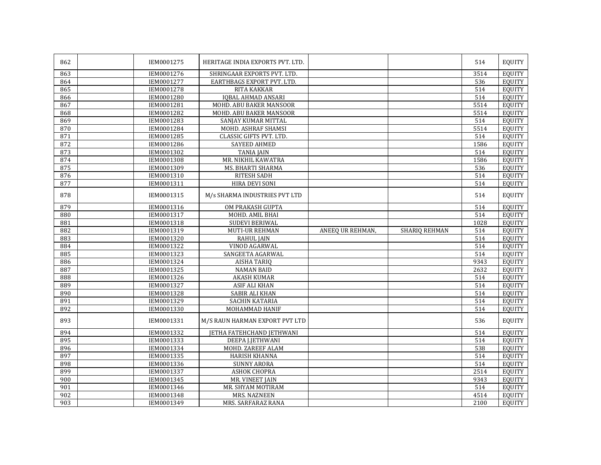| 862 | IEM0001275 | HERITAGE INDIA EXPORTS PVT. LTD. |                  |               | 514               | <b>EQUITY</b> |
|-----|------------|----------------------------------|------------------|---------------|-------------------|---------------|
| 863 | IEM0001276 | SHRINGAAR EXPORTS PVT. LTD.      |                  |               | 3514              | <b>EQUITY</b> |
| 864 | IEM0001277 | EARTHBAGS EXPORT PVT. LTD.       |                  |               | 536               | <b>EQUITY</b> |
| 865 | IEM0001278 | <b>RITA KAKKAR</b>               |                  |               | 514               | <b>EOUITY</b> |
| 866 | IEM0001280 | <b>IQBAL AHMAD ANSARI</b>        |                  |               | 514               | <b>EQUITY</b> |
| 867 | IEM0001281 | MOHD. ABU BAKER MANSOOR          |                  |               | 5514              | <b>EQUITY</b> |
| 868 | IEM0001282 | MOHD, ABU BAKER MANSOOR          |                  |               | 5514              | <b>EQUITY</b> |
| 869 | IEM0001283 | SANJAY KUMAR MITTAL              |                  |               | 514               | <b>EQUITY</b> |
| 870 | IEM0001284 | MOHD. ASHRAF SHAMSI              |                  |               | 5514              | <b>EQUITY</b> |
| 871 | IEM0001285 | <b>CLASSIC GIFTS PVT. LTD.</b>   |                  |               | 514               | <b>EQUITY</b> |
| 872 | IEM0001286 | <b>SAYEED AHMED</b>              |                  |               | 1586              | <b>EQUITY</b> |
| 873 | IEM0001302 | <b>TANIA JAIN</b>                |                  |               | 514               | <b>EQUITY</b> |
| 874 | IEM0001308 | MR. NIKHIL KAWATRA               |                  |               | 1586              | <b>EQUITY</b> |
| 875 | IEM0001309 | MS. BHARTI SHARMA                |                  |               | 536               | <b>EQUITY</b> |
| 876 | IEM0001310 | RITESH SADH                      |                  |               | 514               | <b>EOUITY</b> |
| 877 | IEM0001311 | HIRA DEVI SONI                   |                  |               | 514               | <b>EQUITY</b> |
| 878 | IEM0001315 | M/s SHARMA INDUSTRIES PVT LTD    |                  |               | 514               | <b>EQUITY</b> |
| 879 | IEM0001316 | OM PRAKASH GUPTA                 |                  |               | 514               | <b>EOUITY</b> |
| 880 | IEM0001317 | MOHD. AMIL BHAI                  |                  |               | 514               | <b>EQUITY</b> |
| 881 | IEM0001318 | <b>SUDEVI BERIWAL</b>            |                  |               | 1028              | <b>EQUITY</b> |
| 882 | IEM0001319 | MUTI-UR REHMAN                   | ANEEO UR REHMAN, | SHARIO REHMAN | 514               | <b>EQUITY</b> |
| 883 | IEM0001320 | <b>RAHUL JAIN</b>                |                  |               | 514               | <b>EQUITY</b> |
| 884 | IEM0001322 | VINOD AGARWAL                    |                  |               | 514               | <b>EQUITY</b> |
| 885 | IEM0001323 | SANGEETA AGARWAL                 |                  |               | 514               | <b>EQUITY</b> |
| 886 | IEM0001324 | <b>AISHA TARIQ</b>               |                  |               | 9343              | <b>EQUITY</b> |
| 887 | IEM0001325 | <b>NAMAN BAID</b>                |                  |               | $263\overline{2}$ | <b>EQUITY</b> |
| 888 | IEM0001326 | <b>AKASH KUMAR</b>               |                  |               | 514               | <b>EQUITY</b> |
| 889 | IEM0001327 | <b>ASIF ALI KHAN</b>             |                  |               | 514               | <b>EQUITY</b> |
| 890 | IEM0001328 | <b>SABIR ALI KHAN</b>            |                  |               | 514               | <b>EQUITY</b> |
| 891 | IEM0001329 | SACHIN KATARIA                   |                  |               | 514               | <b>EQUITY</b> |
| 892 | IEM0001330 | MOHAMMAD HANIF                   |                  |               | 514               | <b>EQUITY</b> |
| 893 | IEM0001331 | M/S RAUN HARMAN EXPORT PVT LTD   |                  |               | 536               | <b>EQUITY</b> |
| 894 | IEM0001332 | <b>JETHA FATEHCHAND JETHWANI</b> |                  |               | 514               | <b>EQUITY</b> |
| 895 | IEM0001333 | DEEPA J.JETHWANI                 |                  |               | 514               | <b>EQUITY</b> |
| 896 | IEM0001334 | MOHD. ZAREEF ALAM                |                  |               | 538               | <b>EQUITY</b> |
| 897 | IEM0001335 | <b>HARISH KHANNA</b>             |                  |               | 514               | <b>EQUITY</b> |
| 898 | IEM0001336 | <b>SUNNY ARORA</b>               |                  |               | 514               | <b>EQUITY</b> |
| 899 | IEM0001337 | ASHOK CHOPRA                     |                  |               | 2514              | <b>EQUITY</b> |
| 900 | IEM0001345 | MR. VINEET JAIN                  |                  |               | 9343              | <b>EQUITY</b> |
| 901 | IEM0001346 | MR. SHYAM MOTIRAM                |                  |               | 514               | <b>EQUITY</b> |
| 902 | IEM0001348 | MRS. NAZNEEN                     |                  |               | 4514              | <b>EOUITY</b> |
| 903 | IEM0001349 | MRS. SARFARAZ RANA               |                  |               | 2100              | <b>EQUITY</b> |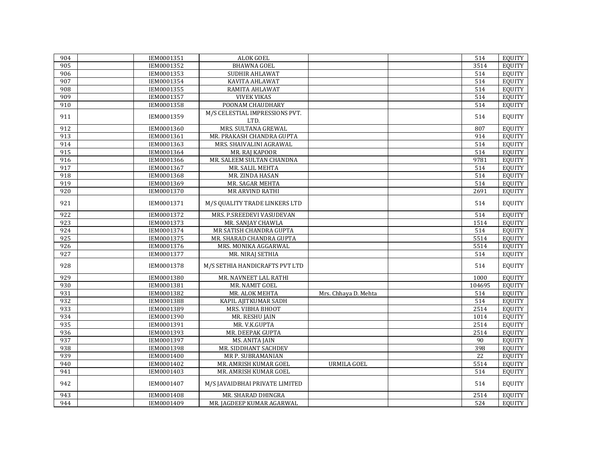| 904              | IEM0001351 | ALOK GOEL                      |                      | 514    | EQUITY        |
|------------------|------------|--------------------------------|----------------------|--------|---------------|
| 905              | IEM0001352 | <b>BHAWNA GOEL</b>             |                      | 3514   | EQUITY        |
| 906              | IEM0001353 | SUDHIR AHLAWAT                 |                      | 514    | EQUITY        |
| 907              | IEM0001354 | KAVITA AHLAWAT                 |                      | 514    | <b>EQUITY</b> |
| 908              | IEM0001355 | RAMITA AHLAWAT                 |                      | 514    | <b>EQUITY</b> |
| 909              | IEM0001357 | <b>VIVEK VIKAS</b>             |                      | 514    | <b>EQUITY</b> |
| 910              | IEM0001358 | POONAM CHAUDHARY               |                      | 514    | <b>EQUITY</b> |
|                  |            | M/S CELESTIAL IMPRESSIONS PVT. |                      |        |               |
| 911              | IEM0001359 | LTD.                           |                      | 514    | <b>EQUITY</b> |
| 912              | IEM0001360 | MRS. SULTANA GREWAL            |                      | 807    | <b>EQUITY</b> |
| 913              | IEM0001361 | MR. PRAKASH CHANDRA GUPTA      |                      | 914    | <b>EQUITY</b> |
| 914              | IEM0001363 | MRS. SHAIVALINI AGRAWAL        |                      | 514    | <b>EQUITY</b> |
| $\overline{915}$ | IEM0001364 | MR. RAJ KAPOOR                 |                      | 514    | EQUITY        |
| 916              | IEM0001366 | MR. SALEEM SULTAN CHANDNA      |                      | 9781   | <b>EQUITY</b> |
| 917              | IEM0001367 | MR. SALIL MEHTA                |                      | 514    | <b>EQUITY</b> |
| 918              | IEM0001368 | MR. ZINDA HASAN                |                      | 514    | <b>EQUITY</b> |
| $\overline{919}$ | IEM0001369 | MR. SAGAR MEHTA                |                      | 514    | <b>EQUITY</b> |
| 920              | IEM0001370 | <b>MR ARVIND RATHI</b>         |                      | 2691   | <b>EQUITY</b> |
|                  |            |                                |                      |        |               |
| 921              | IEM0001371 | M/S QUALITY TRADE LINKERS LTD  |                      | 514    | <b>EQUITY</b> |
| 922              | IEM0001372 | MRS. P.SREEDEVI VASUDEVAN      |                      | 514    | <b>EQUITY</b> |
| 923              | IEM0001373 | MR. SANJAY CHAWLA              |                      | 1514   | <b>EQUITY</b> |
| 924              | IEM0001374 | MR SATISH CHANDRA GUPTA        |                      | 514    | <b>EQUITY</b> |
| 925              | IEM0001375 | MR. SHARAD CHANDRA GUPTA       |                      | 5514   | <b>EQUITY</b> |
| $\overline{926}$ | IEM0001376 | MRS. MONIKA AGGARWAL           |                      | 5514   | <b>EQUITY</b> |
| 927              | IEM0001377 | MR. NIRAJ SETHIA               |                      | 514    | <b>EQUITY</b> |
| 928              | IEM0001378 | M/S SETHIA HANDICRAFTS PVT LTD |                      | 514    | <b>EQUITY</b> |
| 929              | IEM0001380 | MR. NAVNEET LAL RATHI          |                      | 1000   | <b>EQUITY</b> |
| 930              | IEM0001381 | MR. NAMIT GOEL                 |                      | 104695 | <b>EQUITY</b> |
| 931              | IEM0001382 | MR. ALOK MEHTA                 | Mrs. Chhaya D. Mehta | 514    | <b>EQUITY</b> |
| 932              | IEM0001388 | KAPIL AJITKUMAR SADH           |                      | 514    | <b>EQUITY</b> |
| 933              | IEM0001389 | MRS. VIBHA BHOOT               |                      | 2514   | <b>EQUITY</b> |
| 934              | IEM0001390 | <b>MR. RESHU JAIN</b>          |                      | 1014   | <b>EQUITY</b> |
| 935              | IEM0001391 | MR. V.K.GUPTA                  |                      | 2514   | <b>EQUITY</b> |
| 936              | IEM0001393 | MR. DEEPAK GUPTA               |                      | 2514   | <b>EQUITY</b> |
| 937              | IEM0001397 | MS. ANITA JAIN                 |                      | 90     | <b>EQUITY</b> |
| 938              | IEM0001398 | MR. SIDDHANT SACHDEV           |                      | 398    | <b>EQUITY</b> |
| 939              | IEM0001400 | MR P. SUBRAMANIAN              |                      | 22     | <b>EQUITY</b> |
| 940              | IEM0001402 | MR. AMRISH KUMAR GOEL          | <b>URMILA GOEL</b>   | 5514   | <b>EQUITY</b> |
| 941              | IEM0001403 | MR. AMRISH KUMAR GOEL          |                      | 514    | <b>EQUITY</b> |
| 942              | IEM0001407 | M/S JAVAIDBHAI PRIVATE LIMITED |                      | 514    | <b>EQUITY</b> |
| 943              | IEM0001408 | MR. SHARAD DHINGRA             |                      | 2514   | <b>EQUITY</b> |
| 944              | IEM0001409 | MR. JAGDEEP KUMAR AGARWAL      |                      | 524    | EQUITY        |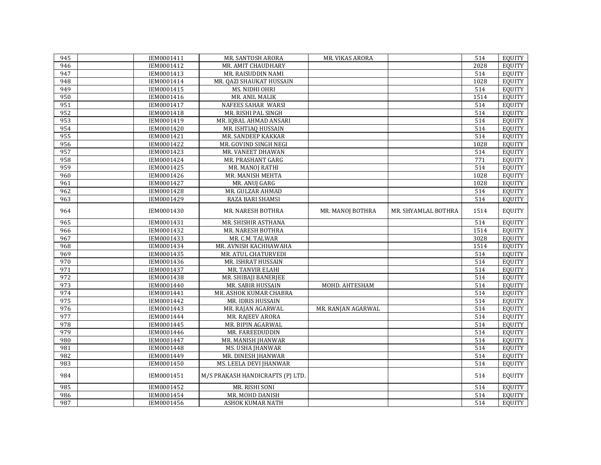| 945              | IEM0001411 | MR. SANTOSH ARORA                | MR. VIKAS ARORA    |                     | 514  | EQUITY        |
|------------------|------------|----------------------------------|--------------------|---------------------|------|---------------|
| 946              | IEM0001412 | MR. AMIT CHAUDHARY               |                    |                     | 2028 | EQUITY        |
| 947              | IEM0001413 | MR. RAISUDDIN NAMI               |                    |                     | 514  | EQUITY        |
| 948              | IEM0001414 | MR. QAZI SHAUKAT HUSSAIN         |                    |                     | 1028 | EQUITY        |
| 949              | IEM0001415 | MS. NIDHI OHRI                   |                    |                     | 514  | <b>EQUITY</b> |
| 950              | IEM0001416 | MR. ANIL MALIK                   |                    |                     | 1514 | <b>EQUITY</b> |
| 951              | IEM0001417 | <b>NAFEES SAHAR WARSI</b>        |                    |                     | 514  | <b>EQUITY</b> |
| 952              | IEM0001418 | MR. RISHI PAL SINGH              |                    |                     | 514  | <b>EQUITY</b> |
| 953              | IEM0001419 | MR. IQBAL AHMAD ANSARI           |                    |                     | 514  | <b>EQUITY</b> |
| 954              | IEM0001420 | MR. ISHTIAQ HUSSAIN              |                    |                     | 514  | <b>EQUITY</b> |
| 955              | IEM0001421 | MR. SANDEEP KAKKAR               |                    |                     | 514  | <b>EQUITY</b> |
| 956              | IEM0001422 | MR. GOVIND SINGH NEGI            |                    |                     | 1028 | <b>EQUITY</b> |
| 957              | IEM0001423 | MR. VANEET DHAWAN                |                    |                     | 514  | <b>EQUITY</b> |
| 958              | IEM0001424 | MR. PRASHANT GARG                |                    |                     | 771  | <b>EQUITY</b> |
| 959              | IEM0001425 | MR. MANOJ RATHI                  |                    |                     | 514  | <b>EQUITY</b> |
| 960              | IEM0001426 | MR. MANISH MEHTA                 |                    |                     | 1028 | <b>EQUITY</b> |
| 961              | IEM0001427 | MR. ANUJ GARG                    |                    |                     | 1028 | <b>EQUITY</b> |
| 962              | IEM0001428 | MR. GULZAR AHMAD                 |                    |                     | 514  | <b>EQUITY</b> |
| 963              | IEM0001429 | RAZA BARI SHAMSI                 |                    |                     | 514  | <b>EQUITY</b> |
| 964              | IEM0001430 | MR. NARESH BOTHRA                | MR. MANOJ BOTHRA   | MR. SHYAMLAL BOTHRA | 1514 | <b>EQUITY</b> |
| 965              | IEM0001431 | MR. SHISHIR ASTHANA              |                    |                     | 514  | <b>EQUITY</b> |
| 966              | IEM0001432 | MR. NARESH BOTHRA                |                    |                     | 1514 | <b>EQUITY</b> |
| 967              | IEM0001433 | MR. C.M. TALWAR                  |                    |                     | 3028 | <b>EQUITY</b> |
| 968              | IEM0001434 | MR. AVNISH KACHHAWAHA            |                    |                     | 1514 | <b>EQUITY</b> |
| 969              | IEM0001435 | MR. ATUL CHATURVEDI              |                    |                     | 514  | EQUITY        |
| 970              | IEM0001436 | MR. ISHRAT HUSSAIN               |                    |                     | 514  | EQUITY        |
| 971              | IEM0001437 | MR. TANVIR ELAHI                 |                    |                     | 514  | <b>EQUITY</b> |
| 972              | IEM0001438 | MR. SHIBAJI BANERJEE             |                    |                     | 514  | <b>EQUITY</b> |
| 973              | IEM0001440 | MR. SABIR HUSSAIN                | MOHD. AHTESHAM     |                     | 514  | <b>EQUITY</b> |
| 974              | IEM0001441 | MR. ASHOK KUMAR CHABRA           |                    |                     | 514  | <b>EQUITY</b> |
| $\overline{975}$ | IEM0001442 | MR. IDRIS HUSSAIN                |                    |                     | 514  | <b>EQUITY</b> |
| $\overline{976}$ | IEM0001443 | MR. RAJAN AGARWAL                | MR. RANJAN AGARWAL |                     | 514  | <b>EQUITY</b> |
| 977              | IEM0001444 | MR. RAJEEV ARORA                 |                    |                     | 514  | <b>EQUITY</b> |
| 978              | IEM0001445 | MR. BIPIN AGARWAL                |                    |                     | 514  | <b>EQUITY</b> |
| 979              | IEM0001446 | MR. FAREEDUDDIN                  |                    |                     | 514  | EQUITY        |
| 980              | IEM0001447 | MR. MANISH JHANWAR               |                    |                     | 514  | <b>EQUITY</b> |
| 981              | IEM0001448 | <b>MS. USHA JHANWAR</b>          |                    |                     | 514  | <b>EQUITY</b> |
| 982              | IEM0001449 | MR. DINESH JHANWAR               |                    |                     | 514  | <b>EQUITY</b> |
| 983              | IEM0001450 | MS. LEELA DEVI JHANWAR           |                    |                     | 514  | <b>EQUITY</b> |
| 984              | IEM0001451 | M/S PRAKASH HANDICRAFTS (P) LTD. |                    |                     | 514  | <b>EQUITY</b> |
| 985              | IEM0001452 | MR. RISHI SONI                   |                    |                     | 514  | <b>EQUITY</b> |
| 986              | IEM0001454 | MR. MOHD DANISH                  |                    |                     | 514  | EQUITY        |
| 987              | IEM0001456 | <b>ASHOK KUMAR NATH</b>          |                    |                     | 514  | EQUITY        |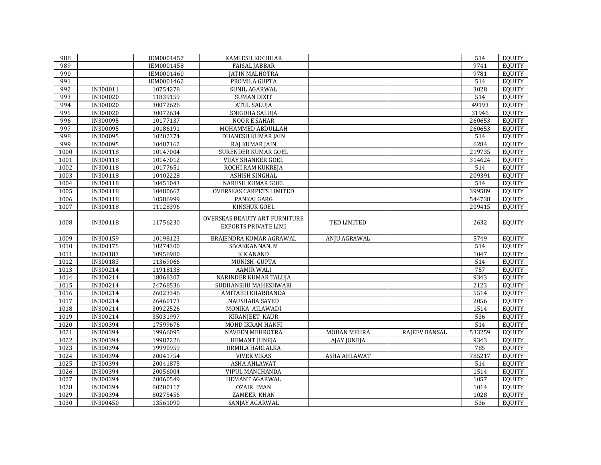| 988          |                      | IEM0001457           | KAMLESH KOCHHAR                                              |                     |               | 514         | <b>EQUITY</b>                  |
|--------------|----------------------|----------------------|--------------------------------------------------------------|---------------------|---------------|-------------|--------------------------------|
| 989          |                      | IEM0001458           | <b>FAISAL JABBAR</b>                                         |                     |               | 9741        | <b>EOUITY</b>                  |
| 990          |                      | IEM0001460           | <b>IATIN MALHOTRA</b>                                        |                     |               | 9781        | <b>EQUITY</b>                  |
| 991          |                      | IEM0001462           | PROMILA GUPTA                                                |                     |               | 514         | <b>EQUITY</b>                  |
| 992          | IN300011             | 10754278             | SUNIL AGARWAL                                                |                     |               | 3028        | <b>EQUITY</b>                  |
| 993          | <b>IN300020</b>      | 11839159             | <b>SUMAN DIXIT</b>                                           |                     |               | 514         | <b>EQUITY</b>                  |
| 994          | IN300020             | 30072626             | <b>ATUL SALUJA</b>                                           |                     |               | 49193       | <b>EQUITY</b>                  |
| 995          | IN300020             | 30072634             | SNIGDHA SALUJA                                               |                     |               | 31946       | <b>EQUITY</b>                  |
| 996          | <b>IN300095</b>      | 10177137             | <b>NOOR E SAHAR</b>                                          |                     |               | 260653      | <b>EQUITY</b>                  |
| 997          | IN300095             | 10186191             | MOHAMMED ABDULLAH                                            |                     |               | 260653      | <b>EQUITY</b>                  |
| 998          | IN300095             | 10202374             | <b>DHANESH KUMAR JAIN</b>                                    |                     |               | 514         | <b>EQUITY</b>                  |
| 999          | IN300095             | 10487162             | RAJ KUMAR JAIN                                               |                     |               | 6284        | <b>EQUITY</b>                  |
| 1000         | IN300118             | 10147004             | <b>SURENDER KUMAR GOEL</b>                                   |                     |               | 219735      | <b>EOUITY</b>                  |
| 1001         | IN300118             | 10147012             | <b>VIJAY SHANKER GOEL</b>                                    |                     |               | 314624      | <b>EQUITY</b>                  |
| 1002         | IN300118             | 10177651             | ROCHI RAM KUKREJA                                            |                     |               | 514         | <b>EQUITY</b>                  |
| 1003         | IN300118             | 10402228             | ASHISH SINGHAL                                               |                     |               | 209391      | <b>EQUITY</b>                  |
| 1004         | IN300118             | 10451043             | <b>NARESH KUMAR GOEL</b>                                     |                     |               | 514         | <b>EOUITY</b>                  |
| 1005         | IN300118             | 10480667             | <b>OVERSEAS CARPETS LIMITED</b>                              |                     |               | 399589      | <b>EQUITY</b>                  |
| 1006         | IN300118             | 10586999             | PANKAJ GARG                                                  |                     |               | 544738      | <b>EQUITY</b>                  |
| 1007         | IN300118             | 11128396             | KINSHUK GOEL                                                 |                     |               | 209415      | <b>EQUITY</b>                  |
| 1008         | IN300118             | 11756230             | OVERSEAS BEAUTY ART FURNITURE<br><b>EXPORTS PRIVATE LIMI</b> | TED LIMITED         |               | 2632        | <b>EQUITY</b>                  |
| 1009         | IN300159             | 10198123             | BRAJENDRA KUMAR AGRAWAL                                      | ANJU AGRAWAL        |               | 5749        | <b>EQUITY</b>                  |
| 1010         | IN300175             | 10274300             | SIVAKKANNAN. M                                               |                     |               | 514         | <b>EQUITY</b>                  |
| 1011         | IN300183             | 10958980             | <b>KKANAND</b>                                               |                     |               | 1047        | <b>EQUITY</b>                  |
| 1012         | IN300183             | 11369066             | MUNISH GUPTA                                                 |                     |               | 514         | <b>EQUITY</b>                  |
| 1013         | IN300214             | 11918138             | <b>AAMIR WALI</b>                                            |                     |               | 757         | <b>EOUITY</b>                  |
| 1014         | IN300214             | 18068307             | NARINDER KUMAR TALUJA                                        |                     |               | 9343        | <b>EQUITY</b>                  |
| 1015         | IN300214             | 24768536             | SUDHANSHU MAHESHWARI                                         |                     |               | 2123        | <b>EQUITY</b>                  |
| 1016         | IN300214             | 26023346             | AMITABH KHARBANDA                                            |                     |               | 5514        | <b>EQUITY</b>                  |
| 1017         | IN300214             | 26460173             | NAUSHABA SAYED                                               |                     |               | 2056        | <b>EQUITY</b>                  |
| 1018         | IN300214             | 30922526             | MONIKA AILAWADI                                              |                     |               | 1514        | <b>EQUITY</b>                  |
| 1019         | IN300214             | 35031997             | <b>KIRANJEET KAUR</b>                                        |                     |               | 536         | <b>EQUITY</b>                  |
| 1020         | IN300394             |                      |                                                              |                     |               |             | <b>EOUITY</b>                  |
| 1021         |                      | 17599676             | MOHD IKRAM HANFI                                             |                     |               | 514         |                                |
|              | IN300394             | 19966095             | <b>NAVEEN MEHROTRA</b>                                       | <b>MOHAN MEHRA</b>  | RAJEEV BANSAL | 533259      | <b>EQUITY</b>                  |
| 1022         | IN300394             | 19987226             | <b>HEMANT JUNEJA</b>                                         | AJAY JONEJA         |               | 9343        | <b>EQUITY</b>                  |
| 1023         | IN300394             | 19990959             | URMILA HARLALKA                                              |                     |               | 785         | <b>EQUITY</b>                  |
| 1024         | IN300394             | 20041754             | <b>VIVEK VIKAS</b>                                           | <b>ASHA AHLAWAT</b> |               | 785217      | <b>EQUITY</b>                  |
| 1025         | IN300394             | 20041875             | ASHA AHLAWAT                                                 |                     |               | 514         | <b>EQUITY</b>                  |
| 1026         | IN300394             | 20056004             | <b>VIPUL MANCHANDA</b>                                       |                     |               | 1514        | <b>EQUITY</b>                  |
| 1027         | IN300394             | 20060549             | HEMANT AGARWAL                                               |                     |               | 1057        | <b>EQUITY</b>                  |
| 1028         | IN300394             | 80200117             | <b>OZAIR IMAN</b>                                            |                     |               | 1014        | <b>EQUITY</b>                  |
| 1029<br>1030 | IN300394<br>IN300450 | 80275456<br>13561090 | <b>ZAMEER KHAN</b><br>SANJAY AGARWAL                         |                     |               | 1028<br>536 | <b>EQUITY</b><br><b>EQUITY</b> |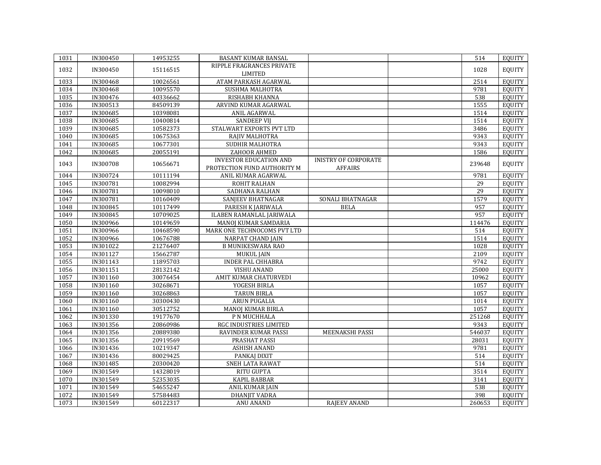| 1031 | IN300450        | 14953255 | BASANT KUMAR BANSAL           |                             | 514             | <b>EQUITY</b> |
|------|-----------------|----------|-------------------------------|-----------------------------|-----------------|---------------|
|      |                 |          | RIPPLE FRAGRANCES PRIVATE     |                             |                 |               |
| 1032 | IN300450        | 15116515 | <b>LIMITED</b>                |                             | 1028            | <b>EQUITY</b> |
| 1033 | IN300468        | 10026561 | ATAM PARKASH AGARWAL          |                             | 2514            | <b>EQUITY</b> |
| 1034 | <b>IN300468</b> | 10095570 | SUSHMA MALHOTRA               |                             | 9781            | <b>EQUITY</b> |
| 1035 | IN300476        | 40336662 | RISHABH KHANNA                |                             | 538             | <b>EQUITY</b> |
| 1036 | IN300513        | 84509139 | ARVIND KUMAR AGARWAL          |                             | 1555            | <b>EQUITY</b> |
| 1037 | IN300685        | 10398081 | ANIL AGARWAL                  |                             | 1514            | <b>EQUITY</b> |
| 1038 | IN300685        | 10400814 | <b>SANDEEP VIJ</b>            |                             | 1514            | <b>EQUITY</b> |
| 1039 | IN300685        | 10582373 | STALWART EXPORTS PVT LTD      |                             | 3486            | <b>EQUITY</b> |
| 1040 | IN300685        | 10675363 | RAJIV MALHOTRA                |                             | 9343            | <b>EQUITY</b> |
| 1041 | IN300685        | 10677301 | SUDHIR MALHOTRA               |                             | 9343            | <b>EQUITY</b> |
| 1042 | IN300685        | 20055191 | ZAHOOR AHMED                  |                             | 1586            | <b>EQUITY</b> |
|      |                 |          | <b>INVESTOR EDUCATION AND</b> | <b>INISTRY OF CORPORATE</b> |                 |               |
| 1043 | IN300708        | 10656671 | PROTECTION FUND AUTHORITY M   | <b>AFFAIRS</b>              | 239648          | <b>EQUITY</b> |
| 1044 | IN300724        | 10111194 | ANIL KUMAR AGARWAL            |                             | 9781            | <b>EQUITY</b> |
| 1045 | IN300781        | 10082994 | <b>ROHIT RALHAN</b>           |                             | $\overline{29}$ | <b>EQUITY</b> |
| 1046 | IN300781        | 10098010 | SADHANA RALHAN                |                             | 29              | <b>EQUITY</b> |
| 1047 | IN300781        | 10160409 | SANJEEV BHATNAGAR             | SONALI BHATNAGAR            | 1579            | <b>EQUITY</b> |
| 1048 | IN300845        | 10117499 | PARESH K JARIWALA             | <b>BELA</b>                 | 957             | <b>EQUITY</b> |
| 1049 | IN300845        | 10709025 | ILABEN RAMANLAL JARIWALA      |                             | 957             | <b>EQUITY</b> |
| 1050 | IN300966        | 10149659 | MANOJ KUMAR SAMDARIA          |                             | 114476          | <b>EQUITY</b> |
| 1051 | IN300966        | 10468590 | MARK ONE TECHNOCOMS PVT LTD   |                             | 514             | <b>EOUITY</b> |
| 1052 | IN300966        | 10676788 | <b>NARPAT CHAND JAIN</b>      |                             | 1514            | <b>EQUITY</b> |
| 1053 | IN301022        | 21276407 | <b>B MUNIKESWARA RAO</b>      |                             | 1028            | <b>EQUITY</b> |
| 1054 | IN301127        | 15662787 | <b>MUKUL JAIN</b>             |                             | 2109            | <b>EQUITY</b> |
| 1055 | IN301143        | 11895703 | <b>INDER PAL CHHABRA</b>      |                             | 9742            | <b>EQUITY</b> |
| 1056 | IN301151        | 28132142 | <b>VISHU ANAND</b>            |                             | 25000           | <b>EQUITY</b> |
| 1057 | IN301160        | 30076454 | AMIT KUMAR CHATURVEDI         |                             | 10962           | <b>EQUITY</b> |
| 1058 | IN301160        | 30268671 | YOGESH BIRLA                  |                             | 1057            | <b>EQUITY</b> |
| 1059 | IN301160        | 30268863 | <b>TARUN BIRLA</b>            |                             | 1057            | <b>EQUITY</b> |
| 1060 | IN301160        | 30300430 | ARUN PUGALIA                  |                             | 1014            | <b>EQUITY</b> |
| 1061 | IN301160        | 30512752 | MANOJ KUMAR BIRLA             |                             | 1057            | <b>EQUITY</b> |
| 1062 | IN301330        | 19177670 | P N MUCHHALA                  |                             | 251268          | <b>EQUITY</b> |
| 1063 | IN301356        | 20860986 | RGC INDUSTRIES LIMITED        |                             | 9343            | <b>EQUITY</b> |
| 1064 | IN301356        | 20889380 | RAVINDER KUMAR PASSI          | MEENAKSHI PASSI             | 546037          | <b>EQUITY</b> |
| 1065 | IN301356        | 20919569 | PRASHAT PASSI                 |                             | 28031           | <b>EQUITY</b> |
| 1066 | IN301436        | 10219347 | <b>ASHISH ANAND</b>           |                             | 9781            | <b>EQUITY</b> |
| 1067 | IN301436        | 80029425 | PANKAJ DIXIT                  |                             | 514             | <b>EQUITY</b> |
| 1068 | IN301485        | 20300420 | SNEH LATA RAWAT               |                             | 514             | <b>EQUITY</b> |
| 1069 | IN301549        | 14328019 | <b>RITU GUPTA</b>             |                             | 3514            | <b>EQUITY</b> |
| 1070 | IN301549        | 52353035 | <b>KAPIL BABBAR</b>           |                             | 3141            | <b>EQUITY</b> |
| 1071 | IN301549        | 54655247 | ANIL KUMAR JAIN               |                             | 538             | <b>EQUITY</b> |
| 1072 | IN301549        | 57584483 | <b>DHANJIT VADRA</b>          |                             | 398             | <b>EQUITY</b> |
| 1073 | IN301549        | 60122317 | <b>ANU ANAND</b>              | <b>RAJEEV ANAND</b>         | 260653          | EQUITY        |
|      |                 |          |                               |                             |                 |               |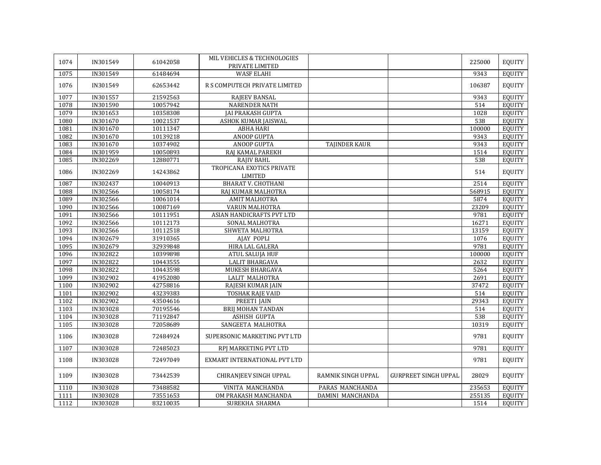| 1074 | IN301549 | 61042058 | MIL VEHICLES & TECHNOLOGIES<br>PRIVATE LIMITED |                      |                             | 225000 | <b>EQUITY</b> |
|------|----------|----------|------------------------------------------------|----------------------|-----------------------------|--------|---------------|
| 1075 | IN301549 | 61484694 | <b>WASF ELAHI</b>                              |                      |                             | 9343   | <b>EQUITY</b> |
| 1076 | IN301549 | 62653442 | R S COMPUTECH PRIVATE LIMITED                  |                      |                             | 106387 | <b>EQUITY</b> |
| 1077 | IN301557 | 21592563 | <b>RAJEEV BANSAL</b>                           |                      |                             | 9343   | <b>EQUITY</b> |
| 1078 | IN301590 | 10057942 | <b>NARENDER NATH</b>                           |                      |                             | 514    | <b>EQUITY</b> |
| 1079 | IN301653 | 10358308 | <b>JAI PRAKASH GUPTA</b>                       |                      |                             | 1028   | <b>EQUITY</b> |
| 1080 | IN301670 | 10021537 | ASHOK KUMAR JAISWAL                            |                      |                             | 538    | <b>EQUITY</b> |
| 1081 | IN301670 | 10111347 | <b>ABHA HARI</b>                               |                      |                             | 100000 | <b>EQUITY</b> |
| 1082 | IN301670 | 10139218 | <b>ANOOP GUPTA</b>                             |                      |                             | 9343   | <b>EQUITY</b> |
| 1083 | IN301670 | 10374902 | <b>ANOOP GUPTA</b>                             | <b>TAJINDER KAUR</b> |                             | 9343   | <b>EQUITY</b> |
| 1084 | IN301959 | 10050893 | RAJ KAMAL PAREKH                               |                      |                             | 1514   | <b>EQUITY</b> |
| 1085 | IN302269 | 12880771 | RAJIV BAHL                                     |                      |                             | 538    | <b>EQUITY</b> |
| 1086 | IN302269 | 14243862 | TROPICANA EXOTICS PRIVATE<br><b>LIMITED</b>    |                      |                             | 514    | <b>EQUITY</b> |
| 1087 | IN302437 | 10040913 | <b>BHARAT V. CHOTHANI</b>                      |                      |                             | 2514   | <b>EQUITY</b> |
| 1088 | IN302566 | 10058174 | RAJ KUMAR MALHOTRA                             |                      |                             | 568915 | <b>EQUITY</b> |
| 1089 | IN302566 | 10061014 | <b>AMIT MALHOTRA</b>                           |                      |                             | 5874   | <b>EQUITY</b> |
| 1090 | IN302566 | 10087169 | VARUN MALHOTRA                                 |                      |                             | 23209  | <b>EQUITY</b> |
| 1091 | IN302566 | 10111951 | ASIAN HANDICRAFTS PVT LTD                      |                      |                             | 9781   | <b>EQUITY</b> |
| 1092 | IN302566 | 10112173 | SONAL MALHOTRA                                 |                      |                             | 16271  | <b>EQUITY</b> |
| 1093 | IN302566 | 10112518 | SHWETA MALHOTRA                                |                      |                             | 13159  | <b>EQUITY</b> |
| 1094 | IN302679 | 31910365 | AJAY POPLI                                     |                      |                             | 1076   | <b>EQUITY</b> |
| 1095 | IN302679 | 32939848 | HIRA LAL GALERA                                |                      |                             | 9781   | <b>EQUITY</b> |
| 1096 | IN302822 | 10399898 | <b>ATUL SALUJA HUF</b>                         |                      |                             | 100000 | <b>EQUITY</b> |
| 1097 | IN302822 | 10443555 | <b>LALIT BHARGAVA</b>                          |                      |                             | 2632   | <b>EQUITY</b> |
| 1098 | IN302822 | 10443598 | MUKESH BHARGAVA                                |                      |                             | 5264   | <b>EQUITY</b> |
| 1099 | IN302902 | 41952080 | <b>LALIT MALHOTRA</b>                          |                      |                             | 2691   | <b>EQUITY</b> |
| 1100 | IN302902 | 42758816 | <b>RAJESH KUMAR JAIN</b>                       |                      |                             | 37472  | <b>EQUITY</b> |
| 1101 | IN302902 | 43239383 | <b>TOSHAK RAJE VAID</b>                        |                      |                             | 514    | <b>EQUITY</b> |
| 1102 | IN302902 | 43504616 | PREETI JAIN                                    |                      |                             | 29343  | <b>EQUITY</b> |
| 1103 | IN303028 | 70195546 | <b>BRIJ MOHAN TANDAN</b>                       |                      |                             | 514    | <b>EQUITY</b> |
| 1104 | IN303028 | 71192847 | <b>ASHISH GUPTA</b>                            |                      |                             | 538    | <b>EQUITY</b> |
| 1105 | IN303028 | 72058689 | SANGEETA MALHOTRA                              |                      |                             | 10319  | <b>EQUITY</b> |
| 1106 | IN303028 | 72484924 | SUPERSONIC MARKETING PVT LTD                   |                      |                             | 9781   | <b>EQUITY</b> |
| 1107 | IN303028 | 72485023 | RPJ MARKETING PVT LTD                          |                      |                             | 9781   | <b>EQUITY</b> |
| 1108 | IN303028 | 72497049 | EXMART INTERNATIONAL PVT LTD                   |                      |                             | 9781   | <b>EQUITY</b> |
| 1109 | IN303028 | 73442539 | CHIRANJEEV SINGH UPPAL                         | RAMNIK SINGH UPPAL   | <b>GURPREET SINGH UPPAL</b> | 28029  | <b>EQUITY</b> |
| 1110 | IN303028 | 73488582 | VINITA MANCHANDA                               | PARAS MANCHANDA      |                             | 235653 | <b>EQUITY</b> |
| 1111 | IN303028 | 73551653 | OM PRAKASH MANCHANDA                           | DAMINI MANCHANDA     |                             | 255135 | <b>EQUITY</b> |
| 1112 | IN303028 | 83210035 | SUREKHA SHARMA                                 |                      |                             | 1514   | EQUITY        |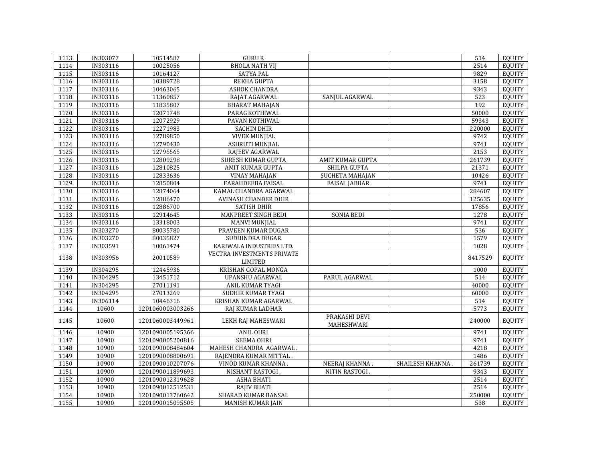| 1113             | IN303077 | 10514587                             | <b>GURU R</b>                                 |                      |                  | 514     | EQUITY        |
|------------------|----------|--------------------------------------|-----------------------------------------------|----------------------|------------------|---------|---------------|
| 1114             | IN303116 | 10025056                             | <b>BHOLA NATH VIJ</b>                         |                      |                  | 2514    | <b>EOUITY</b> |
| 1115             | IN303116 | 10164127                             | <b>SATYA PAL</b>                              |                      |                  | 9829    | <b>EQUITY</b> |
| 1116             | IN303116 | 10389728                             | REKHA GUPTA                                   |                      |                  | 3158    | EQUITY        |
| 1117             | IN303116 | 10463065                             | ASHOK CHANDRA                                 |                      |                  | 9343    | <b>EQUITY</b> |
| 1118             | IN303116 | 11360857                             | RAJAT AGARWAL                                 | SANJUL AGARWAL       |                  | 523     | <b>EQUITY</b> |
| 1119             | IN303116 | 11835807                             | <b>BHARAT MAHAJAN</b>                         |                      |                  | 192     | <b>EQUITY</b> |
| 1120             | IN303116 | 12071748                             | PARAG KOTHIWAL                                |                      |                  | 50000   | <b>EQUITY</b> |
| 1121             | IN303116 | 12072929                             | PAVAN KOTHIWAL                                |                      |                  | 59343   | <b>EQUITY</b> |
| 1122             | IN303116 | 12271983                             | <b>SACHIN DHIR</b>                            |                      |                  | 220000  | <b>EQUITY</b> |
| 1123             | IN303116 | 12789850                             | <b>VIVEK MUNJIAL</b>                          |                      |                  | 9742    | <b>EQUITY</b> |
| 1124             | IN303116 | 12790430                             | ASHRUTI MUNJIAL                               |                      |                  | 9741    | <b>EQUITY</b> |
| 1125             | IN303116 | 12795565                             | RAJEEV AGARWAL                                |                      |                  | 2153    | <b>EQUITY</b> |
| 1126             | IN303116 | 12809298                             | SURESH KUMAR GUPTA                            | AMIT KUMAR GUPTA     |                  | 261739  | <b>EQUITY</b> |
| 1127             | IN303116 | 12810825                             | AMIT KUMAR GUPTA                              | SHILPA GUPTA         |                  | 21371   | <b>EQUITY</b> |
| 1128             | IN303116 | 12833636                             | <b>VINAY MAHAJAN</b>                          | SUCHETA MAHAJAN      |                  | 10426   | <b>EQUITY</b> |
| 1129             | IN303116 | 12850804                             | FARAHDEEBA FAISAL                             | <b>FAISAL JABBAR</b> |                  | 9741    | <b>EQUITY</b> |
| 1130             | IN303116 | 12874064                             | KAMAL CHANDRA AGARWAL                         |                      |                  | 284607  | <b>EQUITY</b> |
| 1131             | IN303116 | 12886470                             | <b>AVINASH CHANDER DHIR</b>                   |                      |                  | 125635  | <b>EQUITY</b> |
| 1132             | IN303116 | 12886700                             | <b>SATISH DHIR</b>                            |                      |                  | 17856   | <b>EQUITY</b> |
| 1133             | IN303116 | 12914645                             | <b>MANPREET SINGH BEDI</b>                    | <b>SONIA BEDI</b>    |                  | 1278    | <b>EQUITY</b> |
| 1134             | IN303116 | 13318003                             | <b>MANVI MUNJIAL</b>                          |                      |                  | 9741    | <b>EQUITY</b> |
| 1135             | IN303270 | 80035780                             | PRAVEEN KUMAR DUGAR                           |                      |                  | 536     | <b>EQUITY</b> |
| 1136             | IN303270 | 80035827                             | SUDHINDRA DUGAR                               |                      |                  | 1579    | <b>EQUITY</b> |
| 1137             | IN303591 | 10061474                             | KARIWALA INDUSTRIES LTD.                      |                      |                  | 1028    | <b>EQUITY</b> |
|                  |          |                                      | VECTRA INVESTMENTS PRIVATE                    |                      |                  |         |               |
| 1138             | IN303956 | 20010589                             | <b>LIMITED</b>                                |                      |                  | 8417529 | <b>EQUITY</b> |
| 1139             | IN304295 | 12445936                             | KRISHAN GOPAL MONGA                           |                      |                  | 1000    | <b>EQUITY</b> |
| 1140             | IN304295 | 13451712                             | UPANSHU AGARWAL                               | PARUL AGARWAL        |                  | 514     | <b>EQUITY</b> |
| 1141             | IN304295 | 27011191                             | ANIL KUMAR TYAGI                              |                      |                  | 40000   | <b>EQUITY</b> |
| 1142             | IN304295 | 27013269                             | SUDHIR KUMAR TYAGI                            |                      |                  | 60000   | <b>EQUITY</b> |
| 1143             | IN306114 | 10446316                             | KRISHAN KUMAR AGARWAL                         |                      |                  | 514     | <b>EQUITY</b> |
| 1144             | 10600    | 1201060003003266                     | RAJ KUMAR LADHAR                              |                      |                  | 5773    | <b>EQUITY</b> |
| 1145             | 10600    | 1201060003449961                     | LEKH RAJ MAHESWARI                            | PRAKASHI DEVI        |                  | 240000  | <b>EQUITY</b> |
| 1146             | 10900    | 1201090005195366                     | <b>ANIL OHRI</b>                              | MAHESHWARI           |                  | 9741    | <b>EQUITY</b> |
| 1147             | 10900    | 1201090005200816                     | <b>SEEMA OHRI</b>                             |                      |                  | 9741    | <b>EQUITY</b> |
| 1148             | 10900    | 1201090008484604                     | MAHESH CHANDRA AGARWAL.                       |                      |                  | 4218    | <b>EQUITY</b> |
| 1149             | 10900    |                                      |                                               |                      |                  | 1486    | <b>EQUITY</b> |
| 1150             | 10900    | 1201090008800691<br>1201090010207076 | RAJENDRA KUMAR MITTAL.<br>VINOD KUMAR KHANNA. | NEERAJ KHANNA.       | SHAILESH KHANNA. | 261739  | <b>EQUITY</b> |
| $\frac{1151}{2}$ | 10900    |                                      |                                               |                      |                  | 9343    | <b>EQUITY</b> |
| 1152             | 10900    | 1201090011899693<br>1201090012319628 | NISHANT RASTOGI.<br><b>ASHA BHATI</b>         | NITIN RASTOGI.       |                  | 2514    | <b>EQUITY</b> |
| 1153             | 10900    | 1201090012512531                     | <b>RAJIV BHATI</b>                            |                      |                  | 2514    | <b>EQUITY</b> |
|                  |          |                                      |                                               |                      |                  |         |               |
| 1154             | 10900    | 1201090013760642                     | <b>SHARAD KUMAR BANSAL</b>                    |                      |                  | 250000  | EQUITY        |
| 1155             | 10900    | 1201090015095505                     | <b>MANISH KUMAR JAIN</b>                      |                      |                  | 538     | EQUITY        |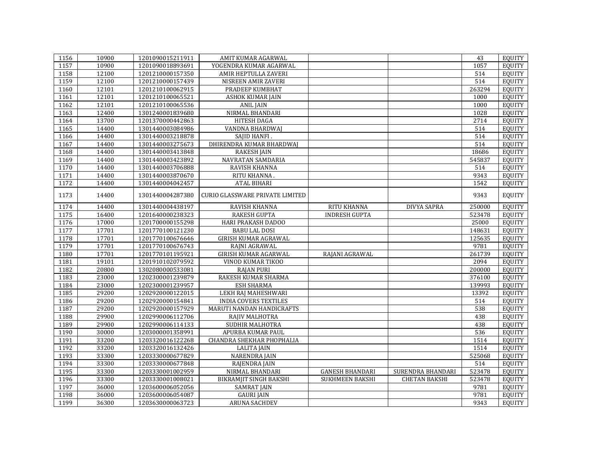| 1156 | 10900 | 1201090015211911 | AMIT KUMAR AGARWAL                     |                        |                      | 43     | <b>EQUITY</b> |
|------|-------|------------------|----------------------------------------|------------------------|----------------------|--------|---------------|
| 1157 | 10900 | 1201090018893691 | YOGENDRA KUMAR AGARWAL                 |                        |                      | 1057   | <b>EQUITY</b> |
| 1158 | 12100 | 1201210000157350 | AMIR HEPTULLA ZAVERI                   |                        |                      | 514    | <b>EQUITY</b> |
| 1159 | 12100 | 1201210000157439 | NISREEN AMIR ZAVERI                    |                        |                      | 514    | <b>EQUITY</b> |
| 1160 | 12101 | 1201210100062915 | PRADEEP KUMBHAT                        |                        |                      | 263294 | <b>EQUITY</b> |
| 1161 | 12101 | 1201210100065521 | ASHOK KUMAR JAIN                       |                        |                      | 1000   | <b>EQUITY</b> |
| 1162 | 12101 | 1201210100065536 | <b>ANIL JAIN</b>                       |                        |                      | 1000   | <b>EQUITY</b> |
| 1163 | 12400 | 1301240001839680 | NIRMAL BHANDARI                        |                        |                      | 1028   | <b>EQUITY</b> |
| 1164 | 13700 | 1201370000442863 | HITESH DAGA                            |                        |                      | 2714   | <b>EQUITY</b> |
| 1165 | 14400 | 1301440003084986 | VANDNA BHARDWAJ                        |                        |                      | 514    | <b>EQUITY</b> |
| 1166 | 14400 | 1301440003218878 | SAJID HANFI.                           |                        |                      | 514    | <b>EQUITY</b> |
| 1167 | 14400 | 1301440003275673 | DHIRENDRA KUMAR BHARDWAJ               |                        |                      | 514    | <b>EQUITY</b> |
| 1168 | 14400 | 1301440003413848 | <b>RAKESH JAIN</b>                     |                        |                      | 18686  | <b>EQUITY</b> |
| 1169 | 14400 | 1301440003423892 | NAVRATAN SAMDARIA                      |                        |                      | 545837 | <b>EQUITY</b> |
| 1170 | 14400 | 1301440003706888 | RAVISH KHANNA                          |                        |                      | 514    | <b>EQUITY</b> |
| 1171 | 14400 | 1301440003870670 | RITU KHANNA.                           |                        |                      | 9343   | <b>EQUITY</b> |
| 1172 | 14400 | 1301440004042457 | <b>ATAL BIHARI</b>                     |                        |                      | 1542   | <b>EQUITY</b> |
| 1173 | 14400 | 1301440004287380 | <b>CURIO GLASSWARE PRIVATE LIMITED</b> |                        |                      | 9343   | <b>EQUITY</b> |
| 1174 | 14400 | 1301440004438197 | RAVISH KHANNA                          | RITU KHANNA            | <b>DIVYA SAPRA</b>   | 250000 | <b>EQUITY</b> |
| 1175 | 16400 | 1201640000238323 | <b>RAKESH GUPTA</b>                    | <b>INDRESH GUPTA</b>   |                      | 523478 | <b>EQUITY</b> |
| 1176 | 17000 | 1201700000155298 | HARI PRAKASH DADOO                     |                        |                      | 25000  | <b>EQUITY</b> |
| 1177 | 17701 | 1201770100121230 | <b>BABU LAL DOSI</b>                   |                        |                      | 148631 | <b>EQUITY</b> |
| 1178 | 17701 | 1201770100676646 | <b>GIRISH KUMAR AGRAWAL</b>            |                        |                      | 125635 | <b>EQUITY</b> |
| 1179 | 17701 | 1201770100676743 | RAJNI AGRAWAL                          |                        |                      | 9781   | <b>EQUITY</b> |
| 1180 | 17701 | 1201770101195921 | <b>GIRISH KUMAR AGARWAL</b>            | RAJANI AGRAWAL         |                      | 261739 | <b>EQUITY</b> |
| 1181 | 19101 | 1201910102079592 | VINOD KUMAR TIKOO                      |                        |                      | 2094   | <b>EQUITY</b> |
| 1182 | 20800 | 1302080000533081 | <b>RAJAN PURI</b>                      |                        |                      | 200000 | <b>EQUITY</b> |
| 1183 | 23000 | 1202300001239879 | RAKESH KUMAR SHARMA                    |                        |                      | 376100 | <b>EQUITY</b> |
| 1184 | 23000 | 1202300001239957 | ESH SHARMA                             |                        |                      | 139993 | <b>EQUITY</b> |
| 1185 | 29200 | 1202920000122015 | LEKH RAJ MAHESHWARI                    |                        |                      | 13392  | <b>EQUITY</b> |
| 1186 | 29200 | 1202920000154841 | <b>INDIA COVERS TEXTILES</b>           |                        |                      | 514    | <b>EQUITY</b> |
| 1187 | 29200 | 1202920000157929 | MARUTI NANDAN HANDICRAFTS              |                        |                      | 538    | <b>EQUITY</b> |
| 1188 | 29900 | 1202990006112706 | RAJIV MALHOTRA                         |                        |                      | 438    | <b>EQUITY</b> |
| 1189 | 29900 | 1202990006114133 | SUDHIR MALHOTRA                        |                        |                      | 438    | <b>EQUITY</b> |
| 1190 | 30000 | 1203000001358991 | APURBA KUMAR PAUL                      |                        |                      | 536    | <b>EQUITY</b> |
| 1191 | 33200 | 1203320016122268 | CHANDRA SHEKHAR PHOPHALIA              |                        |                      | 1514   | <b>EQUITY</b> |
| 1192 | 33200 | 1203320016132426 | <b>LALITA JAIN</b>                     |                        |                      | 1514   | <b>EQUITY</b> |
| 1193 | 33300 | 1203330000677829 | NARENDRA JAIN                          |                        |                      | 525068 | <b>EQUITY</b> |
| 1194 | 33300 | 1203330000677848 | RAJENDRA JAIN                          |                        |                      | 514    | <b>EQUITY</b> |
| 1195 | 33300 | 1203330001002959 | NIRMAL BHANDARI                        | <b>GANESH BHANDARI</b> | SURENDRA BHANDARI    | 523478 | <b>EQUITY</b> |
| 1196 | 33300 | 1203330001008021 | BIKRAMJIT SINGH BAKSHI                 | SUKHMEEN BAKSHI        | <b>CHETAN BAKSHI</b> | 523478 | <b>EQUITY</b> |
| 1197 | 36000 | 1203600006052056 | <b>SAMRAT JAIN</b>                     |                        |                      | 9781   | <b>EQUITY</b> |
| 1198 | 36000 | 1203600006054087 | <b>GAURI JAIN</b>                      |                        |                      | 9781   | <b>EQUITY</b> |
| 1199 | 36300 | 1203630000063723 | ARUNA SACHDEV                          |                        |                      | 9343   | <b>EQUITY</b> |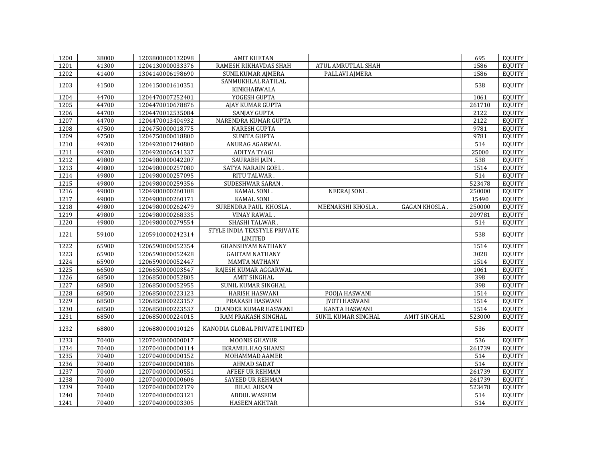| 1200 | 38000 | 1203800000132098 | <b>AMIT KHETAN</b>             |                      |                     | 695    | <b>EQUITY</b> |
|------|-------|------------------|--------------------------------|----------------------|---------------------|--------|---------------|
| 1201 | 41300 | 1204130000033376 | RAMESH RIKHAVDAS SHAH          | ATUL AMRUTLAL SHAH   |                     | 1586   | <b>EQUITY</b> |
| 1202 | 41400 | 1304140006198690 | SUNILKUMAR AJMERA              | PALLAVI AJMERA       |                     | 1586   | <b>EQUITY</b> |
| 1203 | 41500 | 1204150001610351 | SANMUKHLAL RATILAL             |                      |                     | 538    | <b>EQUITY</b> |
|      |       |                  | KINKHABWALA                    |                      |                     |        |               |
| 1204 | 44700 | 1204470007252401 | YOGESH GUPTA                   |                      |                     | 1061   | <b>EQUITY</b> |
| 1205 | 44700 | 1204470010678876 | <b>AJAY KUMAR GUPTA</b>        |                      |                     | 261710 | <b>EQUITY</b> |
| 1206 | 44700 | 1204470012535084 | <b>SANJAY GUPTA</b>            |                      |                     | 2122   | <b>EQUITY</b> |
| 1207 | 44700 | 1204470013404932 | NARENDRA KUMAR GUPTA           |                      |                     | 2122   | <b>EQUITY</b> |
| 1208 | 47500 | 1204750000018775 | <b>NARESH GUPTA</b>            |                      |                     | 9781   | <b>EQUITY</b> |
| 1209 | 47500 | 1204750000018800 | <b>SUNITA GUPTA</b>            |                      |                     | 9781   | <b>EQUITY</b> |
| 1210 | 49200 | 1204920001740800 | ANURAG AGARWAL                 |                      |                     | 514    | <b>EQUITY</b> |
| 1211 | 49200 | 1204920006541337 | <b>ADITYA TYAGI</b>            |                      |                     | 25000  | <b>EQUITY</b> |
| 1212 | 49800 | 1204980000042207 | SAURABH JAIN.                  |                      |                     | 538    | <b>EQUITY</b> |
| 1213 | 49800 | 1204980000257080 | SATYA NARAIN GOEL.             |                      |                     | 1514   | <b>EQUITY</b> |
| 1214 | 49800 | 1204980000257095 | RITU TALWAR                    |                      |                     | 514    | <b>EQUITY</b> |
| 1215 | 49800 | 1204980000259356 | SUDESHWAR SARAN.               |                      |                     | 523478 | <b>EQUITY</b> |
| 1216 | 49800 | 1204980000260108 | KAMAL SONI.                    | NEERAJ SONI.         |                     | 250000 | <b>EQUITY</b> |
| 1217 | 49800 | 1204980000260171 | KAMAL SONI.                    |                      |                     | 15490  | <b>EQUITY</b> |
| 1218 | 49800 | 1204980000262479 | SURENDRA PAUL KHOSLA.          | MEENAKSHI KHOSLA.    | <b>GAGAN KHOSLA</b> | 250000 | <b>EQUITY</b> |
| 1219 | 49800 | 1204980000268335 | <b>VINAY RAWAL</b>             |                      |                     | 209781 | <b>EQUITY</b> |
| 1220 | 49800 | 1204980000279554 | SHASHI TALWAR.                 |                      |                     | 514    | <b>EQUITY</b> |
|      |       |                  | STYLE INDIA TEXSTYLE PRIVATE   |                      |                     |        |               |
| 1221 | 59100 | 1205910000242314 | LIMITED                        |                      |                     | 538    | <b>EQUITY</b> |
| 1222 | 65900 | 1206590000052354 | <b>GHANSHYAM NATHANY</b>       |                      |                     | 1514   | <b>EQUITY</b> |
| 1223 | 65900 | 1206590000052428 | <b>GAUTAM NATHANY</b>          |                      |                     | 3028   | <b>EQUITY</b> |
| 1224 | 65900 | 1206590000052447 | <b>MAMTA NATHANY</b>           |                      |                     | 1514   | <b>EQUITY</b> |
| 1225 | 66500 | 1206650000003547 | RAJESH KUMAR AGGARWAL          |                      |                     | 1061   | <b>EQUITY</b> |
| 1226 | 68500 | 1206850000052805 | <b>AMIT SINGHAL</b>            |                      |                     | 398    | <b>EQUITY</b> |
| 1227 | 68500 | 1206850000052955 | SUNIL KUMAR SINGHAL            |                      |                     | 398    | <b>EQUITY</b> |
| 1228 | 68500 | 1206850000223123 | HARISH HASWANI                 | POOJA HASWANI        |                     | 1514   | <b>EQUITY</b> |
| 1229 | 68500 | 1206850000223157 | PRAKASH HASWANI                | <b>JYOTI HASWANI</b> |                     | 1514   | <b>EQUITY</b> |
| 1230 | 68500 | 1206850000223537 | <b>CHANDER KUMAR HASWANI</b>   | KANTA HASWANI        |                     | 1514   | <b>EQUITY</b> |
| 1231 | 68500 | 1206850000224015 | RAM PRAKASH SINGHAL            | SUNIL KUMAR SINGHAL  | <b>AMIT SINGHAL</b> | 523000 | <b>EQUITY</b> |
|      |       |                  |                                |                      |                     |        |               |
| 1232 | 68800 | 1206880000010126 | KANODIA GLOBAL PRIVATE LIMITED |                      |                     | 536    | <b>EQUITY</b> |
| 1233 | 70400 | 1207040000000017 | <b>MOONIS GHAYUR</b>           |                      |                     | 536    | <b>EQUITY</b> |
| 1234 | 70400 | 1207040000000114 | <b>IKRAMUL HAQ SHAMSI</b>      |                      |                     | 261739 | <b>EQUITY</b> |
| 1235 | 70400 | 1207040000000152 | MOHAMMAD AAMER                 |                      |                     | 514    | <b>EQUITY</b> |
| 1236 | 70400 | 1207040000000186 | <b>AHMAD SADAT</b>             |                      |                     | 514    | <b>EQUITY</b> |
| 1237 | 70400 | 1207040000000551 | AFEEF UR REHMAN                |                      |                     | 261739 | <b>EQUITY</b> |
| 1238 | 70400 | 1207040000000606 | <b>SAYEED UR REHMAN</b>        |                      |                     | 261739 | <b>EQUITY</b> |
| 1239 | 70400 | 1207040000002179 | <b>BILAL AHSAN</b>             |                      |                     | 523478 | <b>EQUITY</b> |
| 1240 | 70400 | 1207040000003121 | <b>ABDUL WASEEM</b>            |                      |                     | 514    | <b>EQUITY</b> |
| 1241 | 70400 | 1207040000003305 | <b>HASEEN AKHTAR</b>           |                      |                     | 514    | EQUITY        |
|      |       |                  |                                |                      |                     |        |               |